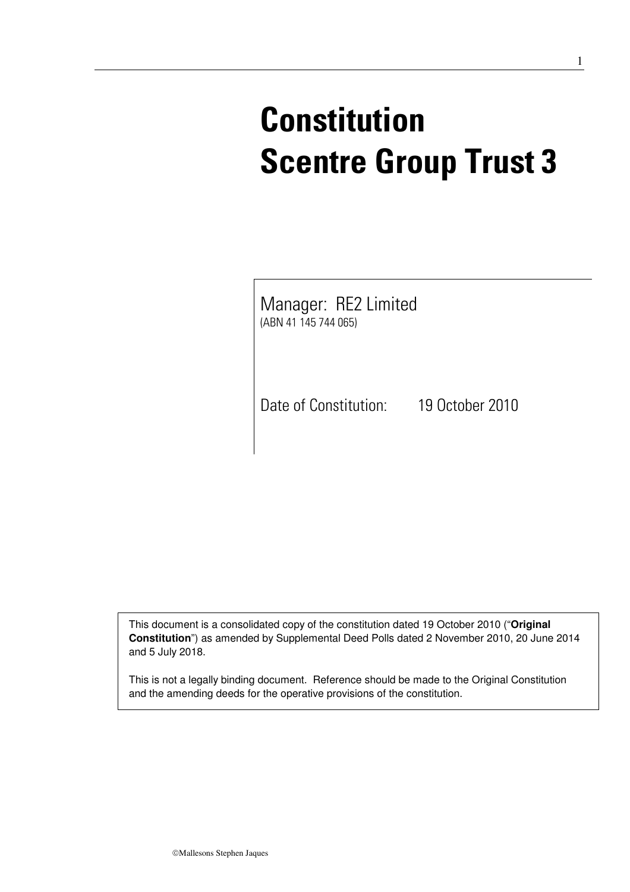# **Constitution Scentre Group Trust 3**

Manager: RE2 Limited (ABN 41 145 744 065)

Date of Constitution: 19 October 2010

This document is a consolidated copy of the constitution dated 19 October 2010 ("**Original Constitution**") as amended by Supplemental Deed Polls dated 2 November 2010, 20 June 2014 and 5 July 2018.

This is not a legally binding document. Reference should be made to the Original Constitution and the amending deeds for the operative provisions of the constitution.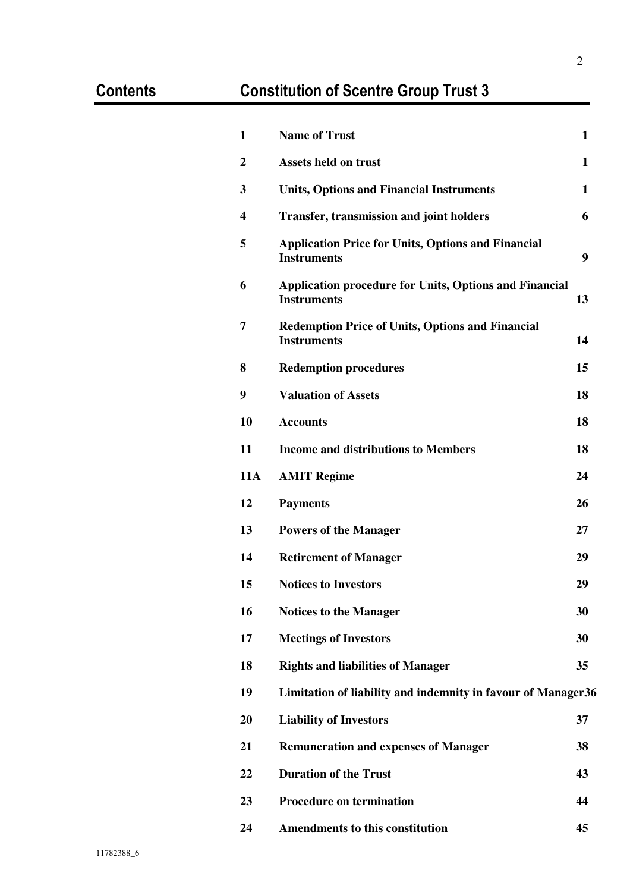## **Contents Constitution of Scentre Group Trust 3**

| $\mathbf{1}$ | <b>Name of Trust</b>                                                                | 1  |
|--------------|-------------------------------------------------------------------------------------|----|
| $\mathbf{2}$ | <b>Assets held on trust</b>                                                         | 1  |
| 3            | <b>Units, Options and Financial Instruments</b>                                     | 1  |
| 4            | <b>Transfer, transmission and joint holders</b>                                     | 6  |
| 5            | <b>Application Price for Units, Options and Financial</b><br><b>Instruments</b>     | 9  |
| 6            | <b>Application procedure for Units, Options and Financial</b><br><b>Instruments</b> | 13 |
| 7            | <b>Redemption Price of Units, Options and Financial</b><br><b>Instruments</b>       | 14 |
| 8            | <b>Redemption procedures</b>                                                        | 15 |
| 9            | <b>Valuation of Assets</b>                                                          | 18 |
| 10           | <b>Accounts</b>                                                                     | 18 |
| 11           | <b>Income and distributions to Members</b>                                          | 18 |
| <b>11A</b>   | <b>AMIT Regime</b>                                                                  | 24 |
| 12           | <b>Payments</b>                                                                     | 26 |
| 13           | <b>Powers of the Manager</b>                                                        | 27 |
| 14           | <b>Retirement of Manager</b>                                                        | 29 |
| 15           | <b>Notices to Investors</b>                                                         | 29 |
| 16           | <b>Notices to the Manager</b>                                                       | 30 |
| 17           | <b>Meetings of Investors</b>                                                        | 30 |
| 18           | <b>Rights and liabilities of Manager</b>                                            | 35 |
| 19           | Limitation of liability and indemnity in favour of Manager36                        |    |
| 20           | <b>Liability of Investors</b>                                                       | 37 |
| 21           | <b>Remuneration and expenses of Manager</b>                                         | 38 |
| 22           | <b>Duration of the Trust</b>                                                        | 43 |
| 23           | <b>Procedure on termination</b>                                                     | 44 |
| 24           | <b>Amendments to this constitution</b>                                              | 45 |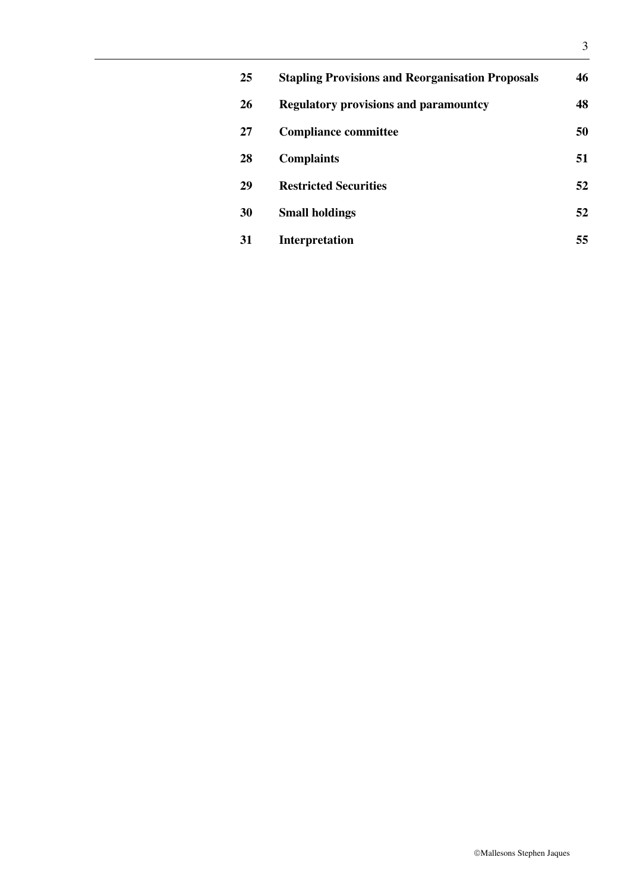| 25 | <b>Stapling Provisions and Reorganisation Proposals</b> | 46 |
|----|---------------------------------------------------------|----|
| 26 | <b>Regulatory provisions and paramountcy</b>            | 48 |
| 27 | <b>Compliance committee</b>                             | 50 |
| 28 | <b>Complaints</b>                                       | 51 |
| 29 | <b>Restricted Securities</b>                            | 52 |
| 30 | <b>Small holdings</b>                                   | 52 |
| 31 | <b>Interpretation</b>                                   | 55 |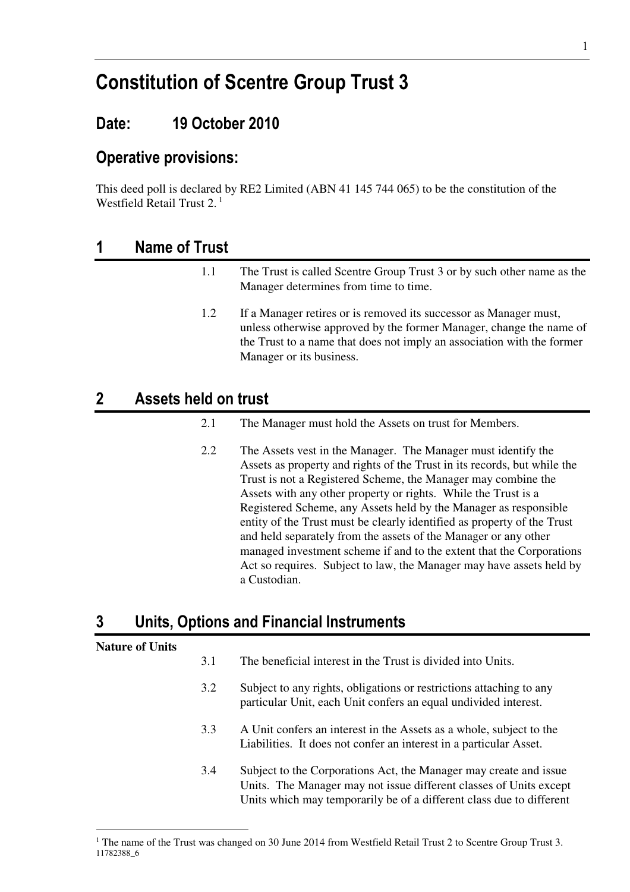## **Constitution of Scentre Group Trust 3**

### **Date: 19 October 2010**

### **Operative provisions:**

This deed poll is declared by RE2 Limited (ABN 41 145 744 065) to be the constitution of the Westfield Retail Trust 2. $<sup>1</sup>$ </sup>

### **1 Name of Trust**

1.1 The Trust is called Scentre Group Trust 3 or by such other name as the Manager determines from time to time. 1.2 If a Manager retires or is removed its successor as Manager must, unless otherwise approved by the former Manager, change the name of the Trust to a name that does not imply an association with the former Manager or its business.

### **2 Assets held on trust**

- 2.1 The Manager must hold the Assets on trust for Members.
- 2.2 The Assets vest in the Manager. The Manager must identify the Assets as property and rights of the Trust in its records, but while the Trust is not a Registered Scheme, the Manager may combine the Assets with any other property or rights. While the Trust is a Registered Scheme, any Assets held by the Manager as responsible entity of the Trust must be clearly identified as property of the Trust and held separately from the assets of the Manager or any other managed investment scheme if and to the extent that the Corporations Act so requires. Subject to law, the Manager may have assets held by a Custodian.

### **3 Units, Options and Financial Instruments**

#### **Nature of Units**

-

- 3.1 The beneficial interest in the Trust is divided into Units.
- 3.2 Subject to any rights, obligations or restrictions attaching to any particular Unit, each Unit confers an equal undivided interest.
- 3.3 A Unit confers an interest in the Assets as a whole, subject to the Liabilities. It does not confer an interest in a particular Asset.
- 3.4 Subject to the Corporations Act, the Manager may create and issue Units. The Manager may not issue different classes of Units except Units which may temporarily be of a different class due to different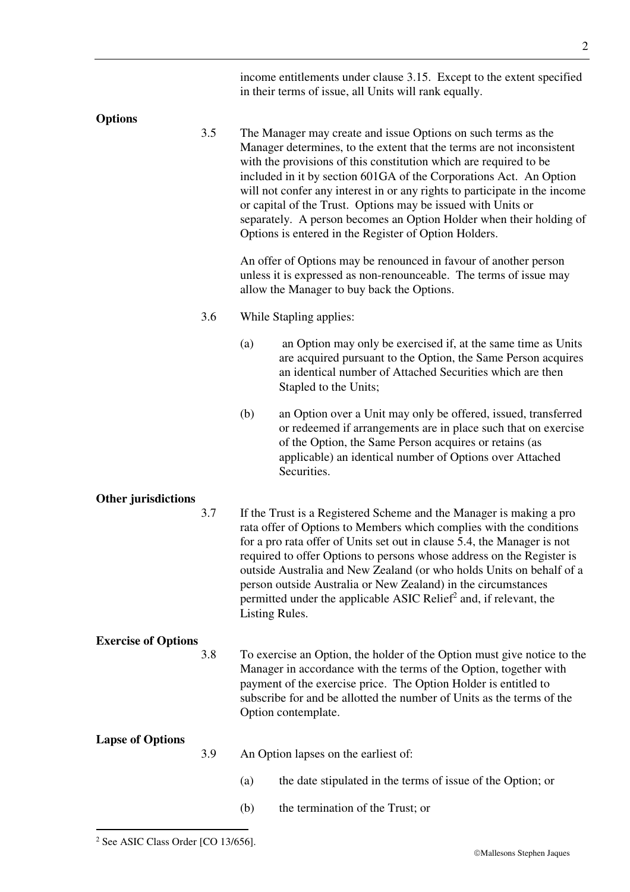|                            |     |                | income entitlements under clause 3.15. Except to the extent specified<br>in their terms of issue, all Units will rank equally.                                                                                                                                                                                                                                                                                                                                                                                                                                  |
|----------------------------|-----|----------------|-----------------------------------------------------------------------------------------------------------------------------------------------------------------------------------------------------------------------------------------------------------------------------------------------------------------------------------------------------------------------------------------------------------------------------------------------------------------------------------------------------------------------------------------------------------------|
|                            |     |                |                                                                                                                                                                                                                                                                                                                                                                                                                                                                                                                                                                 |
| <b>Options</b>             | 3.5 |                | The Manager may create and issue Options on such terms as the<br>Manager determines, to the extent that the terms are not inconsistent<br>with the provisions of this constitution which are required to be<br>included in it by section 601GA of the Corporations Act. An Option<br>will not confer any interest in or any rights to participate in the income<br>or capital of the Trust. Options may be issued with Units or<br>separately. A person becomes an Option Holder when their holding of<br>Options is entered in the Register of Option Holders. |
|                            |     |                | An offer of Options may be renounced in favour of another person<br>unless it is expressed as non-renounceable. The terms of issue may<br>allow the Manager to buy back the Options.                                                                                                                                                                                                                                                                                                                                                                            |
|                            | 3.6 |                | While Stapling applies:                                                                                                                                                                                                                                                                                                                                                                                                                                                                                                                                         |
|                            |     | (a)            | an Option may only be exercised if, at the same time as Units<br>are acquired pursuant to the Option, the Same Person acquires<br>an identical number of Attached Securities which are then<br>Stapled to the Units;                                                                                                                                                                                                                                                                                                                                            |
|                            |     | (b)            | an Option over a Unit may only be offered, issued, transferred<br>or redeemed if arrangements are in place such that on exercise<br>of the Option, the Same Person acquires or retains (as<br>applicable) an identical number of Options over Attached<br>Securities.                                                                                                                                                                                                                                                                                           |
| <b>Other jurisdictions</b> |     |                |                                                                                                                                                                                                                                                                                                                                                                                                                                                                                                                                                                 |
|                            | 3.7 | Listing Rules. | If the Trust is a Registered Scheme and the Manager is making a pro<br>rata offer of Options to Members which complies with the conditions<br>for a pro rata offer of Units set out in clause 5.4, the Manager is not<br>required to offer Options to persons whose address on the Register is<br>outside Australia and New Zealand (or who holds Units on behalf of a<br>person outside Australia or New Zealand) in the circumstances<br>permitted under the applicable ASIC Relief <sup>2</sup> and, if relevant, the                                        |
| <b>Exercise of Options</b> |     |                |                                                                                                                                                                                                                                                                                                                                                                                                                                                                                                                                                                 |
|                            | 3.8 |                | To exercise an Option, the holder of the Option must give notice to the<br>Manager in accordance with the terms of the Option, together with<br>payment of the exercise price. The Option Holder is entitled to<br>subscribe for and be allotted the number of Units as the terms of the<br>Option contemplate.                                                                                                                                                                                                                                                 |
| <b>Lapse of Options</b>    | 3.9 |                | An Option lapses on the earliest of:                                                                                                                                                                                                                                                                                                                                                                                                                                                                                                                            |
|                            |     | (a)            | the date stipulated in the terms of issue of the Option; or                                                                                                                                                                                                                                                                                                                                                                                                                                                                                                     |
|                            |     | (b)            | the termination of the Trust; or                                                                                                                                                                                                                                                                                                                                                                                                                                                                                                                                |

 2 See ASIC Class Order [CO 13/656].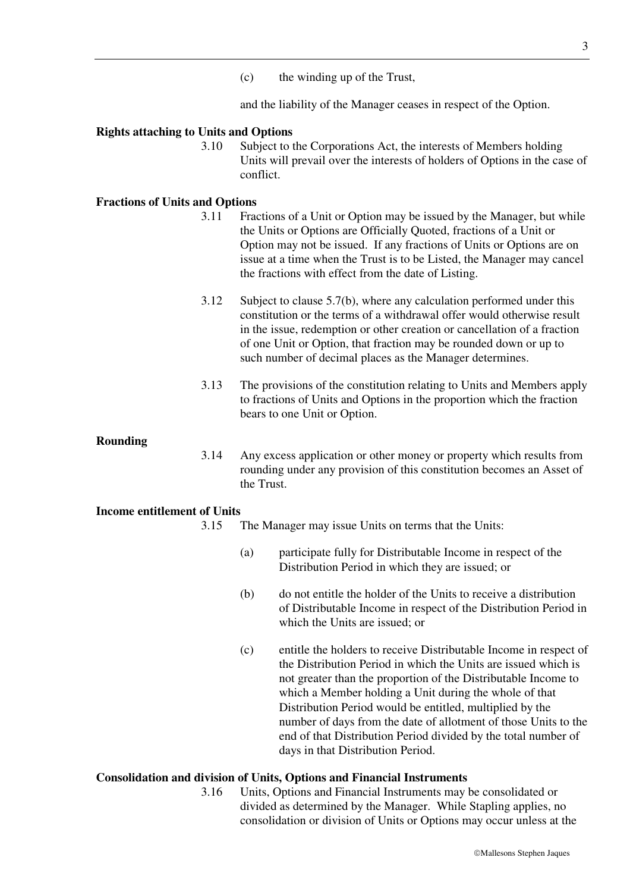(c) the winding up of the Trust,

and the liability of the Manager ceases in respect of the Option.

#### **Rights attaching to Units and Options**

3.10 Subject to the Corporations Act, the interests of Members holding Units will prevail over the interests of holders of Options in the case of conflict.

#### **Fractions of Units and Options**

- 3.11 Fractions of a Unit or Option may be issued by the Manager, but while the Units or Options are Officially Quoted, fractions of a Unit or Option may not be issued. If any fractions of Units or Options are on issue at a time when the Trust is to be Listed, the Manager may cancel the fractions with effect from the date of Listing.
- 3.12 Subject to clause 5.7(b), where any calculation performed under this constitution or the terms of a withdrawal offer would otherwise result in the issue, redemption or other creation or cancellation of a fraction of one Unit or Option, that fraction may be rounded down or up to such number of decimal places as the Manager determines.
- 3.13 The provisions of the constitution relating to Units and Members apply to fractions of Units and Options in the proportion which the fraction bears to one Unit or Option.

#### **Rounding**

3.14 Any excess application or other money or property which results from rounding under any provision of this constitution becomes an Asset of the Trust.

#### **Income entitlement of Units**

- 3.15 The Manager may issue Units on terms that the Units:
	- (a) participate fully for Distributable Income in respect of the Distribution Period in which they are issued; or
	- (b) do not entitle the holder of the Units to receive a distribution of Distributable Income in respect of the Distribution Period in which the Units are issued; or
	- (c) entitle the holders to receive Distributable Income in respect of the Distribution Period in which the Units are issued which is not greater than the proportion of the Distributable Income to which a Member holding a Unit during the whole of that Distribution Period would be entitled, multiplied by the number of days from the date of allotment of those Units to the end of that Distribution Period divided by the total number of days in that Distribution Period.

#### **Consolidation and division of Units, Options and Financial Instruments**

3.16 Units, Options and Financial Instruments may be consolidated or divided as determined by the Manager. While Stapling applies, no consolidation or division of Units or Options may occur unless at the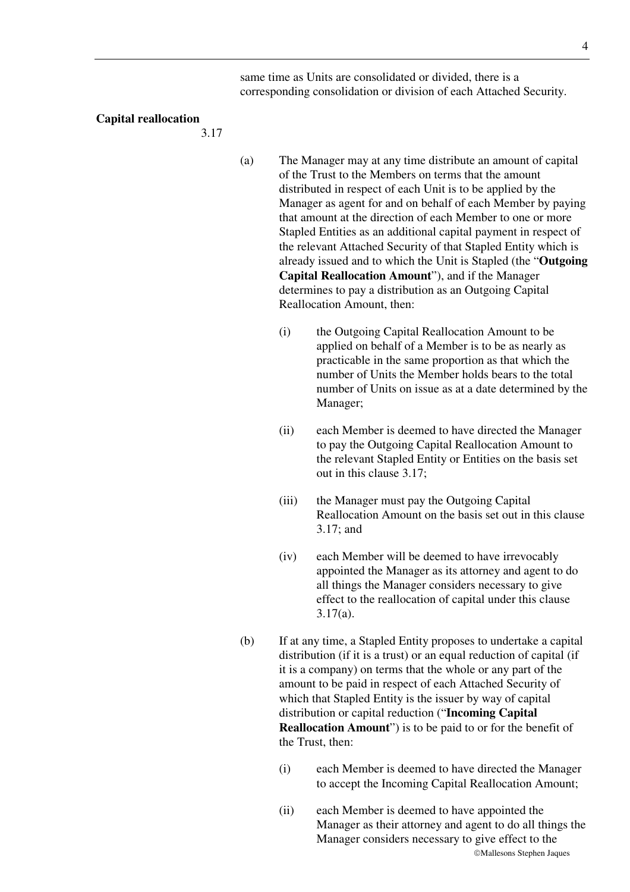same time as Units are consolidated or divided, there is a corresponding consolidation or division of each Attached Security.

#### **Capital reallocation**

3.17

- (a) The Manager may at any time distribute an amount of capital of the Trust to the Members on terms that the amount distributed in respect of each Unit is to be applied by the Manager as agent for and on behalf of each Member by paying that amount at the direction of each Member to one or more Stapled Entities as an additional capital payment in respect of the relevant Attached Security of that Stapled Entity which is already issued and to which the Unit is Stapled (the "**Outgoing Capital Reallocation Amount**"), and if the Manager determines to pay a distribution as an Outgoing Capital Reallocation Amount, then:
	- (i) the Outgoing Capital Reallocation Amount to be applied on behalf of a Member is to be as nearly as practicable in the same proportion as that which the number of Units the Member holds bears to the total number of Units on issue as at a date determined by the Manager;
	- (ii) each Member is deemed to have directed the Manager to pay the Outgoing Capital Reallocation Amount to the relevant Stapled Entity or Entities on the basis set out in this clause 3.17;
	- (iii) the Manager must pay the Outgoing Capital Reallocation Amount on the basis set out in this clause 3.17; and
	- (iv) each Member will be deemed to have irrevocably appointed the Manager as its attorney and agent to do all things the Manager considers necessary to give effect to the reallocation of capital under this clause 3.17(a).
- (b) If at any time, a Stapled Entity proposes to undertake a capital distribution (if it is a trust) or an equal reduction of capital (if it is a company) on terms that the whole or any part of the amount to be paid in respect of each Attached Security of which that Stapled Entity is the issuer by way of capital distribution or capital reduction ("**Incoming Capital Reallocation Amount**") is to be paid to or for the benefit of the Trust, then:
	- (i) each Member is deemed to have directed the Manager to accept the Incoming Capital Reallocation Amount;
	- Mallesons Stephen Jaques (ii) each Member is deemed to have appointed the Manager as their attorney and agent to do all things the Manager considers necessary to give effect to the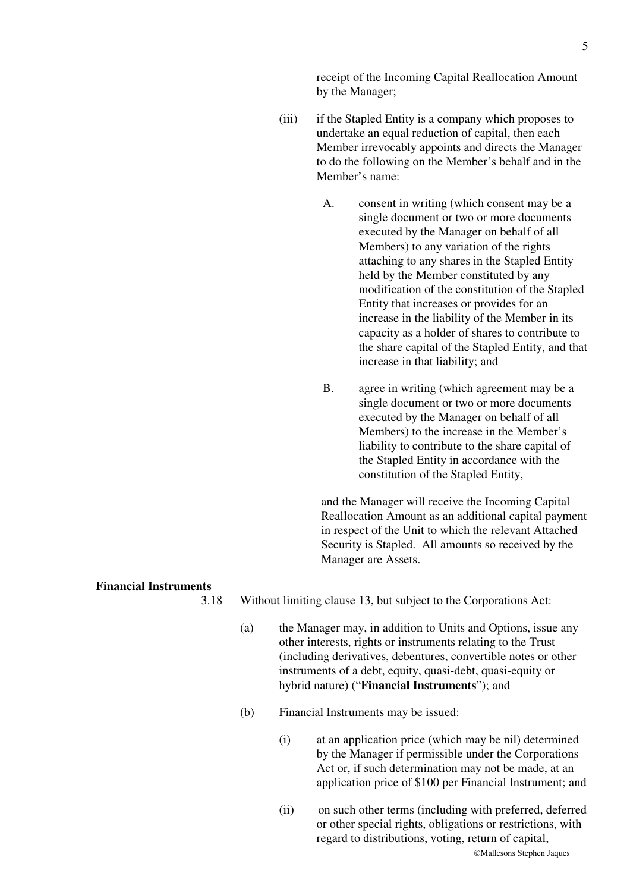- (iii) if the Stapled Entity is a company which proposes to undertake an equal reduction of capital, then each Member irrevocably appoints and directs the Manager to do the following on the Member's behalf and in the Member's name:
	- A. consent in writing (which consent may be a single document or two or more documents executed by the Manager on behalf of all Members) to any variation of the rights attaching to any shares in the Stapled Entity held by the Member constituted by any modification of the constitution of the Stapled Entity that increases or provides for an increase in the liability of the Member in its capacity as a holder of shares to contribute to the share capital of the Stapled Entity, and that increase in that liability; and
	- B. agree in writing (which agreement may be a single document or two or more documents executed by the Manager on behalf of all Members) to the increase in the Member's liability to contribute to the share capital of the Stapled Entity in accordance with the constitution of the Stapled Entity,

and the Manager will receive the Incoming Capital Reallocation Amount as an additional capital payment in respect of the Unit to which the relevant Attached Security is Stapled. All amounts so received by the Manager are Assets.

#### **Financial Instruments**

3.18 Without limiting clause 13, but subject to the Corporations Act:

- (a) the Manager may, in addition to Units and Options, issue any other interests, rights or instruments relating to the Trust (including derivatives, debentures, convertible notes or other instruments of a debt, equity, quasi-debt, quasi-equity or hybrid nature) ("**Financial Instruments**"); and
- (b) Financial Instruments may be issued:
	- (i) at an application price (which may be nil) determined by the Manager if permissible under the Corporations Act or, if such determination may not be made, at an application price of \$100 per Financial Instrument; and
	- (ii) on such other terms (including with preferred, deferred or other special rights, obligations or restrictions, with regard to distributions, voting, return of capital,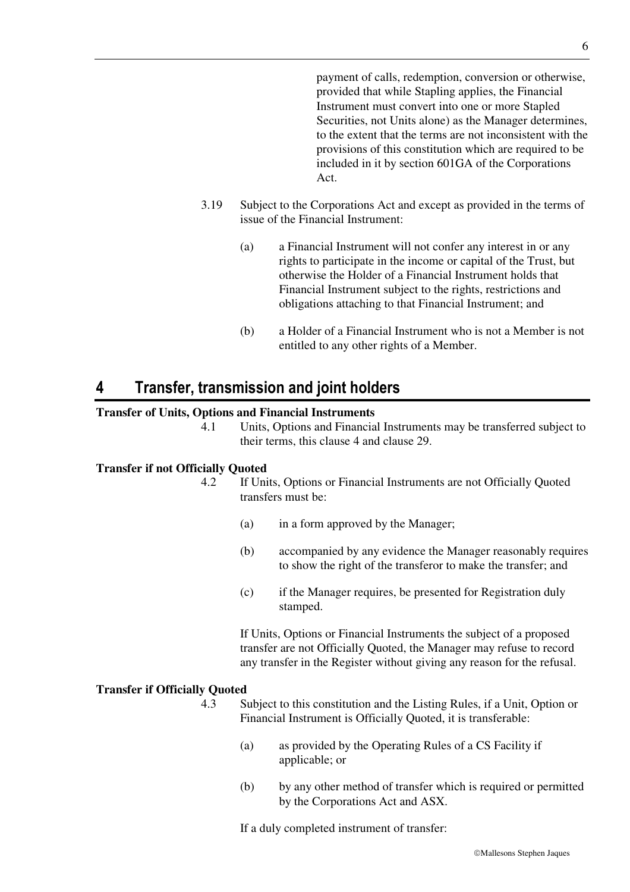payment of calls, redemption, conversion or otherwise, provided that while Stapling applies, the Financial Instrument must convert into one or more Stapled Securities, not Units alone) as the Manager determines, to the extent that the terms are not inconsistent with the provisions of this constitution which are required to be included in it by section 601GA of the Corporations Act.

- 3.19 Subject to the Corporations Act and except as provided in the terms of issue of the Financial Instrument:
	- (a) a Financial Instrument will not confer any interest in or any rights to participate in the income or capital of the Trust, but otherwise the Holder of a Financial Instrument holds that Financial Instrument subject to the rights, restrictions and obligations attaching to that Financial Instrument; and
	- (b) a Holder of a Financial Instrument who is not a Member is not entitled to any other rights of a Member.

### **4 Transfer, transmission and joint holders**

#### **Transfer of Units, Options and Financial Instruments**

4.1 Units, Options and Financial Instruments may be transferred subject to their terms, this clause 4 and clause 29.

#### **Transfer if not Officially Quoted**

- 4.2 If Units, Options or Financial Instruments are not Officially Quoted transfers must be:
	- (a) in a form approved by the Manager;
	- (b) accompanied by any evidence the Manager reasonably requires to show the right of the transferor to make the transfer; and
	- (c) if the Manager requires, be presented for Registration duly stamped.

If Units, Options or Financial Instruments the subject of a proposed transfer are not Officially Quoted, the Manager may refuse to record any transfer in the Register without giving any reason for the refusal.

#### **Transfer if Officially Quoted**

- 4.3 Subject to this constitution and the Listing Rules, if a Unit, Option or Financial Instrument is Officially Quoted, it is transferable:
	- (a) as provided by the Operating Rules of a CS Facility if applicable; or
	- (b) by any other method of transfer which is required or permitted by the Corporations Act and ASX.

If a duly completed instrument of transfer: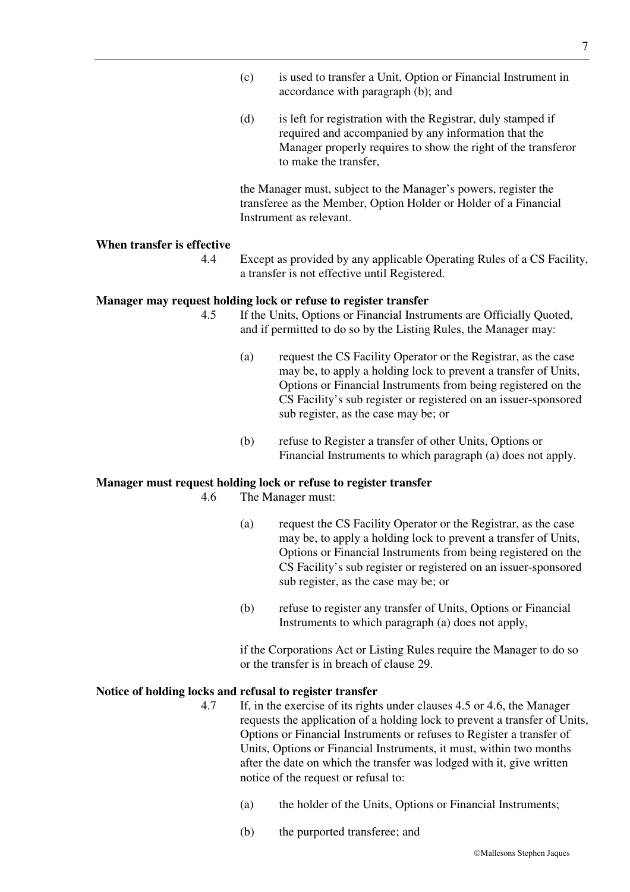- (c) is used to transfer a Unit, Option or Financial Instrument in accordance with paragraph (b); and
- (d) is left for registration with the Registrar, duly stamped if required and accompanied by any information that the Manager properly requires to show the right of the transferor to make the transfer,

the Manager must, subject to the Manager's powers, register the transferee as the Member, Option Holder or Holder of a Financial Instrument as relevant.

#### **When transfer is effective**

4.4 Except as provided by any applicable Operating Rules of a CS Facility, a transfer is not effective until Registered.

#### **Manager may request holding lock or refuse to register transfer**

- 4.5 If the Units, Options or Financial Instruments are Officially Quoted, and if permitted to do so by the Listing Rules, the Manager may:
	- (a) request the CS Facility Operator or the Registrar, as the case may be, to apply a holding lock to prevent a transfer of Units, Options or Financial Instruments from being registered on the CS Facility's sub register or registered on an issuer-sponsored sub register, as the case may be; or
	- (b) refuse to Register a transfer of other Units, Options or Financial Instruments to which paragraph (a) does not apply.

### **Manager must request holding lock or refuse to register transfer**

4.6 The Manager must:

- (a) request the CS Facility Operator or the Registrar, as the case may be, to apply a holding lock to prevent a transfer of Units, Options or Financial Instruments from being registered on the CS Facility's sub register or registered on an issuer-sponsored sub register, as the case may be; or
- (b) refuse to register any transfer of Units, Options or Financial Instruments to which paragraph (a) does not apply,

if the Corporations Act or Listing Rules require the Manager to do so or the transfer is in breach of clause 29.

#### **Notice of holding locks and refusal to register transfer**

- 4.7 If, in the exercise of its rights under clauses 4.5 or 4.6, the Manager requests the application of a holding lock to prevent a transfer of Units, Options or Financial Instruments or refuses to Register a transfer of Units, Options or Financial Instruments, it must, within two months after the date on which the transfer was lodged with it, give written notice of the request or refusal to:
	- (a) the holder of the Units, Options or Financial Instruments;
	- (b) the purported transferee; and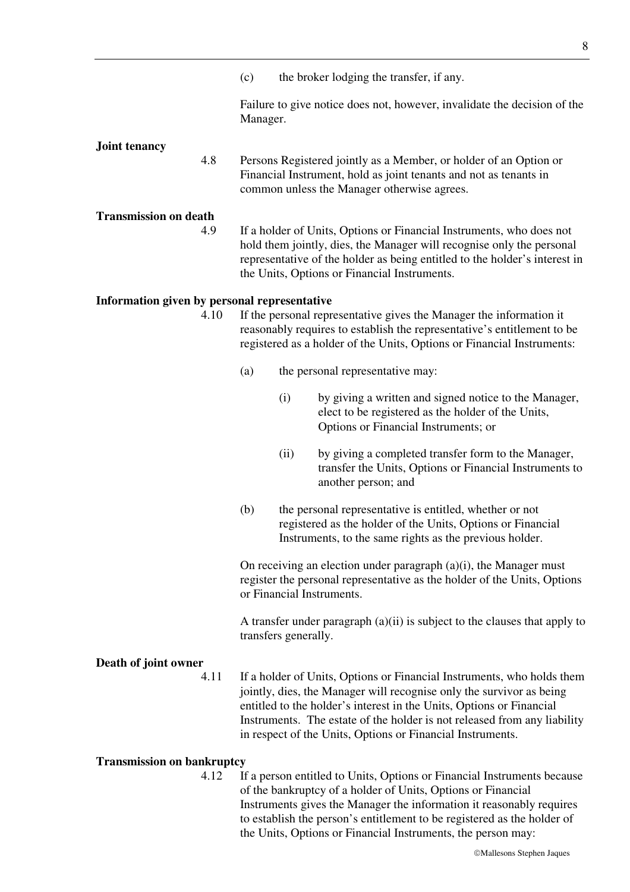(c) the broker lodging the transfer, if any.

Failure to give notice does not, however, invalidate the decision of the Manager.

#### **Joint tenancy**

4.8 Persons Registered jointly as a Member, or holder of an Option or Financial Instrument, hold as joint tenants and not as tenants in common unless the Manager otherwise agrees.

#### **Transmission on death**

4.9 If a holder of Units, Options or Financial Instruments, who does not hold them jointly, dies, the Manager will recognise only the personal representative of the holder as being entitled to the holder's interest in the Units, Options or Financial Instruments.

#### **Information given by personal representative**

- 4.10 If the personal representative gives the Manager the information it reasonably requires to establish the representative's entitlement to be registered as a holder of the Units, Options or Financial Instruments:
	- (a) the personal representative may:
		- (i) by giving a written and signed notice to the Manager, elect to be registered as the holder of the Units, Options or Financial Instruments; or
		- (ii) by giving a completed transfer form to the Manager, transfer the Units, Options or Financial Instruments to another person; and
	- (b) the personal representative is entitled, whether or not registered as the holder of the Units, Options or Financial Instruments, to the same rights as the previous holder.

On receiving an election under paragraph  $(a)(i)$ , the Manager must register the personal representative as the holder of the Units, Options or Financial Instruments.

A transfer under paragraph (a)(ii) is subject to the clauses that apply to transfers generally.

#### **Death of joint owner**

4.11 If a holder of Units, Options or Financial Instruments, who holds them jointly, dies, the Manager will recognise only the survivor as being entitled to the holder's interest in the Units, Options or Financial Instruments. The estate of the holder is not released from any liability in respect of the Units, Options or Financial Instruments.

#### **Transmission on bankruptcy**

4.12 If a person entitled to Units, Options or Financial Instruments because of the bankruptcy of a holder of Units, Options or Financial Instruments gives the Manager the information it reasonably requires to establish the person's entitlement to be registered as the holder of the Units, Options or Financial Instruments, the person may: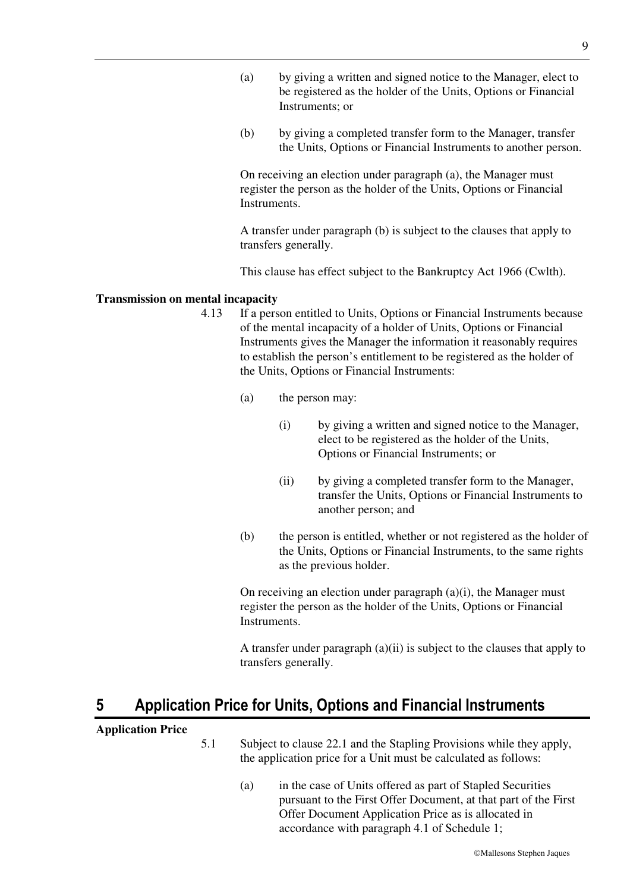- (a) by giving a written and signed notice to the Manager, elect to be registered as the holder of the Units, Options or Financial Instruments; or
- (b) by giving a completed transfer form to the Manager, transfer the Units, Options or Financial Instruments to another person.

On receiving an election under paragraph (a), the Manager must register the person as the holder of the Units, Options or Financial Instruments.

A transfer under paragraph (b) is subject to the clauses that apply to transfers generally.

This clause has effect subject to the Bankruptcy Act 1966 (Cwlth).

#### **Transmission on mental incapacity**

- 4.13 If a person entitled to Units, Options or Financial Instruments because of the mental incapacity of a holder of Units, Options or Financial Instruments gives the Manager the information it reasonably requires to establish the person's entitlement to be registered as the holder of the Units, Options or Financial Instruments:
	- (a) the person may:
		- (i) by giving a written and signed notice to the Manager, elect to be registered as the holder of the Units, Options or Financial Instruments; or
		- (ii) by giving a completed transfer form to the Manager, transfer the Units, Options or Financial Instruments to another person; and
	- (b) the person is entitled, whether or not registered as the holder of the Units, Options or Financial Instruments, to the same rights as the previous holder.

On receiving an election under paragraph (a)(i), the Manager must register the person as the holder of the Units, Options or Financial Instruments.

A transfer under paragraph (a)(ii) is subject to the clauses that apply to transfers generally.

### **5 Application Price for Units, Options and Financial Instruments**

#### **Application Price**

- 5.1 Subject to clause 22.1 and the Stapling Provisions while they apply, the application price for a Unit must be calculated as follows:
	- (a) in the case of Units offered as part of Stapled Securities pursuant to the First Offer Document, at that part of the First Offer Document Application Price as is allocated in accordance with paragraph 4.1 of Schedule 1;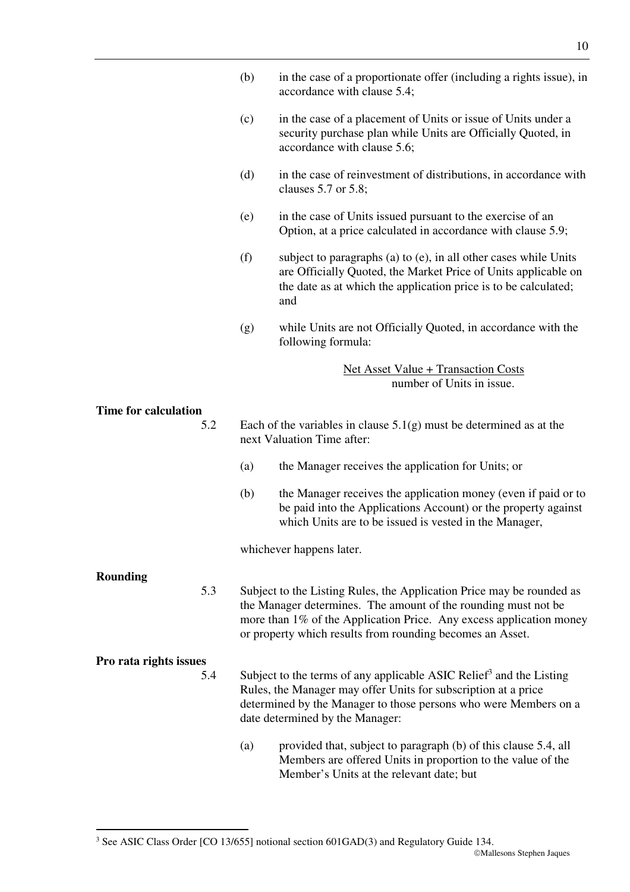- (b) in the case of a proportionate offer (including a rights issue), in accordance with clause 5.4;
- (c) in the case of a placement of Units or issue of Units under a security purchase plan while Units are Officially Quoted, in accordance with clause 5.6;
- (d) in the case of reinvestment of distributions, in accordance with clauses 5.7 or 5.8;
- (e) in the case of Units issued pursuant to the exercise of an Option, at a price calculated in accordance with clause 5.9;
- (f) subject to paragraphs (a) to (e), in all other cases while Units are Officially Quoted, the Market Price of Units applicable on the date as at which the application price is to be calculated; and
- (g) while Units are not Officially Quoted, in accordance with the following formula:

#### Net Asset Value + Transaction Costs number of Units in issue.

**Time for calculation**  5.2 Each of the variables in clause  $5.1(g)$  must be determined as at the next Valuation Time after: (a) the Manager receives the application for Units; or (b) the Manager receives the application money (even if paid or to be paid into the Applications Account) or the property against which Units are to be issued is vested in the Manager, whichever happens later. **Rounding**  5.3 Subject to the Listing Rules, the Application Price may be rounded as the Manager determines. The amount of the rounding must not be more than 1% of the Application Price. Any excess application money or property which results from rounding becomes an Asset. **Pro rata rights issues**  5.4 Subject to the terms of any applicable ASIC Relief<sup>3</sup> and the Listing Rules, the Manager may offer Units for subscription at a price determined by the Manager to those persons who were Members on a date determined by the Manager: (a) provided that, subject to paragraph (b) of this clause 5.4, all Members are offered Units in proportion to the value of the Member's Units at the relevant date; but

-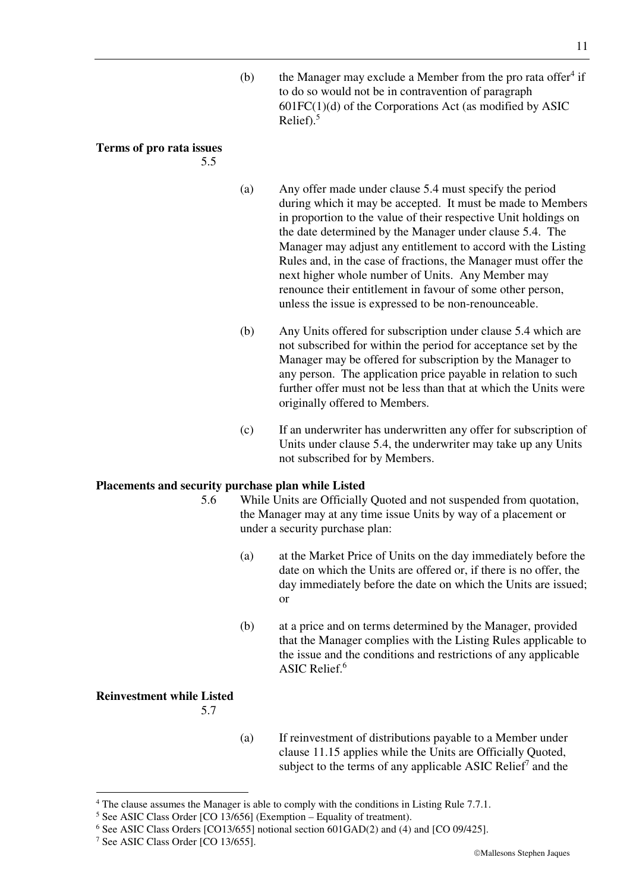(b) the Manager may exclude a Member from the pro rata offer $4$  if to do so would not be in contravention of paragraph  $601FC(1)(d)$  of the Corporations Act (as modified by ASIC Relief). $5$ 

#### **Terms of pro rata issues**

5.5

- (a) Any offer made under clause 5.4 must specify the period during which it may be accepted. It must be made to Members in proportion to the value of their respective Unit holdings on the date determined by the Manager under clause 5.4. The Manager may adjust any entitlement to accord with the Listing Rules and, in the case of fractions, the Manager must offer the next higher whole number of Units. Any Member may renounce their entitlement in favour of some other person, unless the issue is expressed to be non-renounceable.
- (b) Any Units offered for subscription under clause 5.4 which are not subscribed for within the period for acceptance set by the Manager may be offered for subscription by the Manager to any person. The application price payable in relation to such further offer must not be less than that at which the Units were originally offered to Members.
- (c) If an underwriter has underwritten any offer for subscription of Units under clause 5.4, the underwriter may take up any Units not subscribed for by Members.

#### **Placements and security purchase plan while Listed**

- 5.6 While Units are Officially Quoted and not suspended from quotation, the Manager may at any time issue Units by way of a placement or under a security purchase plan:
	- (a) at the Market Price of Units on the day immediately before the date on which the Units are offered or, if there is no offer, the day immediately before the date on which the Units are issued; or
	- (b) at a price and on terms determined by the Manager, provided that the Manager complies with the Listing Rules applicable to the issue and the conditions and restrictions of any applicable ASIC Relief.<sup>6</sup>

#### **Reinvestment while Listed**

-

5.7

(a) If reinvestment of distributions payable to a Member under clause 11.15 applies while the Units are Officially Quoted, subject to the terms of any applicable ASIC Relief<sup>7</sup> and the

<sup>&</sup>lt;sup>4</sup> The clause assumes the Manager is able to comply with the conditions in Listing Rule 7.7.1.

 $<sup>5</sup>$  See ASIC Class Order [CO 13/656] (Exemption – Equality of treatment).</sup>

<sup>&</sup>lt;sup>6</sup> See ASIC Class Orders [CO13/655] notional section 601GAD(2) and (4) and [CO 09/425].

<sup>7</sup> See ASIC Class Order [CO 13/655].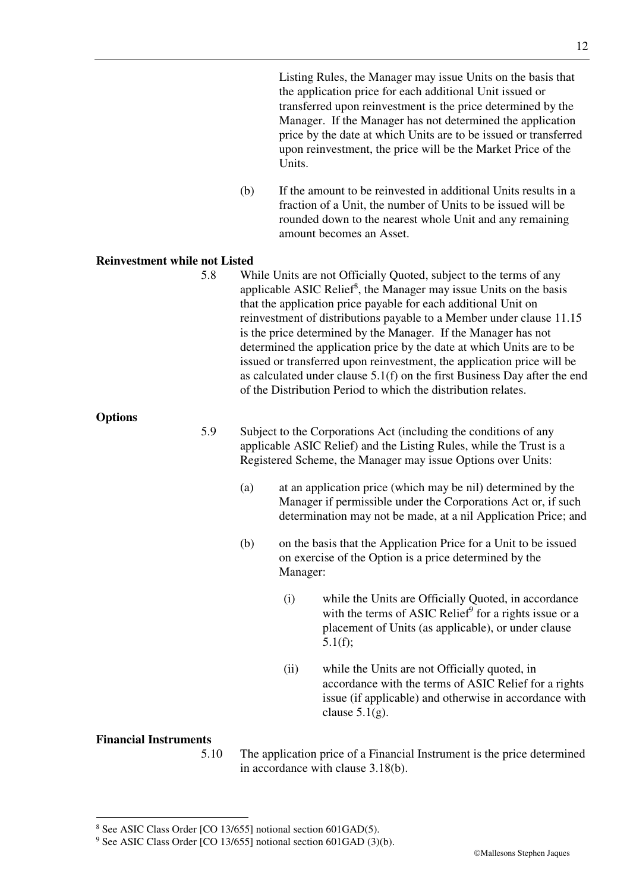Listing Rules, the Manager may issue Units on the basis that the application price for each additional Unit issued or transferred upon reinvestment is the price determined by the Manager. If the Manager has not determined the application price by the date at which Units are to be issued or transferred upon reinvestment, the price will be the Market Price of the Units.

(b) If the amount to be reinvested in additional Units results in a fraction of a Unit, the number of Units to be issued will be rounded down to the nearest whole Unit and any remaining amount becomes an Asset.

#### **Reinvestment while not Listed**

5.8 While Units are not Officially Quoted, subject to the terms of any applicable ASIC Relief<sup>8</sup>, the Manager may issue Units on the basis that the application price payable for each additional Unit on reinvestment of distributions payable to a Member under clause 11.15 is the price determined by the Manager. If the Manager has not determined the application price by the date at which Units are to be issued or transferred upon reinvestment, the application price will be as calculated under clause 5.1(f) on the first Business Day after the end of the Distribution Period to which the distribution relates.

**Options** 

- 5.9 Subject to the Corporations Act (including the conditions of any applicable ASIC Relief) and the Listing Rules, while the Trust is a Registered Scheme, the Manager may issue Options over Units:
	- (a) at an application price (which may be nil) determined by the Manager if permissible under the Corporations Act or, if such determination may not be made, at a nil Application Price; and
	- (b) on the basis that the Application Price for a Unit to be issued on exercise of the Option is a price determined by the Manager:
		- (i) while the Units are Officially Quoted, in accordance with the terms of ASIC Relief $\degree$  for a rights issue or a placement of Units (as applicable), or under clause 5.1(f);
		- (ii) while the Units are not Officially quoted, in accordance with the terms of ASIC Relief for a rights issue (if applicable) and otherwise in accordance with clause  $5.1(g)$ .

#### **Financial Instruments**

-

5.10 The application price of a Financial Instrument is the price determined in accordance with clause 3.18(b).

<sup>8</sup> See ASIC Class Order [CO 13/655] notional section 601GAD(5).

<sup>&</sup>lt;sup>9</sup> See ASIC Class Order [CO 13/655] notional section 601GAD (3)(b).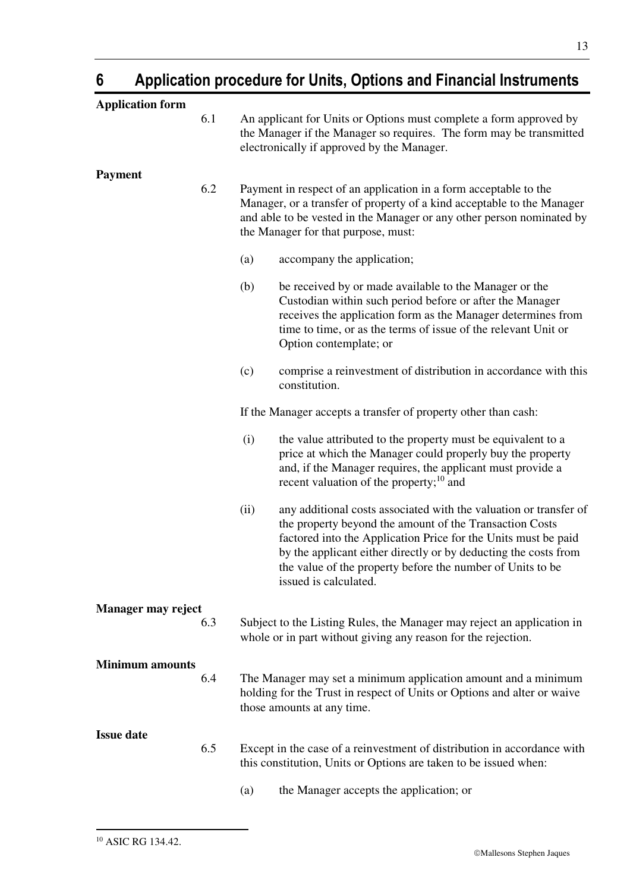### **6 Application procedure for Units, Options and Financial Instruments**

| <b>Application form</b>   |      |                                                                                                                                                                                                                                                                                                                                                          |
|---------------------------|------|----------------------------------------------------------------------------------------------------------------------------------------------------------------------------------------------------------------------------------------------------------------------------------------------------------------------------------------------------------|
| 6.1                       |      | An applicant for Units or Options must complete a form approved by<br>the Manager if the Manager so requires. The form may be transmitted<br>electronically if approved by the Manager.                                                                                                                                                                  |
| <b>Payment</b><br>6.2     |      | Payment in respect of an application in a form acceptable to the<br>Manager, or a transfer of property of a kind acceptable to the Manager<br>and able to be vested in the Manager or any other person nominated by<br>the Manager for that purpose, must:                                                                                               |
|                           | (a)  | accompany the application;                                                                                                                                                                                                                                                                                                                               |
|                           | (b)  | be received by or made available to the Manager or the<br>Custodian within such period before or after the Manager<br>receives the application form as the Manager determines from<br>time to time, or as the terms of issue of the relevant Unit or<br>Option contemplate; or                                                                           |
|                           | (c)  | comprise a reinvestment of distribution in accordance with this<br>constitution.                                                                                                                                                                                                                                                                         |
|                           |      | If the Manager accepts a transfer of property other than cash:                                                                                                                                                                                                                                                                                           |
|                           | (i)  | the value attributed to the property must be equivalent to a<br>price at which the Manager could properly buy the property<br>and, if the Manager requires, the applicant must provide a<br>recent valuation of the property; <sup>10</sup> and                                                                                                          |
|                           | (ii) | any additional costs associated with the valuation or transfer of<br>the property beyond the amount of the Transaction Costs<br>factored into the Application Price for the Units must be paid<br>by the applicant either directly or by deducting the costs from<br>the value of the property before the number of Units to be<br>issued is calculated. |
| Manager may reject<br>6.3 |      | Subject to the Listing Rules, the Manager may reject an application in<br>whole or in part without giving any reason for the rejection.                                                                                                                                                                                                                  |
| <b>Minimum amounts</b>    |      |                                                                                                                                                                                                                                                                                                                                                          |
| 6.4                       |      | The Manager may set a minimum application amount and a minimum<br>holding for the Trust in respect of Units or Options and alter or waive<br>those amounts at any time.                                                                                                                                                                                  |
| <b>Issue date</b>         |      |                                                                                                                                                                                                                                                                                                                                                          |
| 6.5                       |      | Except in the case of a reinvestment of distribution in accordance with<br>this constitution, Units or Options are taken to be issued when:                                                                                                                                                                                                              |
|                           | (a)  | the Manager accepts the application; or                                                                                                                                                                                                                                                                                                                  |

-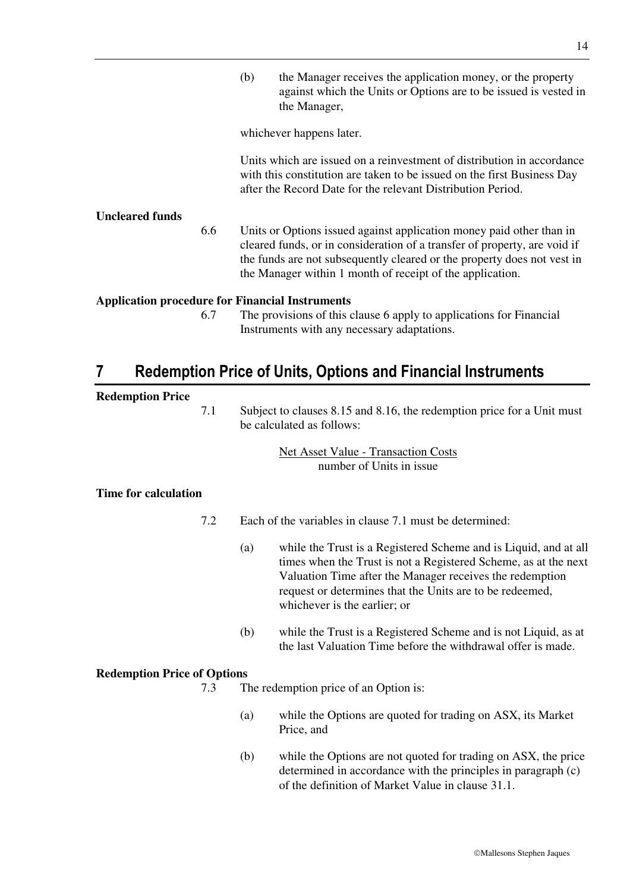(b) the Manager receives the application money, or the property against which the Units or Options are to be issued is vested in the Manager,

whichever happens later.

Units which are issued on a reinvestment of distribution in accordance with this constitution are taken to be issued on the first Business Day after the Record Date for the relevant Distribution Period.

#### **Uncleared funds**

6.6 Units or Options issued against application money paid other than in cleared funds, or in consideration of a transfer of property, are void if the funds are not subsequently cleared or the property does not vest in the Manager within 1 month of receipt of the application.

#### **Application procedure for Financial Instruments**

6.7 The provisions of this clause 6 apply to applications for Financial Instruments with any necessary adaptations.

### **7 Redemption Price of Units, Options and Financial Instruments**

#### **Redemption Price**

7.1 Subject to clauses 8.15 and 8.16, the redemption price for a Unit must be calculated as follows:

> Net Asset Value - Transaction Costs number of Units in issue

#### **Time for calculation**

7.2 Each of the variables in clause 7.1 must be determined:

- (a) while the Trust is a Registered Scheme and is Liquid, and at all times when the Trust is not a Registered Scheme, as at the next Valuation Time after the Manager receives the redemption request or determines that the Units are to be redeemed, whichever is the earlier; or
- (b) while the Trust is a Registered Scheme and is not Liquid, as at the last Valuation Time before the withdrawal offer is made.

#### **Redemption Price of Options**

7.3 The redemption price of an Option is:

- (a) while the Options are quoted for trading on ASX, its Market Price, and
- (b) while the Options are not quoted for trading on ASX, the price determined in accordance with the principles in paragraph (c) of the definition of Market Value in clause 31.1.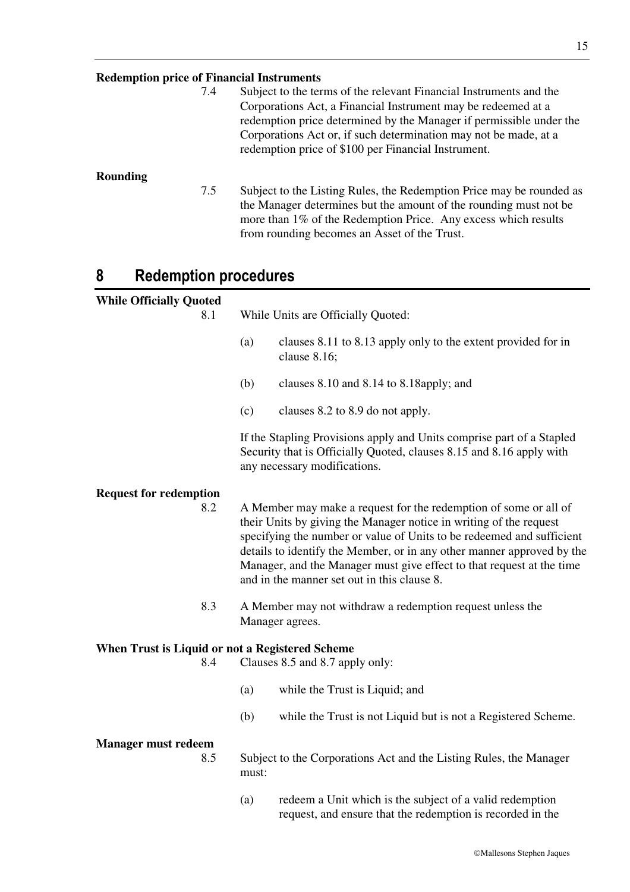**Redemption price of Financial Instruments**  7.4 Subject to the terms of the relevant Financial Instruments and the Corporations Act, a Financial Instrument may be redeemed at a redemption price determined by the Manager if permissible under the Corporations Act or, if such determination may not be made, at a redemption price of \$100 per Financial Instrument. **Rounding**  7.5 Subject to the Listing Rules, the Redemption Price may be rounded as the Manager determines but the amount of the rounding must not be more than 1% of the Redemption Price. Any excess which results from rounding becomes an Asset of the Trust.

### **8 Redemption procedures**

### **While Officially Quoted**

| <b>While Officially Quoted</b>                  |       |                                                                                                                                                                                                                                                                                                                                                                                                                   |
|-------------------------------------------------|-------|-------------------------------------------------------------------------------------------------------------------------------------------------------------------------------------------------------------------------------------------------------------------------------------------------------------------------------------------------------------------------------------------------------------------|
| 8.1                                             |       | While Units are Officially Quoted:                                                                                                                                                                                                                                                                                                                                                                                |
|                                                 | (a)   | clauses 8.11 to 8.13 apply only to the extent provided for in<br>clause 8.16;                                                                                                                                                                                                                                                                                                                                     |
|                                                 | (b)   | clauses 8.10 and 8.14 to 8.18 apply; and                                                                                                                                                                                                                                                                                                                                                                          |
|                                                 | (c)   | clauses 8.2 to 8.9 do not apply.                                                                                                                                                                                                                                                                                                                                                                                  |
|                                                 |       | If the Stapling Provisions apply and Units comprise part of a Stapled<br>Security that is Officially Quoted, clauses 8.15 and 8.16 apply with<br>any necessary modifications.                                                                                                                                                                                                                                     |
| <b>Request for redemption</b>                   |       |                                                                                                                                                                                                                                                                                                                                                                                                                   |
| 8.2                                             |       | A Member may make a request for the redemption of some or all of<br>their Units by giving the Manager notice in writing of the request<br>specifying the number or value of Units to be redeemed and sufficient<br>details to identify the Member, or in any other manner approved by the<br>Manager, and the Manager must give effect to that request at the time<br>and in the manner set out in this clause 8. |
| 8.3                                             |       | A Member may not withdraw a redemption request unless the<br>Manager agrees.                                                                                                                                                                                                                                                                                                                                      |
| When Trust is Liquid or not a Registered Scheme |       |                                                                                                                                                                                                                                                                                                                                                                                                                   |
| 8.4                                             |       | Clauses 8.5 and 8.7 apply only:                                                                                                                                                                                                                                                                                                                                                                                   |
|                                                 | (a)   | while the Trust is Liquid; and                                                                                                                                                                                                                                                                                                                                                                                    |
|                                                 | (b)   | while the Trust is not Liquid but is not a Registered Scheme.                                                                                                                                                                                                                                                                                                                                                     |
| <b>Manager must redeem</b><br>8.5               | must: | Subject to the Corporations Act and the Listing Rules, the Manager                                                                                                                                                                                                                                                                                                                                                |
|                                                 | (a)   | redeem a Unit which is the subject of a valid redemption<br>request, and ensure that the redemption is recorded in the                                                                                                                                                                                                                                                                                            |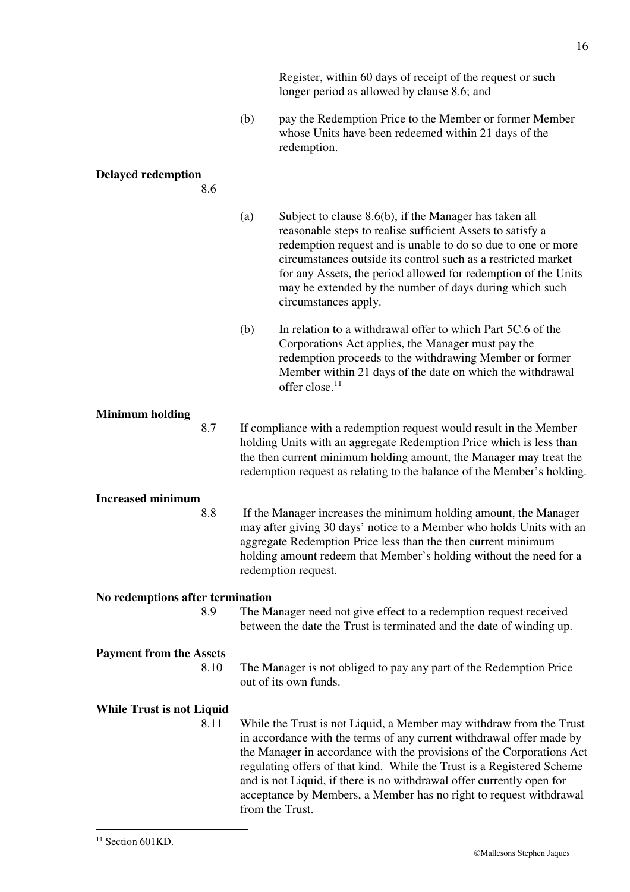Register, within 60 days of receipt of the request or such longer period as allowed by clause 8.6; and

(b) pay the Redemption Price to the Member or former Member whose Units have been redeemed within 21 days of the redemption.

#### **Delayed redemption**

8.6

(a) Subject to clause 8.6(b), if the Manager has taken all reasonable steps to realise sufficient Assets to satisfy a redemption request and is unable to do so due to one or more circumstances outside its control such as a restricted market for any Assets, the period allowed for redemption of the Units may be extended by the number of days during which such circumstances apply.

(b) In relation to a withdrawal offer to which Part 5C.6 of the Corporations Act applies, the Manager must pay the redemption proceeds to the withdrawing Member or former Member within 21 days of the date on which the withdrawal offer close.<sup>11</sup>

#### **Minimum holding**

8.7 If compliance with a redemption request would result in the Member holding Units with an aggregate Redemption Price which is less than the then current minimum holding amount, the Manager may treat the redemption request as relating to the balance of the Member's holding.

#### **Increased minimum**

8.8 If the Manager increases the minimum holding amount, the Manager may after giving 30 days' notice to a Member who holds Units with an aggregate Redemption Price less than the then current minimum holding amount redeem that Member's holding without the need for a redemption request.

#### **No redemptions after termination**

8.9 The Manager need not give effect to a redemption request received between the date the Trust is terminated and the date of winding up.

#### **Payment from the Assets**

8.10 The Manager is not obliged to pay any part of the Redemption Price out of its own funds.

#### **While Trust is not Liquid**

8.11 While the Trust is not Liquid, a Member may withdraw from the Trust in accordance with the terms of any current withdrawal offer made by the Manager in accordance with the provisions of the Corporations Act regulating offers of that kind. While the Trust is a Registered Scheme and is not Liquid, if there is no withdrawal offer currently open for acceptance by Members, a Member has no right to request withdrawal from the Trust.

16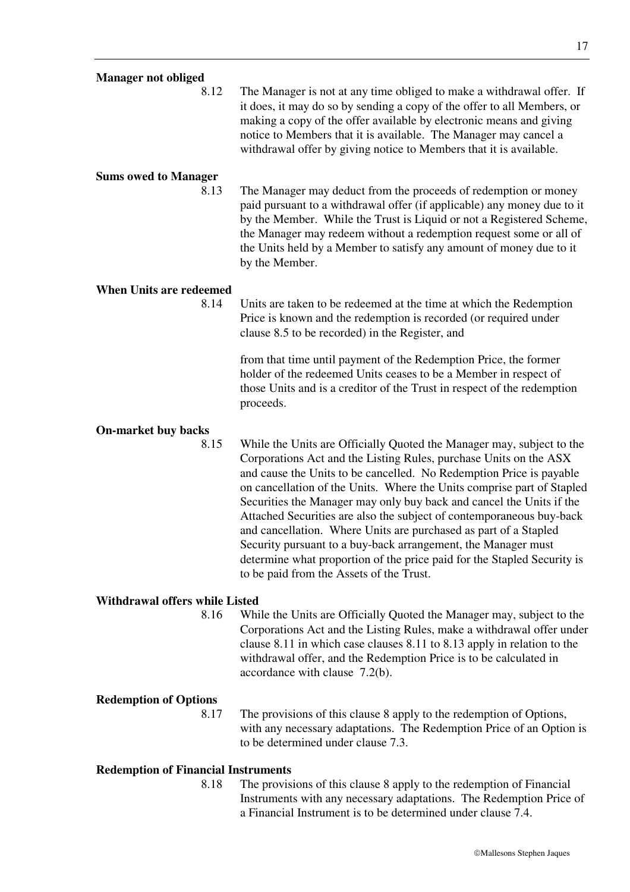8.12 The Manager is not at any time obliged to make a withdrawal offer. If it does, it may do so by sending a copy of the offer to all Members, or making a copy of the offer available by electronic means and giving notice to Members that it is available. The Manager may cancel a withdrawal offer by giving notice to Members that it is available.

#### **Sums owed to Manager**

8.13 The Manager may deduct from the proceeds of redemption or money paid pursuant to a withdrawal offer (if applicable) any money due to it by the Member. While the Trust is Liquid or not a Registered Scheme, the Manager may redeem without a redemption request some or all of the Units held by a Member to satisfy any amount of money due to it by the Member.

#### **When Units are redeemed**

8.14 Units are taken to be redeemed at the time at which the Redemption Price is known and the redemption is recorded (or required under clause 8.5 to be recorded) in the Register, and

> from that time until payment of the Redemption Price, the former holder of the redeemed Units ceases to be a Member in respect of those Units and is a creditor of the Trust in respect of the redemption proceeds.

#### **On-market buy backs**

8.15 While the Units are Officially Quoted the Manager may, subject to the Corporations Act and the Listing Rules, purchase Units on the ASX and cause the Units to be cancelled. No Redemption Price is payable on cancellation of the Units. Where the Units comprise part of Stapled Securities the Manager may only buy back and cancel the Units if the Attached Securities are also the subject of contemporaneous buy-back and cancellation. Where Units are purchased as part of a Stapled Security pursuant to a buy-back arrangement, the Manager must determine what proportion of the price paid for the Stapled Security is to be paid from the Assets of the Trust.

#### **Withdrawal offers while Listed**

8.16 While the Units are Officially Quoted the Manager may, subject to the Corporations Act and the Listing Rules, make a withdrawal offer under clause 8.11 in which case clauses 8.11 to 8.13 apply in relation to the withdrawal offer, and the Redemption Price is to be calculated in accordance with clause 7.2(b).

#### **Redemption of Options**

8.17 The provisions of this clause 8 apply to the redemption of Options, with any necessary adaptations. The Redemption Price of an Option is to be determined under clause 7.3.

#### **Redemption of Financial Instruments**

8.18 The provisions of this clause 8 apply to the redemption of Financial Instruments with any necessary adaptations. The Redemption Price of a Financial Instrument is to be determined under clause 7.4.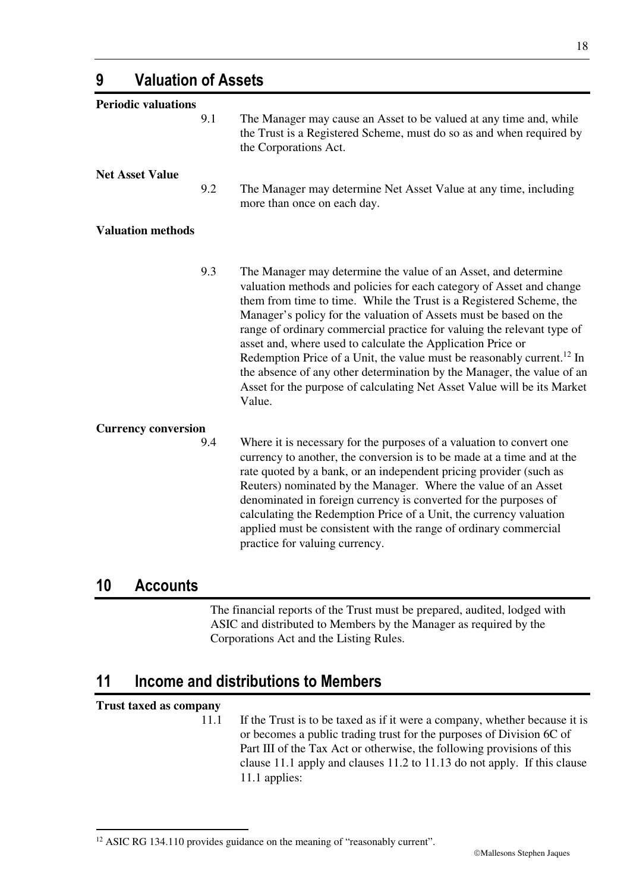**9 Valuation of Assets** 

**Periodic valuations** 

**Net Asset Value** 

**Valuation methods** 

9.3 The Manager may determine the value of an Asset, and determine valuation methods and policies for each category of Asset and change them from time to time. While the Trust is a Registered Scheme, the Manager's policy for the valuation of Assets must be based on the range of ordinary commercial practice for valuing the relevant type of asset and, where used to calculate the Application Price or Redemption Price of a Unit, the value must be reasonably current.<sup>12</sup> In the absence of any other determination by the Manager, the value of an Asset for the purpose of calculating Net Asset Value will be its Market Value.

9.1 The Manager may cause an Asset to be valued at any time and, while

9.2 The Manager may determine Net Asset Value at any time, including

the Corporations Act.

more than once on each day.

the Trust is a Registered Scheme, must do so as and when required by

#### **Currency conversion**

9.4 Where it is necessary for the purposes of a valuation to convert one currency to another, the conversion is to be made at a time and at the rate quoted by a bank, or an independent pricing provider (such as Reuters) nominated by the Manager. Where the value of an Asset denominated in foreign currency is converted for the purposes of calculating the Redemption Price of a Unit, the currency valuation applied must be consistent with the range of ordinary commercial practice for valuing currency.

#### **10 Accounts**

The financial reports of the Trust must be prepared, audited, lodged with ASIC and distributed to Members by the Manager as required by the Corporations Act and the Listing Rules.

### **11 Income and distributions to Members**

#### **Trust taxed as company**

-

11.1 If the Trust is to be taxed as if it were a company, whether because it is or becomes a public trading trust for the purposes of Division 6C of Part III of the Tax Act or otherwise, the following provisions of this clause 11.1 apply and clauses 11.2 to 11.13 do not apply. If this clause 11.1 applies:

<sup>&</sup>lt;sup>12</sup> ASIC RG 134.110 provides guidance on the meaning of "reasonably current".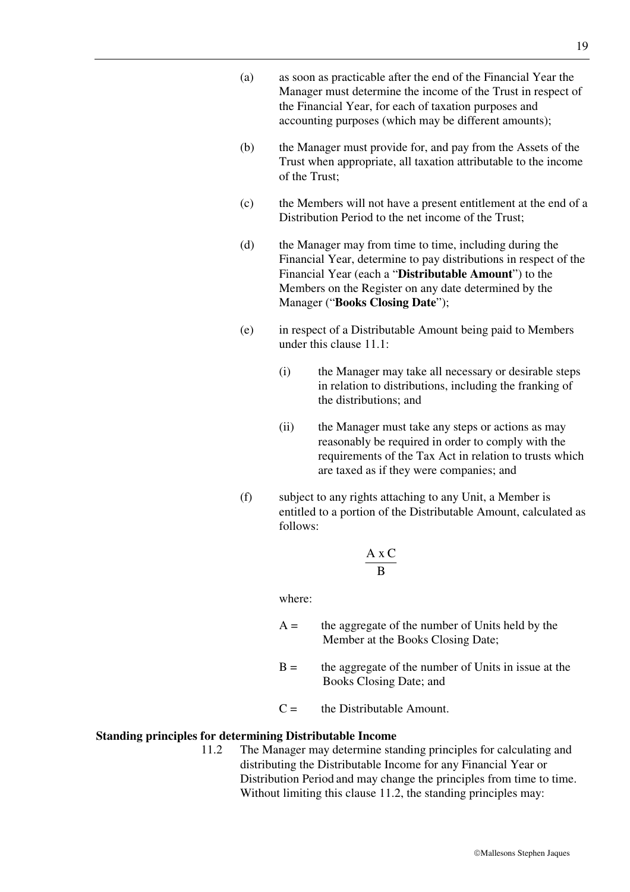- (a) as soon as practicable after the end of the Financial Year the Manager must determine the income of the Trust in respect of the Financial Year, for each of taxation purposes and accounting purposes (which may be different amounts);
- (b) the Manager must provide for, and pay from the Assets of the Trust when appropriate, all taxation attributable to the income of the Trust;
- (c) the Members will not have a present entitlement at the end of a Distribution Period to the net income of the Trust:
- (d) the Manager may from time to time, including during the Financial Year, determine to pay distributions in respect of the Financial Year (each a "**Distributable Amount**") to the Members on the Register on any date determined by the Manager ("**Books Closing Date**");
- (e) in respect of a Distributable Amount being paid to Members under this clause 11.1:
	- (i) the Manager may take all necessary or desirable steps in relation to distributions, including the franking of the distributions; and
	- (ii) the Manager must take any steps or actions as may reasonably be required in order to comply with the requirements of the Tax Act in relation to trusts which are taxed as if they were companies; and
- (f) subject to any rights attaching to any Unit, a Member is entitled to a portion of the Distributable Amount, calculated as follows:

$$
\frac{A \times C}{B}
$$

where:

- $A =$  the aggregate of the number of Units held by the Member at the Books Closing Date;
- $B =$  the aggregate of the number of Units in issue at the Books Closing Date; and
- $C =$  the Distributable Amount.

#### **Standing principles for determining Distributable Income**

11.2 The Manager may determine standing principles for calculating and distributing the Distributable Income for any Financial Year or Distribution Period and may change the principles from time to time. Without limiting this clause 11.2, the standing principles may: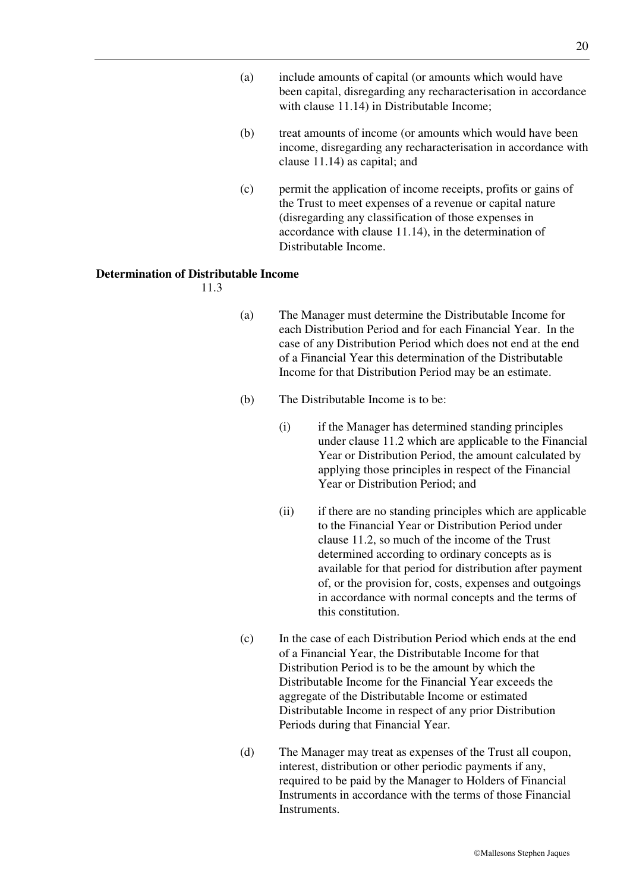- (a) include amounts of capital (or amounts which would have been capital, disregarding any recharacterisation in accordance with clause 11.14) in Distributable Income;
- (b) treat amounts of income (or amounts which would have been income, disregarding any recharacterisation in accordance with clause 11.14) as capital; and
- (c) permit the application of income receipts, profits or gains of the Trust to meet expenses of a revenue or capital nature (disregarding any classification of those expenses in accordance with clause 11.14), in the determination of Distributable Income.

#### **Determination of Distributable Income**

11.3

- (a) The Manager must determine the Distributable Income for each Distribution Period and for each Financial Year. In the case of any Distribution Period which does not end at the end of a Financial Year this determination of the Distributable Income for that Distribution Period may be an estimate.
- (b) The Distributable Income is to be:
	- (i) if the Manager has determined standing principles under clause 11.2 which are applicable to the Financial Year or Distribution Period, the amount calculated by applying those principles in respect of the Financial Year or Distribution Period; and
	- (ii) if there are no standing principles which are applicable to the Financial Year or Distribution Period under clause 11.2, so much of the income of the Trust determined according to ordinary concepts as is available for that period for distribution after payment of, or the provision for, costs, expenses and outgoings in accordance with normal concepts and the terms of this constitution.
- (c) In the case of each Distribution Period which ends at the end of a Financial Year, the Distributable Income for that Distribution Period is to be the amount by which the Distributable Income for the Financial Year exceeds the aggregate of the Distributable Income or estimated Distributable Income in respect of any prior Distribution Periods during that Financial Year.
- (d) The Manager may treat as expenses of the Trust all coupon, interest, distribution or other periodic payments if any, required to be paid by the Manager to Holders of Financial Instruments in accordance with the terms of those Financial **Instruments**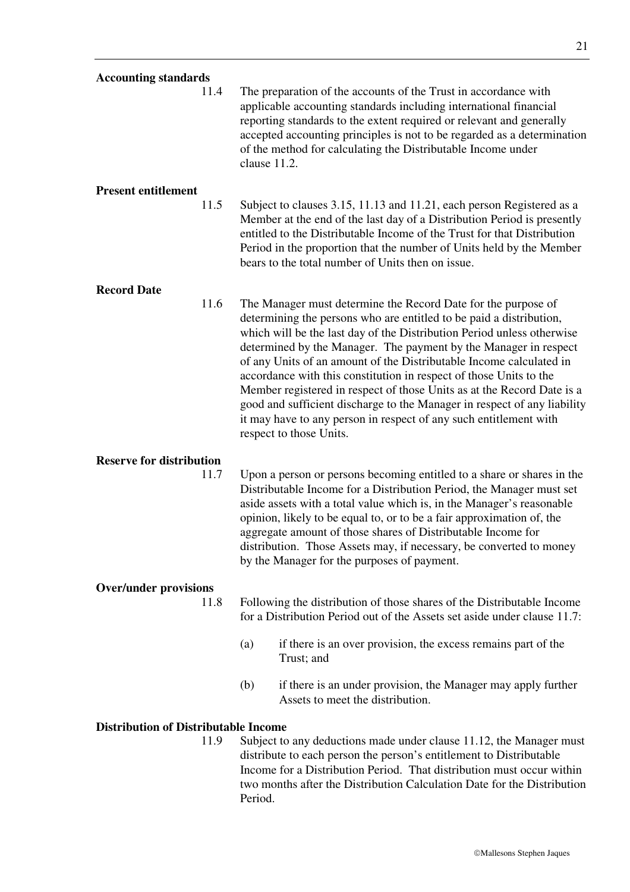| <b>Accounting standards</b>                 |                                                                                                                                                                                                                                                                                                                                                                                                                                                                                                                                                                                                                                                                                       |
|---------------------------------------------|---------------------------------------------------------------------------------------------------------------------------------------------------------------------------------------------------------------------------------------------------------------------------------------------------------------------------------------------------------------------------------------------------------------------------------------------------------------------------------------------------------------------------------------------------------------------------------------------------------------------------------------------------------------------------------------|
| 11.4                                        | The preparation of the accounts of the Trust in accordance with<br>applicable accounting standards including international financial<br>reporting standards to the extent required or relevant and generally<br>accepted accounting principles is not to be regarded as a determination<br>of the method for calculating the Distributable Income under<br>clause 11.2.                                                                                                                                                                                                                                                                                                               |
| <b>Present entitlement</b>                  |                                                                                                                                                                                                                                                                                                                                                                                                                                                                                                                                                                                                                                                                                       |
| 11.5                                        | Subject to clauses 3.15, 11.13 and 11.21, each person Registered as a<br>Member at the end of the last day of a Distribution Period is presently<br>entitled to the Distributable Income of the Trust for that Distribution<br>Period in the proportion that the number of Units held by the Member<br>bears to the total number of Units then on issue.                                                                                                                                                                                                                                                                                                                              |
| <b>Record Date</b>                          |                                                                                                                                                                                                                                                                                                                                                                                                                                                                                                                                                                                                                                                                                       |
| 11.6                                        | The Manager must determine the Record Date for the purpose of<br>determining the persons who are entitled to be paid a distribution,<br>which will be the last day of the Distribution Period unless otherwise<br>determined by the Manager. The payment by the Manager in respect<br>of any Units of an amount of the Distributable Income calculated in<br>accordance with this constitution in respect of those Units to the<br>Member registered in respect of those Units as at the Record Date is a<br>good and sufficient discharge to the Manager in respect of any liability<br>it may have to any person in respect of any such entitlement with<br>respect to those Units. |
| <b>Reserve for distribution</b>             |                                                                                                                                                                                                                                                                                                                                                                                                                                                                                                                                                                                                                                                                                       |
| 11.7                                        | Upon a person or persons becoming entitled to a share or shares in the<br>Distributable Income for a Distribution Period, the Manager must set<br>aside assets with a total value which is, in the Manager's reasonable<br>opinion, likely to be equal to, or to be a fair approximation of, the<br>aggregate amount of those shares of Distributable Income for<br>distribution. Those Assets may, if necessary, be converted to money<br>by the Manager for the purposes of payment.                                                                                                                                                                                                |
| <b>Over/under provisions</b>                |                                                                                                                                                                                                                                                                                                                                                                                                                                                                                                                                                                                                                                                                                       |
| 11.8                                        | Following the distribution of those shares of the Distributable Income<br>for a Distribution Period out of the Assets set aside under clause 11.7:                                                                                                                                                                                                                                                                                                                                                                                                                                                                                                                                    |
|                                             | (a)<br>if there is an over provision, the excess remains part of the<br>Trust; and                                                                                                                                                                                                                                                                                                                                                                                                                                                                                                                                                                                                    |
|                                             | (b)<br>if there is an under provision, the Manager may apply further<br>Assets to meet the distribution.                                                                                                                                                                                                                                                                                                                                                                                                                                                                                                                                                                              |
| <b>Distribution of Distributable Income</b> |                                                                                                                                                                                                                                                                                                                                                                                                                                                                                                                                                                                                                                                                                       |
| 11.9                                        | Subject to any deductions made under clause 11.12, the Manager must<br>distribute to each person the person's entitlement to Distributable<br>Income for a Distribution Period. That distribution must occur within<br>two months after the Distribution Calculation Date for the Distribution<br>Period.                                                                                                                                                                                                                                                                                                                                                                             |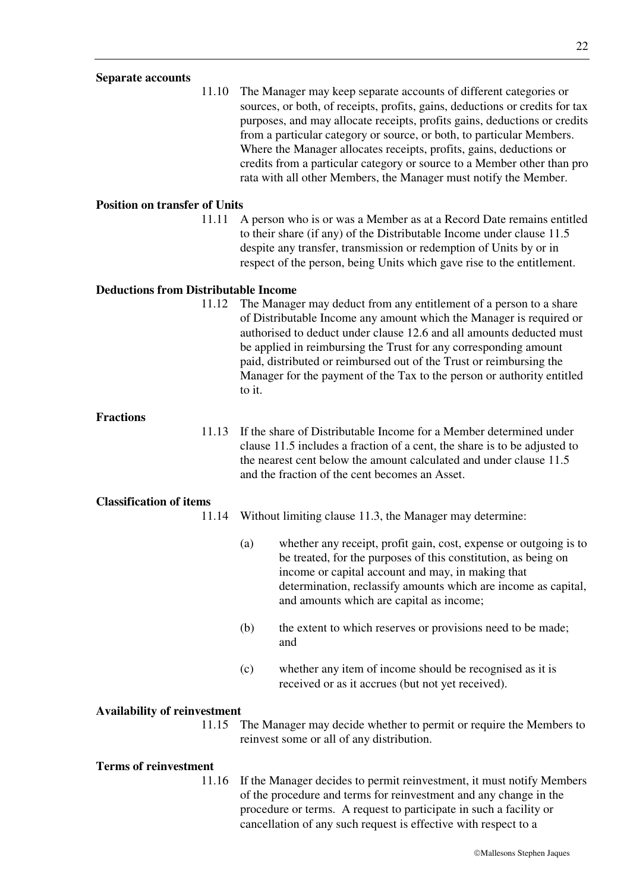#### **Separate accounts**

11.10 The Manager may keep separate accounts of different categories or sources, or both, of receipts, profits, gains, deductions or credits for tax purposes, and may allocate receipts, profits gains, deductions or credits from a particular category or source, or both, to particular Members. Where the Manager allocates receipts, profits, gains, deductions or credits from a particular category or source to a Member other than pro rata with all other Members, the Manager must notify the Member.

#### **Position on transfer of Units**

11.11 A person who is or was a Member as at a Record Date remains entitled to their share (if any) of the Distributable Income under clause 11.5 despite any transfer, transmission or redemption of Units by or in respect of the person, being Units which gave rise to the entitlement.

#### **Deductions from Distributable Income**

11.12 The Manager may deduct from any entitlement of a person to a share of Distributable Income any amount which the Manager is required or authorised to deduct under clause 12.6 and all amounts deducted must be applied in reimbursing the Trust for any corresponding amount paid, distributed or reimbursed out of the Trust or reimbursing the Manager for the payment of the Tax to the person or authority entitled to it.

#### **Fractions**

11.13 If the share of Distributable Income for a Member determined under clause 11.5 includes a fraction of a cent, the share is to be adjusted to the nearest cent below the amount calculated and under clause 11.5 and the fraction of the cent becomes an Asset.

#### **Classification of items**

- 11.14 Without limiting clause 11.3, the Manager may determine:
	- (a) whether any receipt, profit gain, cost, expense or outgoing is to be treated, for the purposes of this constitution, as being on income or capital account and may, in making that determination, reclassify amounts which are income as capital, and amounts which are capital as income;
	- (b) the extent to which reserves or provisions need to be made; and
	- (c) whether any item of income should be recognised as it is received or as it accrues (but not yet received).

#### **Availability of reinvestment**

11.15 The Manager may decide whether to permit or require the Members to reinvest some or all of any distribution.

#### **Terms of reinvestment**

11.16 If the Manager decides to permit reinvestment, it must notify Members of the procedure and terms for reinvestment and any change in the procedure or terms. A request to participate in such a facility or cancellation of any such request is effective with respect to a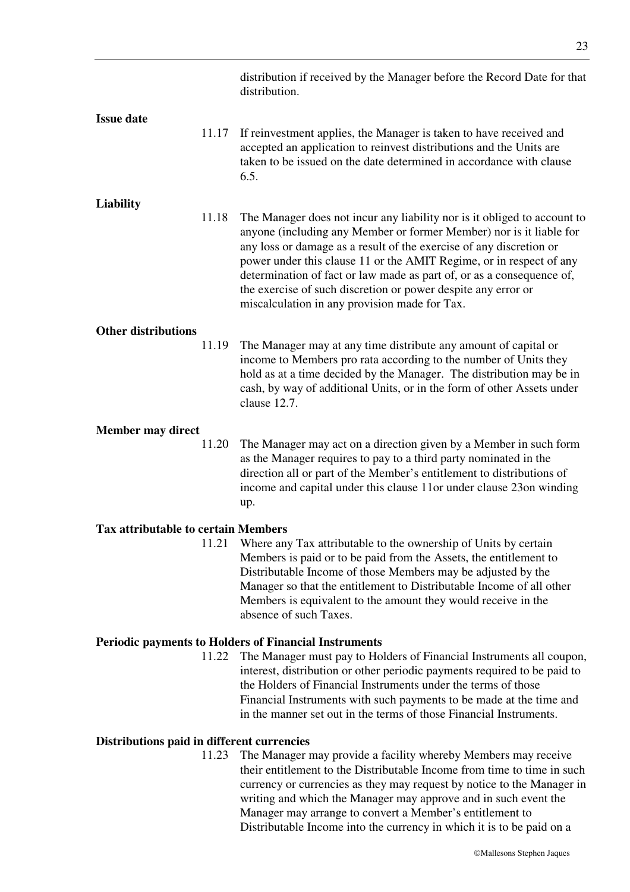|                                            |       | distribution if received by the Manager before the Record Date for that<br>distribution.                                                                                                                                                                                                                                                                                                                                                                                                 |
|--------------------------------------------|-------|------------------------------------------------------------------------------------------------------------------------------------------------------------------------------------------------------------------------------------------------------------------------------------------------------------------------------------------------------------------------------------------------------------------------------------------------------------------------------------------|
| <b>Issue date</b>                          | 11.17 | If reinvestment applies, the Manager is taken to have received and<br>accepted an application to reinvest distributions and the Units are<br>taken to be issued on the date determined in accordance with clause<br>6.5.                                                                                                                                                                                                                                                                 |
|                                            |       |                                                                                                                                                                                                                                                                                                                                                                                                                                                                                          |
| <b>Liability</b>                           | 11.18 | The Manager does not incur any liability nor is it obliged to account to<br>anyone (including any Member or former Member) nor is it liable for<br>any loss or damage as a result of the exercise of any discretion or<br>power under this clause 11 or the AMIT Regime, or in respect of any<br>determination of fact or law made as part of, or as a consequence of,<br>the exercise of such discretion or power despite any error or<br>miscalculation in any provision made for Tax. |
| <b>Other distributions</b>                 |       |                                                                                                                                                                                                                                                                                                                                                                                                                                                                                          |
|                                            | 11.19 | The Manager may at any time distribute any amount of capital or<br>income to Members pro rata according to the number of Units they<br>hold as at a time decided by the Manager. The distribution may be in<br>cash, by way of additional Units, or in the form of other Assets under<br>clause 12.7.                                                                                                                                                                                    |
| Member may direct                          |       |                                                                                                                                                                                                                                                                                                                                                                                                                                                                                          |
|                                            | 11.20 | The Manager may act on a direction given by a Member in such form<br>as the Manager requires to pay to a third party nominated in the<br>direction all or part of the Member's entitlement to distributions of<br>income and capital under this clause 11or under clause 23on winding<br>up.                                                                                                                                                                                             |
| <b>Tax attributable to certain Members</b> |       |                                                                                                                                                                                                                                                                                                                                                                                                                                                                                          |
|                                            | 11.21 | Where any Tax attributable to the ownership of Units by certain<br>Members is paid or to be paid from the Assets, the entitlement to<br>Distributable Income of those Members may be adjusted by the<br>Manager so that the entitlement to Distributable Income of all other<br>Members is equivalent to the amount they would receive in the<br>absence of such Taxes.                                                                                                                  |
|                                            |       | <b>Periodic payments to Holders of Financial Instruments</b>                                                                                                                                                                                                                                                                                                                                                                                                                             |
|                                            | 11.22 | The Manager must pay to Holders of Financial Instruments all coupon,<br>interest, distribution or other periodic payments required to be paid to<br>the Holders of Financial Instruments under the terms of those<br>Financial Instruments with such payments to be made at the time and<br>in the manner set out in the terms of those Financial Instruments.                                                                                                                           |
| Distributions paid in different currencies |       |                                                                                                                                                                                                                                                                                                                                                                                                                                                                                          |

11.23 The Manager may provide a facility whereby Members may receive their entitlement to the Distributable Income from time to time in such currency or currencies as they may request by notice to the Manager in writing and which the Manager may approve and in such event the Manager may arrange to convert a Member's entitlement to Distributable Income into the currency in which it is to be paid on a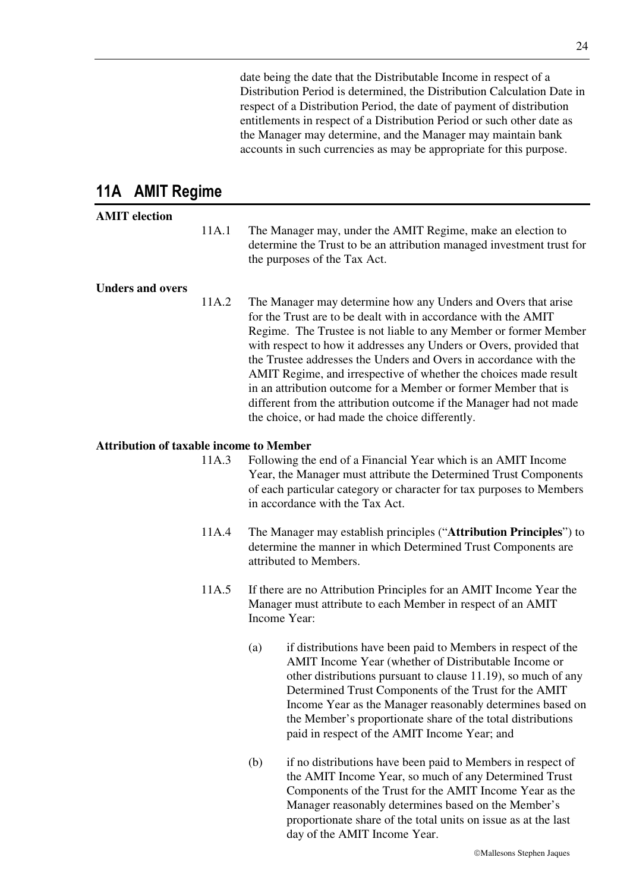date being the date that the Distributable Income in respect of a Distribution Period is determined, the Distribution Calculation Date in respect of a Distribution Period, the date of payment of distribution entitlements in respect of a Distribution Period or such other date as the Manager may determine, and the Manager may maintain bank accounts in such currencies as may be appropriate for this purpose.

### **11A AMIT Regime**

#### **AMIT election**

11A.1 The Manager may, under the AMIT Regime, make an election to determine the Trust to be an attribution managed investment trust for the purposes of the Tax Act.

#### **Unders and overs**

11A.2 The Manager may determine how any Unders and Overs that arise for the Trust are to be dealt with in accordance with the AMIT Regime. The Trustee is not liable to any Member or former Member with respect to how it addresses any Unders or Overs, provided that the Trustee addresses the Unders and Overs in accordance with the AMIT Regime, and irrespective of whether the choices made result in an attribution outcome for a Member or former Member that is different from the attribution outcome if the Manager had not made the choice, or had made the choice differently.

#### **Attribution of taxable income to Member**

- 11A.3 Following the end of a Financial Year which is an AMIT Income Year, the Manager must attribute the Determined Trust Components of each particular category or character for tax purposes to Members in accordance with the Tax Act.
- 11A.4 The Manager may establish principles ("**Attribution Principles**") to determine the manner in which Determined Trust Components are attributed to Members.
- 11A.5 If there are no Attribution Principles for an AMIT Income Year the Manager must attribute to each Member in respect of an AMIT Income Year:
	- (a) if distributions have been paid to Members in respect of the AMIT Income Year (whether of Distributable Income or other distributions pursuant to clause 11.19), so much of any Determined Trust Components of the Trust for the AMIT Income Year as the Manager reasonably determines based on the Member's proportionate share of the total distributions paid in respect of the AMIT Income Year; and
	- (b) if no distributions have been paid to Members in respect of the AMIT Income Year, so much of any Determined Trust Components of the Trust for the AMIT Income Year as the Manager reasonably determines based on the Member's proportionate share of the total units on issue as at the last day of the AMIT Income Year.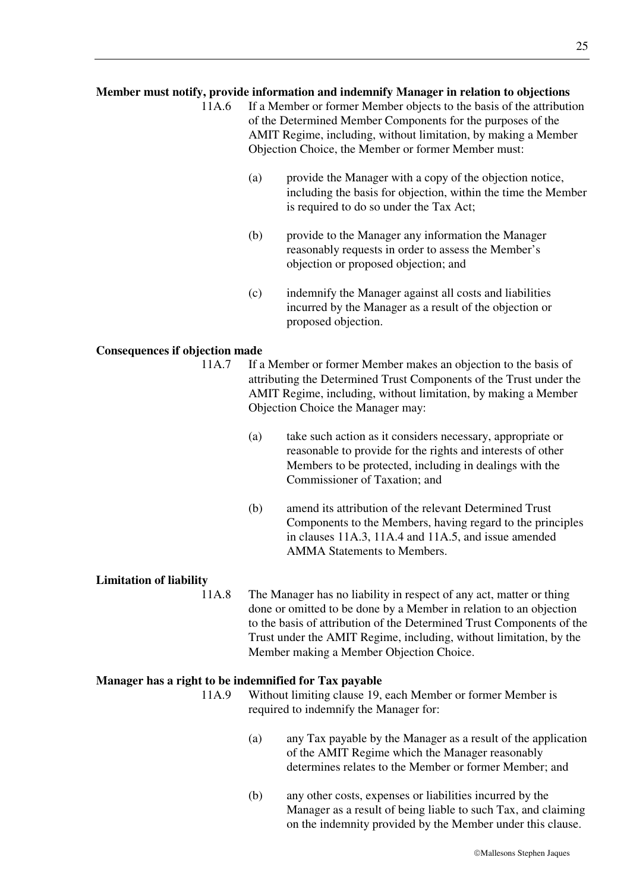#### **Member must notify, provide information and indemnify Manager in relation to objections**

- 11A.6 If a Member or former Member objects to the basis of the attribution of the Determined Member Components for the purposes of the AMIT Regime, including, without limitation, by making a Member Objection Choice, the Member or former Member must:
	- (a) provide the Manager with a copy of the objection notice, including the basis for objection, within the time the Member is required to do so under the Tax Act;
	- (b) provide to the Manager any information the Manager reasonably requests in order to assess the Member's objection or proposed objection; and
	- (c) indemnify the Manager against all costs and liabilities incurred by the Manager as a result of the objection or proposed objection.

#### **Consequences if objection made**

- 11A.7 If a Member or former Member makes an objection to the basis of attributing the Determined Trust Components of the Trust under the AMIT Regime, including, without limitation, by making a Member Objection Choice the Manager may:
	- (a) take such action as it considers necessary, appropriate or reasonable to provide for the rights and interests of other Members to be protected, including in dealings with the Commissioner of Taxation; and
	- (b) amend its attribution of the relevant Determined Trust Components to the Members, having regard to the principles in clauses 11A.3, 11A.4 and 11A.5, and issue amended AMMA Statements to Members.

#### **Limitation of liability**

11A.8 The Manager has no liability in respect of any act, matter or thing done or omitted to be done by a Member in relation to an objection to the basis of attribution of the Determined Trust Components of the Trust under the AMIT Regime, including, without limitation, by the Member making a Member Objection Choice.

#### **Manager has a right to be indemnified for Tax payable**

11A.9 Without limiting clause 19, each Member or former Member is required to indemnify the Manager for:

- (a) any Tax payable by the Manager as a result of the application of the AMIT Regime which the Manager reasonably determines relates to the Member or former Member; and
- (b) any other costs, expenses or liabilities incurred by the Manager as a result of being liable to such Tax, and claiming on the indemnity provided by the Member under this clause.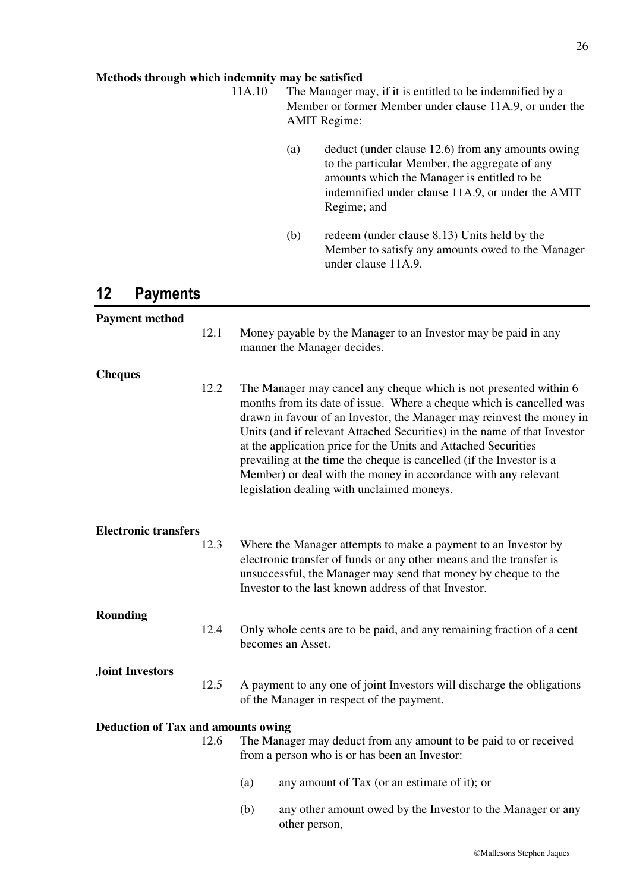#### **Methods through which indemnity may be satisfied**

11A.10 The Manager may, if it is entitled to be indemnified by a Member or former Member under clause 11A.9, or under the AMIT Regime:

- (a) deduct (under clause 12.6) from any amounts owing to the particular Member, the aggregate of any amounts which the Manager is entitled to be indemnified under clause 11A.9, or under the AMIT Regime; and
- (b) redeem (under clause 8.13) Units held by the Member to satisfy any amounts owed to the Manager under clause 11A.9.

### **12 Payments**

| <b>Payment method</b>                     |      |                                                                                                                                                                                                                                                                                                                                                                                                                                                                                                                                                          |
|-------------------------------------------|------|----------------------------------------------------------------------------------------------------------------------------------------------------------------------------------------------------------------------------------------------------------------------------------------------------------------------------------------------------------------------------------------------------------------------------------------------------------------------------------------------------------------------------------------------------------|
|                                           | 12.1 | Money payable by the Manager to an Investor may be paid in any<br>manner the Manager decides.                                                                                                                                                                                                                                                                                                                                                                                                                                                            |
| <b>Cheques</b>                            |      |                                                                                                                                                                                                                                                                                                                                                                                                                                                                                                                                                          |
|                                           | 12.2 | The Manager may cancel any cheque which is not presented within 6<br>months from its date of issue. Where a cheque which is cancelled was<br>drawn in favour of an Investor, the Manager may reinvest the money in<br>Units (and if relevant Attached Securities) in the name of that Investor<br>at the application price for the Units and Attached Securities<br>prevailing at the time the cheque is cancelled (if the Investor is a<br>Member) or deal with the money in accordance with any relevant<br>legislation dealing with unclaimed moneys. |
| <b>Electronic transfers</b>               |      |                                                                                                                                                                                                                                                                                                                                                                                                                                                                                                                                                          |
|                                           | 12.3 | Where the Manager attempts to make a payment to an Investor by<br>electronic transfer of funds or any other means and the transfer is<br>unsuccessful, the Manager may send that money by cheque to the<br>Investor to the last known address of that Investor.                                                                                                                                                                                                                                                                                          |
| <b>Rounding</b>                           |      |                                                                                                                                                                                                                                                                                                                                                                                                                                                                                                                                                          |
|                                           | 12.4 | Only whole cents are to be paid, and any remaining fraction of a cent<br>becomes an Asset.                                                                                                                                                                                                                                                                                                                                                                                                                                                               |
| <b>Joint Investors</b>                    |      |                                                                                                                                                                                                                                                                                                                                                                                                                                                                                                                                                          |
|                                           | 12.5 | A payment to any one of joint Investors will discharge the obligations<br>of the Manager in respect of the payment.                                                                                                                                                                                                                                                                                                                                                                                                                                      |
| <b>Deduction of Tax and amounts owing</b> |      |                                                                                                                                                                                                                                                                                                                                                                                                                                                                                                                                                          |
|                                           | 12.6 | The Manager may deduct from any amount to be paid to or received<br>from a person who is or has been an Investor:                                                                                                                                                                                                                                                                                                                                                                                                                                        |
|                                           |      | (a)<br>any amount of Tax (or an estimate of it); or                                                                                                                                                                                                                                                                                                                                                                                                                                                                                                      |
|                                           |      | (b)<br>any other amount owed by the Investor to the Manager or any<br>other person,                                                                                                                                                                                                                                                                                                                                                                                                                                                                      |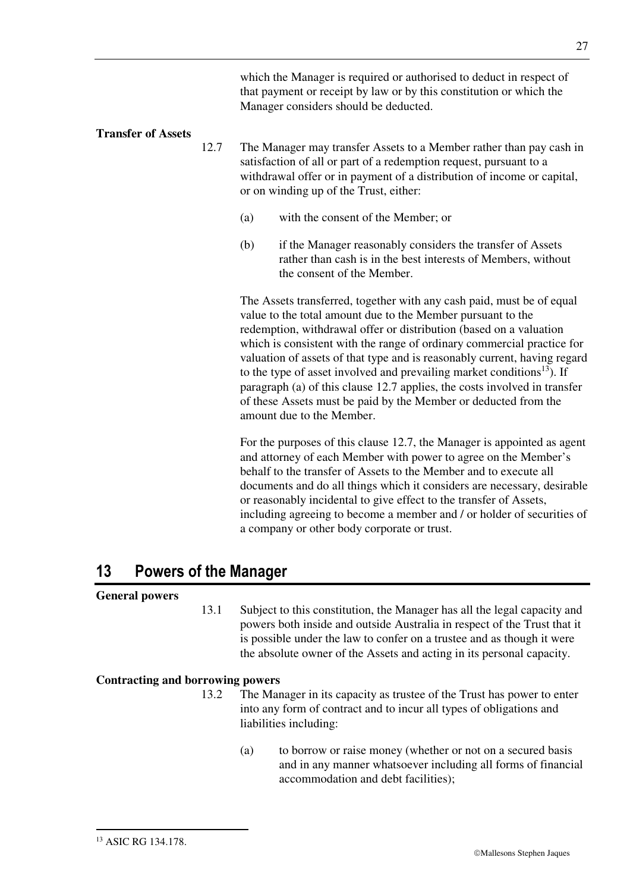which the Manager is required or authorised to deduct in respect of that payment or receipt by law or by this constitution or which the Manager considers should be deducted.

#### **Transfer of Assets**

- 12.7 The Manager may transfer Assets to a Member rather than pay cash in satisfaction of all or part of a redemption request, pursuant to a withdrawal offer or in payment of a distribution of income or capital, or on winding up of the Trust, either:
	- (a) with the consent of the Member; or
	- (b) if the Manager reasonably considers the transfer of Assets rather than cash is in the best interests of Members, without the consent of the Member.

The Assets transferred, together with any cash paid, must be of equal value to the total amount due to the Member pursuant to the redemption, withdrawal offer or distribution (based on a valuation which is consistent with the range of ordinary commercial practice for valuation of assets of that type and is reasonably current, having regard to the type of asset involved and prevailing market conditions<sup>13</sup>). If paragraph (a) of this clause 12.7 applies, the costs involved in transfer of these Assets must be paid by the Member or deducted from the amount due to the Member.

For the purposes of this clause 12.7, the Manager is appointed as agent and attorney of each Member with power to agree on the Member's behalf to the transfer of Assets to the Member and to execute all documents and do all things which it considers are necessary, desirable or reasonably incidental to give effect to the transfer of Assets, including agreeing to become a member and / or holder of securities of a company or other body corporate or trust.

### **13 Powers of the Manager**

#### **General powers**

13.1 Subject to this constitution, the Manager has all the legal capacity and powers both inside and outside Australia in respect of the Trust that it is possible under the law to confer on a trustee and as though it were the absolute owner of the Assets and acting in its personal capacity.

#### **Contracting and borrowing powers**

- 13.2 The Manager in its capacity as trustee of the Trust has power to enter into any form of contract and to incur all types of obligations and liabilities including:
	- (a) to borrow or raise money (whether or not on a secured basis and in any manner whatsoever including all forms of financial accommodation and debt facilities);

-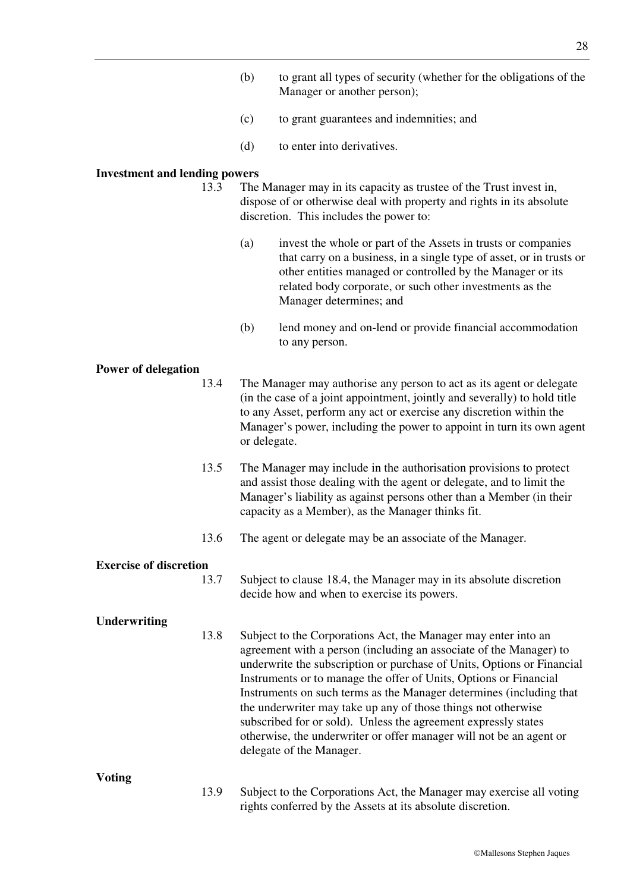- (b) to grant all types of security (whether for the obligations of the Manager or another person);
- (c) to grant guarantees and indemnities; and
- (d) to enter into derivatives.

#### **Investment and lending powers**

- 13.3 The Manager may in its capacity as trustee of the Trust invest in, dispose of or otherwise deal with property and rights in its absolute discretion. This includes the power to:
	- (a) invest the whole or part of the Assets in trusts or companies that carry on a business, in a single type of asset, or in trusts or other entities managed or controlled by the Manager or its related body corporate, or such other investments as the Manager determines; and
	- (b) lend money and on-lend or provide financial accommodation to any person.

#### **Power of delegation**

- 13.4 The Manager may authorise any person to act as its agent or delegate (in the case of a joint appointment, jointly and severally) to hold title to any Asset, perform any act or exercise any discretion within the Manager's power, including the power to appoint in turn its own agent or delegate.
- 13.5 The Manager may include in the authorisation provisions to protect and assist those dealing with the agent or delegate, and to limit the Manager's liability as against persons other than a Member (in their capacity as a Member), as the Manager thinks fit.
- 13.6 The agent or delegate may be an associate of the Manager.

#### **Exercise of discretion**

13.7 Subject to clause 18.4, the Manager may in its absolute discretion decide how and when to exercise its powers.

#### **Underwriting**

13.8 Subject to the Corporations Act, the Manager may enter into an agreement with a person (including an associate of the Manager) to underwrite the subscription or purchase of Units, Options or Financial Instruments or to manage the offer of Units, Options or Financial Instruments on such terms as the Manager determines (including that the underwriter may take up any of those things not otherwise subscribed for or sold). Unless the agreement expressly states otherwise, the underwriter or offer manager will not be an agent or delegate of the Manager.

#### **Voting**

13.9 Subject to the Corporations Act, the Manager may exercise all voting rights conferred by the Assets at its absolute discretion.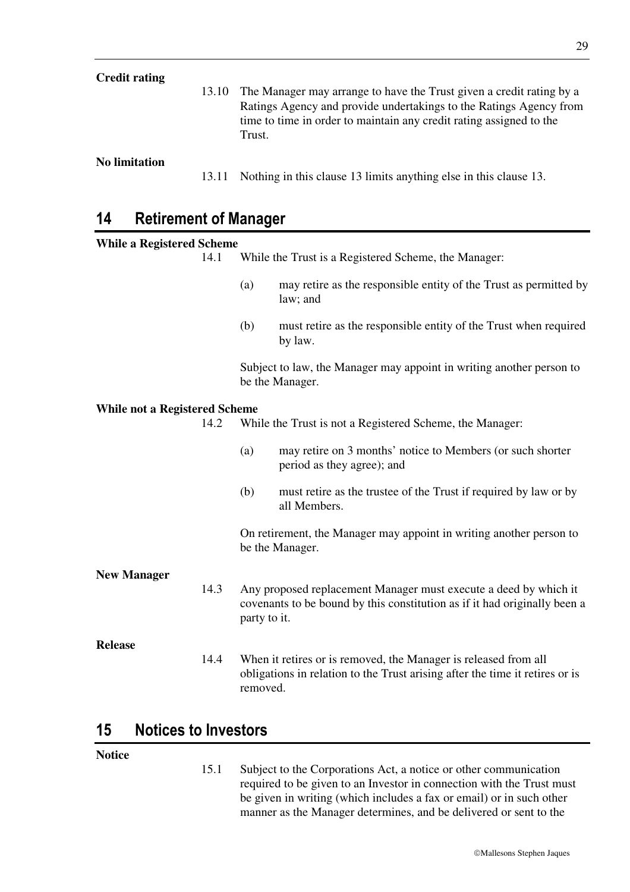| <b>Credit rating</b> | 13.10 | The Manager may arrange to have the Trust given a credit rating by a<br>Ratings Agency and provide undertakings to the Ratings Agency from<br>time to time in order to maintain any credit rating assigned to the<br>Trust. |
|----------------------|-------|-----------------------------------------------------------------------------------------------------------------------------------------------------------------------------------------------------------------------------|
| No limitation        | 13.11 | Nothing in this clause 13 limits anything else in this clause 13.                                                                                                                                                           |

### **14 Retirement of Manager**

| AMANIANI AL MANAÑAN                  |      |              |                                                                                                                                                 |
|--------------------------------------|------|--------------|-------------------------------------------------------------------------------------------------------------------------------------------------|
| <b>While a Registered Scheme</b>     |      |              |                                                                                                                                                 |
|                                      | 14.1 |              | While the Trust is a Registered Scheme, the Manager:                                                                                            |
|                                      |      | (a)          | may retire as the responsible entity of the Trust as permitted by<br>law; and                                                                   |
|                                      |      | (b)          | must retire as the responsible entity of the Trust when required<br>by law.                                                                     |
|                                      |      |              | Subject to law, the Manager may appoint in writing another person to<br>be the Manager.                                                         |
| <b>While not a Registered Scheme</b> |      |              |                                                                                                                                                 |
|                                      | 14.2 |              | While the Trust is not a Registered Scheme, the Manager:                                                                                        |
|                                      |      | (a)          | may retire on 3 months' notice to Members (or such shorter<br>period as they agree); and                                                        |
|                                      |      | (b)          | must retire as the trustee of the Trust if required by law or by<br>all Members.                                                                |
|                                      |      |              | On retirement, the Manager may appoint in writing another person to<br>be the Manager.                                                          |
| <b>New Manager</b>                   |      |              |                                                                                                                                                 |
|                                      | 14.3 | party to it. | Any proposed replacement Manager must execute a deed by which it<br>covenants to be bound by this constitution as if it had originally been a   |
| <b>Release</b>                       |      |              |                                                                                                                                                 |
|                                      | 14.4 | removed.     | When it retires or is removed, the Manager is released from all<br>obligations in relation to the Trust arising after the time it retires or is |
|                                      |      |              |                                                                                                                                                 |

### **15 Notices to Investors**

#### **Notice**

15.1 Subject to the Corporations Act, a notice or other communication required to be given to an Investor in connection with the Trust must be given in writing (which includes a fax or email) or in such other manner as the Manager determines, and be delivered or sent to the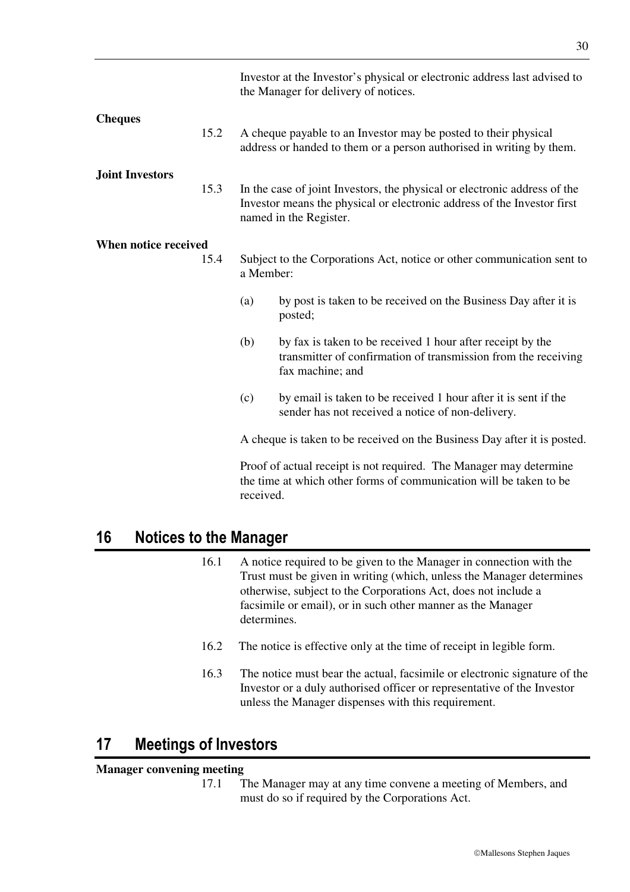|                        |      |                                                                                     | Investor at the Investor's physical or electronic address last advised to<br>the Manager for delivery of notices.                                                              |
|------------------------|------|-------------------------------------------------------------------------------------|--------------------------------------------------------------------------------------------------------------------------------------------------------------------------------|
| <b>Cheques</b>         | 15.2 |                                                                                     | A cheque payable to an Investor may be posted to their physical<br>address or handed to them or a person authorised in writing by them.                                        |
| <b>Joint Investors</b> | 15.3 |                                                                                     | In the case of joint Investors, the physical or electronic address of the<br>Investor means the physical or electronic address of the Investor first<br>named in the Register. |
| When notice received   | 15.4 | Subject to the Corporations Act, notice or other communication sent to<br>a Member: |                                                                                                                                                                                |
|                        |      | (a)                                                                                 | by post is taken to be received on the Business Day after it is<br>posted;                                                                                                     |
|                        |      | (b)                                                                                 | by fax is taken to be received 1 hour after receipt by the<br>transmitter of confirmation of transmission from the receiving<br>fax machine; and                               |
|                        |      | (c)                                                                                 | by email is taken to be received 1 hour after it is sent if the<br>sender has not received a notice of non-delivery.                                                           |
|                        |      |                                                                                     | A cheque is taken to be received on the Business Day after it is posted.                                                                                                       |
|                        |      | received.                                                                           | Proof of actual receipt is not required. The Manager may determine<br>the time at which other forms of communication will be taken to be                                       |

### **16 Notices to the Manager**

- 16.1 A notice required to be given to the Manager in connection with the Trust must be given in writing (which, unless the Manager determines otherwise, subject to the Corporations Act, does not include a facsimile or email), or in such other manner as the Manager determines.
- 16.2 The notice is effective only at the time of receipt in legible form.
- 16.3 The notice must bear the actual, facsimile or electronic signature of the Investor or a duly authorised officer or representative of the Investor unless the Manager dispenses with this requirement.

### **17 Meetings of Investors**

#### **Manager convening meeting**

17.1 The Manager may at any time convene a meeting of Members, and must do so if required by the Corporations Act.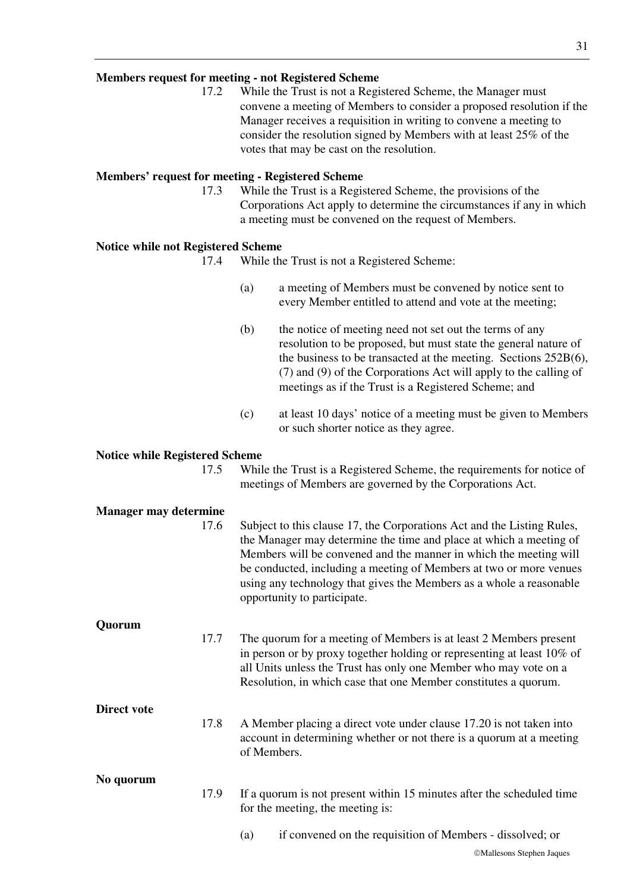#### **Members request for meeting - not Registered Scheme**

17.2 While the Trust is not a Registered Scheme, the Manager must convene a meeting of Members to consider a proposed resolution if the Manager receives a requisition in writing to convene a meeting to consider the resolution signed by Members with at least 25% of the votes that may be cast on the resolution.

#### **Members' request for meeting - Registered Scheme**

17.3 While the Trust is a Registered Scheme, the provisions of the Corporations Act apply to determine the circumstances if any in which a meeting must be convened on the request of Members.

#### **Notice while not Registered Scheme**

- 17.4 While the Trust is not a Registered Scheme:
	- (a) a meeting of Members must be convened by notice sent to every Member entitled to attend and vote at the meeting;
	- (b) the notice of meeting need not set out the terms of any resolution to be proposed, but must state the general nature of the business to be transacted at the meeting. Sections 252B(6), (7) and (9) of the Corporations Act will apply to the calling of meetings as if the Trust is a Registered Scheme; and
	- (c) at least 10 days' notice of a meeting must be given to Members or such shorter notice as they agree.

#### **Notice while Registered Scheme**

17.5 While the Trust is a Registered Scheme, the requirements for notice of meetings of Members are governed by the Corporations Act.

#### **Manager may determine**

|             | 17.6 | Subject to this clause 17, the Corporations Act and the Listing Rules,<br>the Manager may determine the time and place at which a meeting of<br>Members will be convened and the manner in which the meeting will<br>be conducted, including a meeting of Members at two or more venues<br>using any technology that gives the Members as a whole a reasonable<br>opportunity to participate. |
|-------------|------|-----------------------------------------------------------------------------------------------------------------------------------------------------------------------------------------------------------------------------------------------------------------------------------------------------------------------------------------------------------------------------------------------|
| Quorum      |      |                                                                                                                                                                                                                                                                                                                                                                                               |
|             | 17.7 | The quorum for a meeting of Members is at least 2 Members present<br>in person or by proxy together holding or representing at least 10% of<br>all Units unless the Trust has only one Member who may vote on a<br>Resolution, in which case that one Member constitutes a quorum.                                                                                                            |
| Direct vote |      |                                                                                                                                                                                                                                                                                                                                                                                               |
|             | 17.8 | A Member placing a direct vote under clause 17.20 is not taken into<br>account in determining whether or not there is a quorum at a meeting<br>of Members.                                                                                                                                                                                                                                    |
| No quorum   |      |                                                                                                                                                                                                                                                                                                                                                                                               |
|             | 17.9 | If a quorum is not present within 15 minutes after the scheduled time<br>for the meeting, the meeting is:                                                                                                                                                                                                                                                                                     |
|             |      | if convened on the requisition of Members - dissolved; or<br>(a)                                                                                                                                                                                                                                                                                                                              |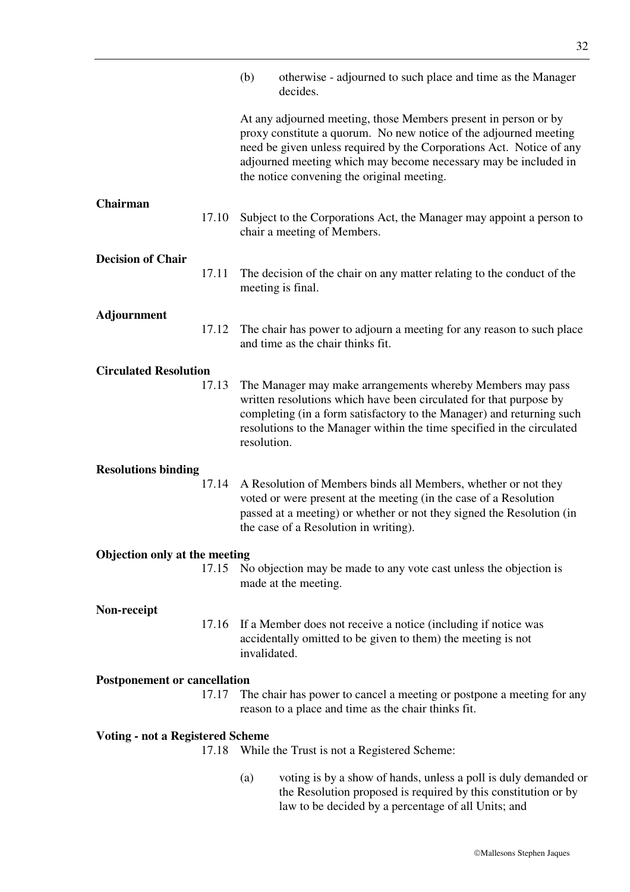|                                         |       | (b)                                                                                                                                            | otherwise - adjourned to such place and time as the Manager<br>decides.                                                                                                                                                                                                                                                       |
|-----------------------------------------|-------|------------------------------------------------------------------------------------------------------------------------------------------------|-------------------------------------------------------------------------------------------------------------------------------------------------------------------------------------------------------------------------------------------------------------------------------------------------------------------------------|
|                                         |       |                                                                                                                                                | At any adjourned meeting, those Members present in person or by<br>proxy constitute a quorum. No new notice of the adjourned meeting<br>need be given unless required by the Corporations Act. Notice of any<br>adjourned meeting which may become necessary may be included in<br>the notice convening the original meeting. |
| Chairman                                | 17.10 |                                                                                                                                                | Subject to the Corporations Act, the Manager may appoint a person to<br>chair a meeting of Members.                                                                                                                                                                                                                           |
|                                         |       |                                                                                                                                                |                                                                                                                                                                                                                                                                                                                               |
| <b>Decision of Chair</b>                | 17.11 |                                                                                                                                                | The decision of the chair on any matter relating to the conduct of the<br>meeting is final.                                                                                                                                                                                                                                   |
| Adjournment                             |       |                                                                                                                                                |                                                                                                                                                                                                                                                                                                                               |
|                                         | 17.12 |                                                                                                                                                | The chair has power to adjourn a meeting for any reason to such place<br>and time as the chair thinks fit.                                                                                                                                                                                                                    |
| <b>Circulated Resolution</b>            |       |                                                                                                                                                |                                                                                                                                                                                                                                                                                                                               |
|                                         | 17.13 | resolution.                                                                                                                                    | The Manager may make arrangements whereby Members may pass<br>written resolutions which have been circulated for that purpose by<br>completing (in a form satisfactory to the Manager) and returning such<br>resolutions to the Manager within the time specified in the circulated                                           |
| <b>Resolutions binding</b>              |       |                                                                                                                                                |                                                                                                                                                                                                                                                                                                                               |
|                                         | 17.14 |                                                                                                                                                | A Resolution of Members binds all Members, whether or not they<br>voted or were present at the meeting (in the case of a Resolution<br>passed at a meeting) or whether or not they signed the Resolution (in<br>the case of a Resolution in writing).                                                                         |
| <b>Objection only at the meeting</b>    |       |                                                                                                                                                |                                                                                                                                                                                                                                                                                                                               |
|                                         | 17.15 | No objection may be made to any vote cast unless the objection is<br>made at the meeting.                                                      |                                                                                                                                                                                                                                                                                                                               |
| Non-receipt                             |       |                                                                                                                                                |                                                                                                                                                                                                                                                                                                                               |
|                                         | 17.16 | If a Member does not receive a notice (including if notice was<br>accidentally omitted to be given to them) the meeting is not<br>invalidated. |                                                                                                                                                                                                                                                                                                                               |
| <b>Postponement or cancellation</b>     |       |                                                                                                                                                |                                                                                                                                                                                                                                                                                                                               |
|                                         | 17.17 |                                                                                                                                                | The chair has power to cancel a meeting or postpone a meeting for any<br>reason to a place and time as the chair thinks fit.                                                                                                                                                                                                  |
| <b>Voting - not a Registered Scheme</b> |       |                                                                                                                                                |                                                                                                                                                                                                                                                                                                                               |
|                                         | 17.18 | While the Trust is not a Registered Scheme:                                                                                                    |                                                                                                                                                                                                                                                                                                                               |
|                                         |       | (a)                                                                                                                                            | voting is by a show of hands, unless a poll is duly demanded or<br>the Resolution proposed is required by this constitution or by<br>law to be decided by a percentage of all Units; and                                                                                                                                      |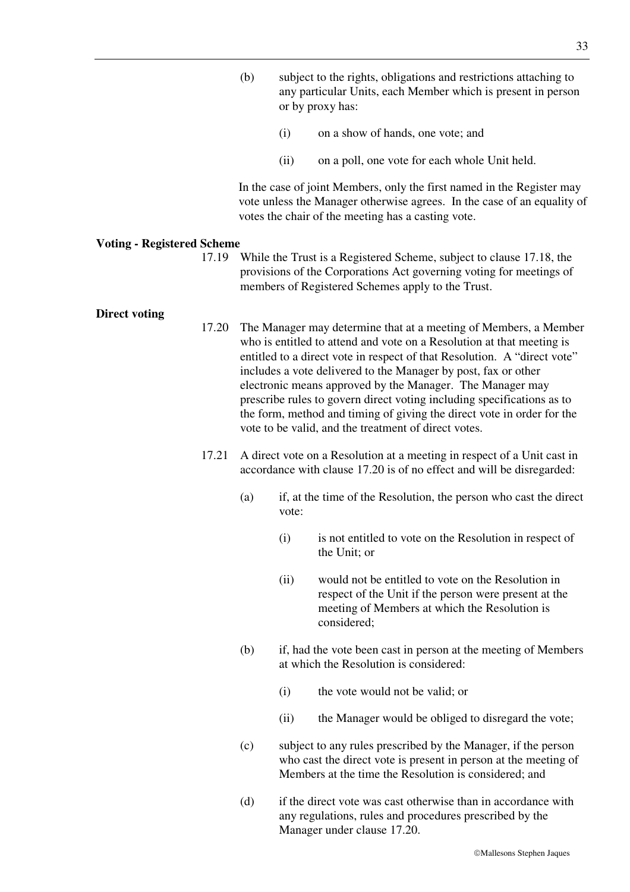- (b) subject to the rights, obligations and restrictions attaching to any particular Units, each Member which is present in person or by proxy has:
	- (i) on a show of hands, one vote; and
	- (ii) on a poll, one vote for each whole Unit held.

In the case of joint Members, only the first named in the Register may vote unless the Manager otherwise agrees. In the case of an equality of votes the chair of the meeting has a casting vote.

#### **Voting - Registered Scheme**

17.19 While the Trust is a Registered Scheme, subject to clause 17.18, the provisions of the Corporations Act governing voting for meetings of members of Registered Schemes apply to the Trust.

#### **Direct voting**

- 17.20 The Manager may determine that at a meeting of Members, a Member who is entitled to attend and vote on a Resolution at that meeting is entitled to a direct vote in respect of that Resolution. A "direct vote" includes a vote delivered to the Manager by post, fax or other electronic means approved by the Manager. The Manager may prescribe rules to govern direct voting including specifications as to the form, method and timing of giving the direct vote in order for the vote to be valid, and the treatment of direct votes.
	- 17.21 A direct vote on a Resolution at a meeting in respect of a Unit cast in accordance with clause 17.20 is of no effect and will be disregarded:
		- (a) if, at the time of the Resolution, the person who cast the direct vote:
			- (i) is not entitled to vote on the Resolution in respect of the Unit; or
			- (ii) would not be entitled to vote on the Resolution in respect of the Unit if the person were present at the meeting of Members at which the Resolution is considered;
		- (b) if, had the vote been cast in person at the meeting of Members at which the Resolution is considered:
			- (i) the vote would not be valid; or
			- (ii) the Manager would be obliged to disregard the vote;
		- (c) subject to any rules prescribed by the Manager, if the person who cast the direct vote is present in person at the meeting of Members at the time the Resolution is considered; and
		- (d) if the direct vote was cast otherwise than in accordance with any regulations, rules and procedures prescribed by the Manager under clause 17.20.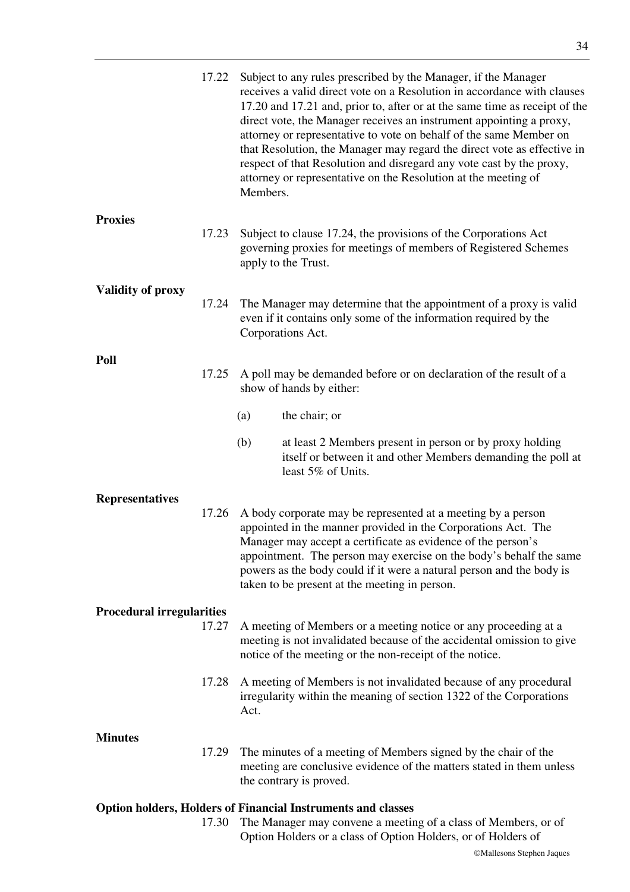|                                  | 17.22 | Subject to any rules prescribed by the Manager, if the Manager<br>receives a valid direct vote on a Resolution in accordance with clauses<br>17.20 and 17.21 and, prior to, after or at the same time as receipt of the<br>direct vote, the Manager receives an instrument appointing a proxy,<br>attorney or representative to vote on behalf of the same Member on<br>that Resolution, the Manager may regard the direct vote as effective in<br>respect of that Resolution and disregard any vote cast by the proxy,<br>attorney or representative on the Resolution at the meeting of<br>Members. |
|----------------------------------|-------|-------------------------------------------------------------------------------------------------------------------------------------------------------------------------------------------------------------------------------------------------------------------------------------------------------------------------------------------------------------------------------------------------------------------------------------------------------------------------------------------------------------------------------------------------------------------------------------------------------|
| <b>Proxies</b>                   | 17.23 | Subject to clause 17.24, the provisions of the Corporations Act<br>governing proxies for meetings of members of Registered Schemes<br>apply to the Trust.                                                                                                                                                                                                                                                                                                                                                                                                                                             |
| <b>Validity of proxy</b>         | 17.24 | The Manager may determine that the appointment of a proxy is valid<br>even if it contains only some of the information required by the<br>Corporations Act.                                                                                                                                                                                                                                                                                                                                                                                                                                           |
| Poll                             | 17.25 | A poll may be demanded before or on declaration of the result of a<br>show of hands by either:                                                                                                                                                                                                                                                                                                                                                                                                                                                                                                        |
|                                  |       | the chair; or<br>(a)                                                                                                                                                                                                                                                                                                                                                                                                                                                                                                                                                                                  |
|                                  |       | (b)<br>at least 2 Members present in person or by proxy holding<br>itself or between it and other Members demanding the poll at<br>least 5% of Units.                                                                                                                                                                                                                                                                                                                                                                                                                                                 |
| <b>Representatives</b>           | 17.26 | A body corporate may be represented at a meeting by a person<br>appointed in the manner provided in the Corporations Act. The<br>Manager may accept a certificate as evidence of the person's<br>appointment. The person may exercise on the body's behalf the same<br>powers as the body could if it were a natural person and the body is<br>taken to be present at the meeting in person.                                                                                                                                                                                                          |
| <b>Procedural irregularities</b> |       |                                                                                                                                                                                                                                                                                                                                                                                                                                                                                                                                                                                                       |
|                                  | 17.27 | A meeting of Members or a meeting notice or any proceeding at a<br>meeting is not invalidated because of the accidental omission to give<br>notice of the meeting or the non-receipt of the notice.                                                                                                                                                                                                                                                                                                                                                                                                   |
|                                  | 17.28 | A meeting of Members is not invalidated because of any procedural<br>irregularity within the meaning of section 1322 of the Corporations<br>Act.                                                                                                                                                                                                                                                                                                                                                                                                                                                      |
| <b>Minutes</b>                   | 17.29 | The minutes of a meeting of Members signed by the chair of the<br>meeting are conclusive evidence of the matters stated in them unless<br>the contrary is proved.                                                                                                                                                                                                                                                                                                                                                                                                                                     |
|                                  | 17.30 | <b>Option holders, Holders of Financial Instruments and classes</b><br>The Manager may convene a meeting of a class of Members, or of                                                                                                                                                                                                                                                                                                                                                                                                                                                                 |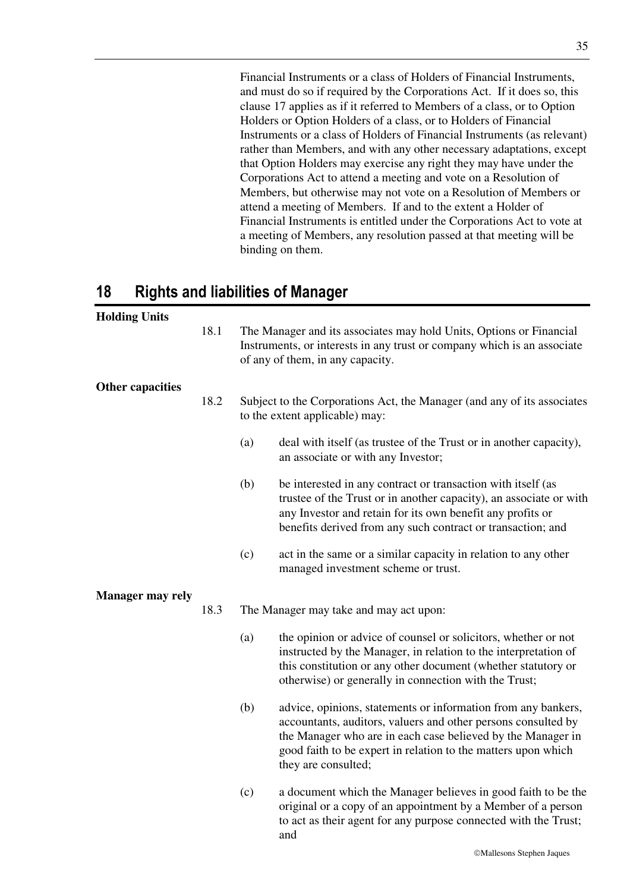Financial Instruments or a class of Holders of Financial Instruments, and must do so if required by the Corporations Act. If it does so, this clause 17 applies as if it referred to Members of a class, or to Option Holders or Option Holders of a class, or to Holders of Financial Instruments or a class of Holders of Financial Instruments (as relevant) rather than Members, and with any other necessary adaptations, except that Option Holders may exercise any right they may have under the Corporations Act to attend a meeting and vote on a Resolution of Members, but otherwise may not vote on a Resolution of Members or attend a meeting of Members. If and to the extent a Holder of Financial Instruments is entitled under the Corporations Act to vote at a meeting of Members, any resolution passed at that meeting will be binding on them.

# **18 Rights and liabilities of Manager**

# **Holding Units**

18.1 The Manager and its associates may hold Units, Options or Financial Instruments, or interests in any trust or company which is an associate of any of them, in any capacity.

### **Other capacities**

- 18.2 Subject to the Corporations Act, the Manager (and any of its associates to the extent applicable) may:
	- (a) deal with itself (as trustee of the Trust or in another capacity), an associate or with any Investor;
	- (b) be interested in any contract or transaction with itself (as trustee of the Trust or in another capacity), an associate or with any Investor and retain for its own benefit any profits or benefits derived from any such contract or transaction; and
	- (c) act in the same or a similar capacity in relation to any other managed investment scheme or trust.

### **Manager may rely**

- 18.3 The Manager may take and may act upon:
	- (a) the opinion or advice of counsel or solicitors, whether or not instructed by the Manager, in relation to the interpretation of this constitution or any other document (whether statutory or otherwise) or generally in connection with the Trust;
	- (b) advice, opinions, statements or information from any bankers, accountants, auditors, valuers and other persons consulted by the Manager who are in each case believed by the Manager in good faith to be expert in relation to the matters upon which they are consulted;
	- (c) a document which the Manager believes in good faith to be the original or a copy of an appointment by a Member of a person to act as their agent for any purpose connected with the Trust; and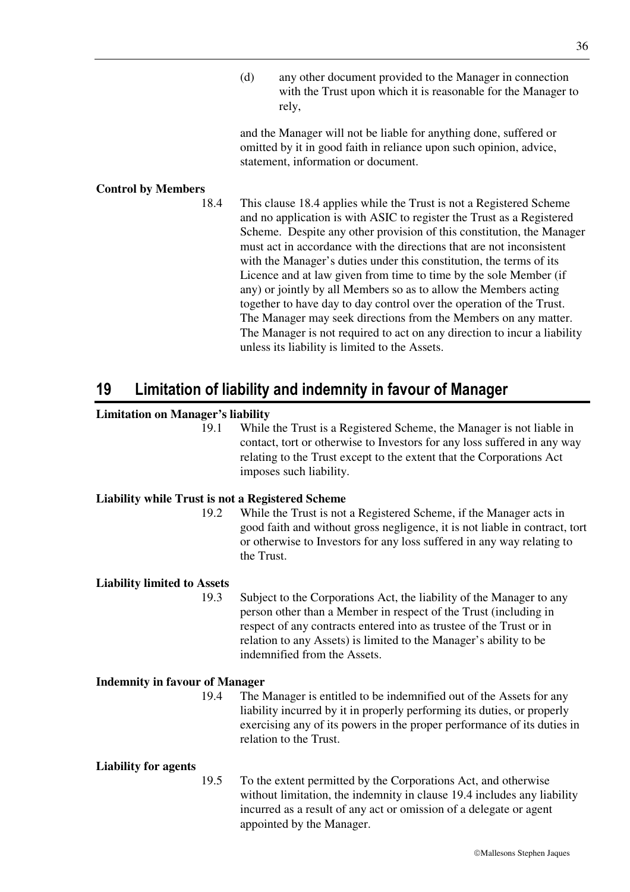(d) any other document provided to the Manager in connection with the Trust upon which it is reasonable for the Manager to rely,

and the Manager will not be liable for anything done, suffered or omitted by it in good faith in reliance upon such opinion, advice, statement, information or document.

### **Control by Members**

18.4 This clause 18.4 applies while the Trust is not a Registered Scheme and no application is with ASIC to register the Trust as a Registered Scheme. Despite any other provision of this constitution, the Manager must act in accordance with the directions that are not inconsistent with the Manager's duties under this constitution, the terms of its Licence and at law given from time to time by the sole Member (if any) or jointly by all Members so as to allow the Members acting together to have day to day control over the operation of the Trust. The Manager may seek directions from the Members on any matter. The Manager is not required to act on any direction to incur a liability unless its liability is limited to the Assets.

# **19 Limitation of liability and indemnity in favour of Manager**

### **Limitation on Manager's liability**

19.1 While the Trust is a Registered Scheme, the Manager is not liable in contact, tort or otherwise to Investors for any loss suffered in any way relating to the Trust except to the extent that the Corporations Act imposes such liability.

#### **Liability while Trust is not a Registered Scheme**

19.2 While the Trust is not a Registered Scheme, if the Manager acts in good faith and without gross negligence, it is not liable in contract, tort or otherwise to Investors for any loss suffered in any way relating to the Trust.

#### **Liability limited to Assets**

19.3 Subject to the Corporations Act, the liability of the Manager to any person other than a Member in respect of the Trust (including in respect of any contracts entered into as trustee of the Trust or in relation to any Assets) is limited to the Manager's ability to be indemnified from the Assets.

#### **Indemnity in favour of Manager**

19.4 The Manager is entitled to be indemnified out of the Assets for any liability incurred by it in properly performing its duties, or properly exercising any of its powers in the proper performance of its duties in relation to the Trust.

#### **Liability for agents**

19.5 To the extent permitted by the Corporations Act, and otherwise without limitation, the indemnity in clause 19.4 includes any liability incurred as a result of any act or omission of a delegate or agent appointed by the Manager.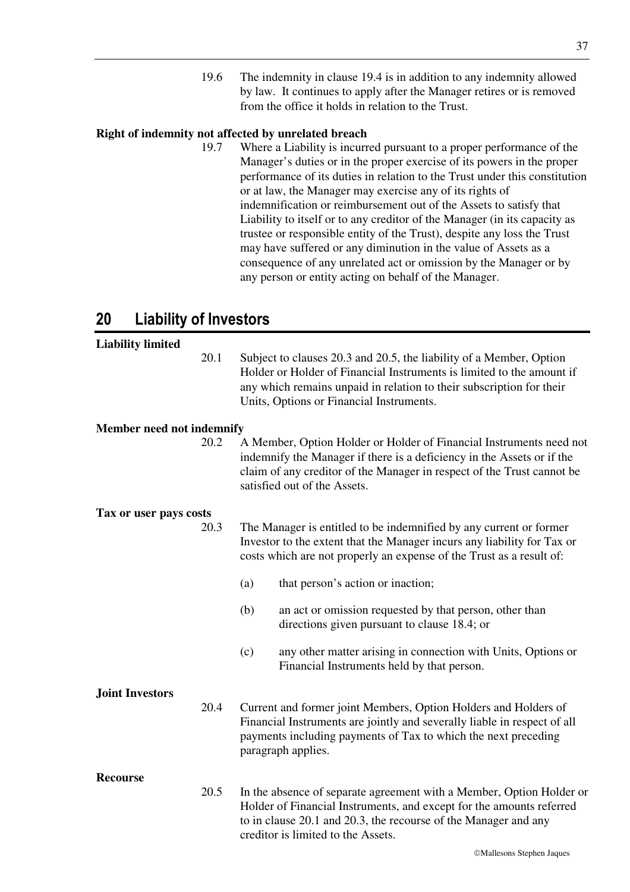19.6 The indemnity in clause 19.4 is in addition to any indemnity allowed by law. It continues to apply after the Manager retires or is removed from the office it holds in relation to the Trust.

## **Right of indemnity not affected by unrelated breach**

19.7 Where a Liability is incurred pursuant to a proper performance of the Manager's duties or in the proper exercise of its powers in the proper performance of its duties in relation to the Trust under this constitution or at law, the Manager may exercise any of its rights of indemnification or reimbursement out of the Assets to satisfy that Liability to itself or to any creditor of the Manager (in its capacity as trustee or responsible entity of the Trust), despite any loss the Trust may have suffered or any diminution in the value of Assets as a consequence of any unrelated act or omission by the Manager or by any person or entity acting on behalf of the Manager.

# **20 Liability of Investors**

# Mallesons Stephen Jaques **Liability limited**  20.1 Subject to clauses 20.3 and 20.5, the liability of a Member, Option Holder or Holder of Financial Instruments is limited to the amount if any which remains unpaid in relation to their subscription for their Units, Options or Financial Instruments. **Member need not indemnify**  20.2 A Member, Option Holder or Holder of Financial Instruments need not indemnify the Manager if there is a deficiency in the Assets or if the claim of any creditor of the Manager in respect of the Trust cannot be satisfied out of the Assets. **Tax or user pays costs**  20.3 The Manager is entitled to be indemnified by any current or former Investor to the extent that the Manager incurs any liability for Tax or costs which are not properly an expense of the Trust as a result of: (a) that person's action or inaction; (b) an act or omission requested by that person, other than directions given pursuant to clause 18.4; or (c) any other matter arising in connection with Units, Options or Financial Instruments held by that person. **Joint Investors**  20.4 Current and former joint Members, Option Holders and Holders of Financial Instruments are jointly and severally liable in respect of all payments including payments of Tax to which the next preceding paragraph applies. **Recourse**  20.5 In the absence of separate agreement with a Member, Option Holder or Holder of Financial Instruments, and except for the amounts referred to in clause 20.1 and 20.3, the recourse of the Manager and any creditor is limited to the Assets.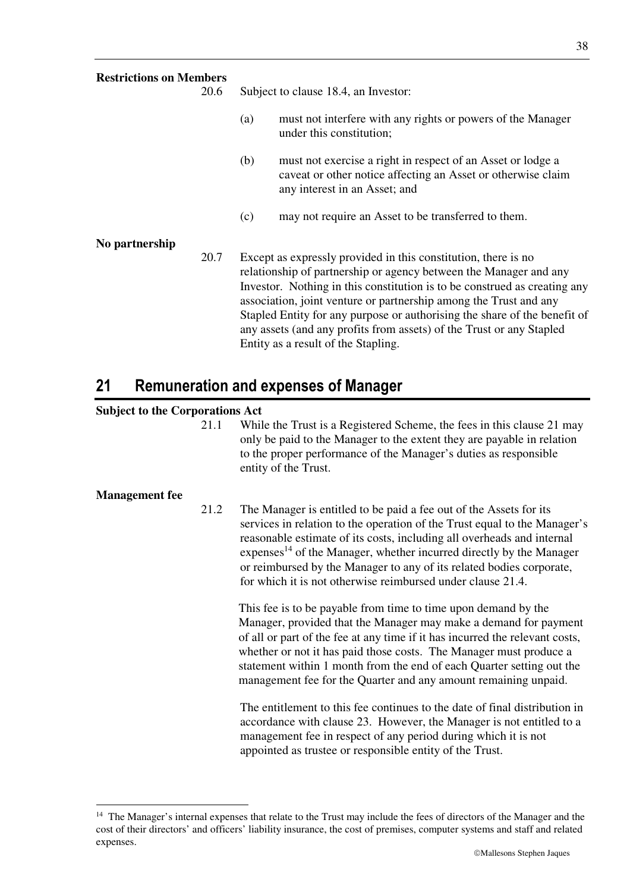| <b>Restrictions on Members</b> | 20.6 | Subject to clause 18.4, an Investor:                                                                                                                                                                                                                                                                                                                                                                                                                                              |                                                                                                                                                              |  |
|--------------------------------|------|-----------------------------------------------------------------------------------------------------------------------------------------------------------------------------------------------------------------------------------------------------------------------------------------------------------------------------------------------------------------------------------------------------------------------------------------------------------------------------------|--------------------------------------------------------------------------------------------------------------------------------------------------------------|--|
|                                |      |                                                                                                                                                                                                                                                                                                                                                                                                                                                                                   |                                                                                                                                                              |  |
|                                |      | (a)                                                                                                                                                                                                                                                                                                                                                                                                                                                                               | must not interfere with any rights or powers of the Manager<br>under this constitution;                                                                      |  |
|                                |      | (b)                                                                                                                                                                                                                                                                                                                                                                                                                                                                               | must not exercise a right in respect of an Asset or lodge a<br>caveat or other notice affecting an Asset or otherwise claim<br>any interest in an Asset; and |  |
|                                |      | (c)                                                                                                                                                                                                                                                                                                                                                                                                                                                                               | may not require an Asset to be transferred to them.                                                                                                          |  |
| No partnership                 |      |                                                                                                                                                                                                                                                                                                                                                                                                                                                                                   |                                                                                                                                                              |  |
|                                | 20.7 | Except as expressly provided in this constitution, there is no<br>relationship of partnership or agency between the Manager and any<br>Investor. Nothing in this constitution is to be construed as creating any<br>association, joint venture or partnership among the Trust and any<br>Stapled Entity for any purpose or authorising the share of the benefit of<br>any assets (and any profits from assets) of the Trust or any Stapled<br>Entity as a result of the Stapling. |                                                                                                                                                              |  |

# **21 Remuneration and expenses of Manager**

# **Subject to the Corporations Act**

21.1 While the Trust is a Registered Scheme, the fees in this clause 21 may only be paid to the Manager to the extent they are payable in relation to the proper performance of the Manager's duties as responsible entity of the Trust.

### **Management fee**

-

21.2 The Manager is entitled to be paid a fee out of the Assets for its services in relation to the operation of the Trust equal to the Manager's reasonable estimate of its costs, including all overheads and internal expenses<sup>14</sup> of the Manager, whether incurred directly by the Manager or reimbursed by the Manager to any of its related bodies corporate, for which it is not otherwise reimbursed under clause 21.4.

This fee is to be payable from time to time upon demand by the Manager, provided that the Manager may make a demand for payment of all or part of the fee at any time if it has incurred the relevant costs, whether or not it has paid those costs. The Manager must produce a statement within 1 month from the end of each Quarter setting out the management fee for the Quarter and any amount remaining unpaid.

The entitlement to this fee continues to the date of final distribution in accordance with clause 23. However, the Manager is not entitled to a management fee in respect of any period during which it is not appointed as trustee or responsible entity of the Trust.

<sup>&</sup>lt;sup>14</sup> The Manager's internal expenses that relate to the Trust may include the fees of directors of the Manager and the cost of their directors' and officers' liability insurance, the cost of premises, computer systems and staff and related expenses.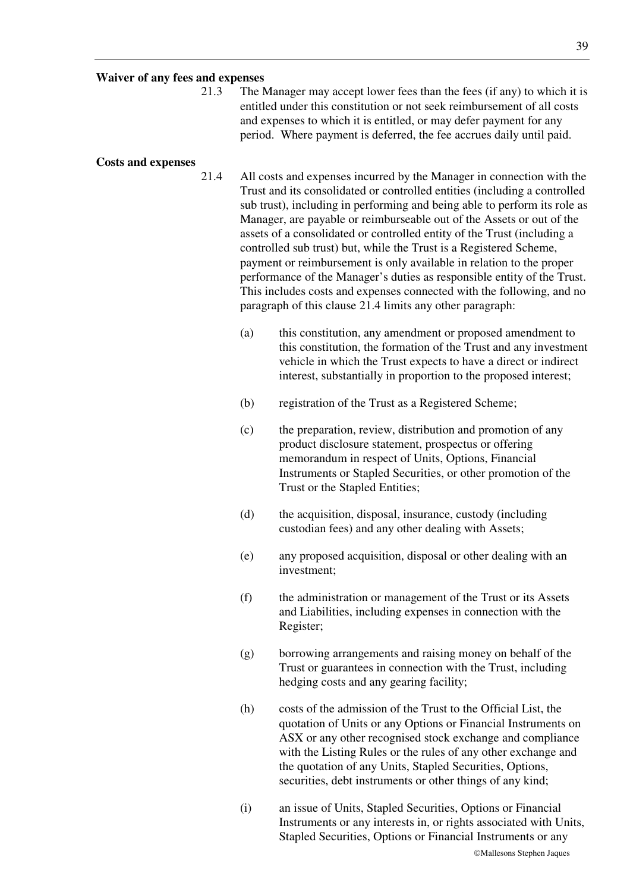### **Waiver of any fees and expenses**

21.3 The Manager may accept lower fees than the fees (if any) to which it is entitled under this constitution or not seek reimbursement of all costs and expenses to which it is entitled, or may defer payment for any period. Where payment is deferred, the fee accrues daily until paid.

#### **Costs and expenses**

- 21.4 All costs and expenses incurred by the Manager in connection with the Trust and its consolidated or controlled entities (including a controlled sub trust), including in performing and being able to perform its role as Manager, are payable or reimburseable out of the Assets or out of the assets of a consolidated or controlled entity of the Trust (including a controlled sub trust) but, while the Trust is a Registered Scheme, payment or reimbursement is only available in relation to the proper performance of the Manager's duties as responsible entity of the Trust. This includes costs and expenses connected with the following, and no paragraph of this clause 21.4 limits any other paragraph:
	- (a) this constitution, any amendment or proposed amendment to this constitution, the formation of the Trust and any investment vehicle in which the Trust expects to have a direct or indirect interest, substantially in proportion to the proposed interest;
	- (b) registration of the Trust as a Registered Scheme;
	- (c) the preparation, review, distribution and promotion of any product disclosure statement, prospectus or offering memorandum in respect of Units, Options, Financial Instruments or Stapled Securities, or other promotion of the Trust or the Stapled Entities;
	- (d) the acquisition, disposal, insurance, custody (including custodian fees) and any other dealing with Assets;
	- (e) any proposed acquisition, disposal or other dealing with an investment;
	- (f) the administration or management of the Trust or its Assets and Liabilities, including expenses in connection with the Register;
	- (g) borrowing arrangements and raising money on behalf of the Trust or guarantees in connection with the Trust, including hedging costs and any gearing facility;
	- (h) costs of the admission of the Trust to the Official List, the quotation of Units or any Options or Financial Instruments on ASX or any other recognised stock exchange and compliance with the Listing Rules or the rules of any other exchange and the quotation of any Units, Stapled Securities, Options, securities, debt instruments or other things of any kind;
	- (i) an issue of Units, Stapled Securities, Options or Financial Instruments or any interests in, or rights associated with Units, Stapled Securities, Options or Financial Instruments or any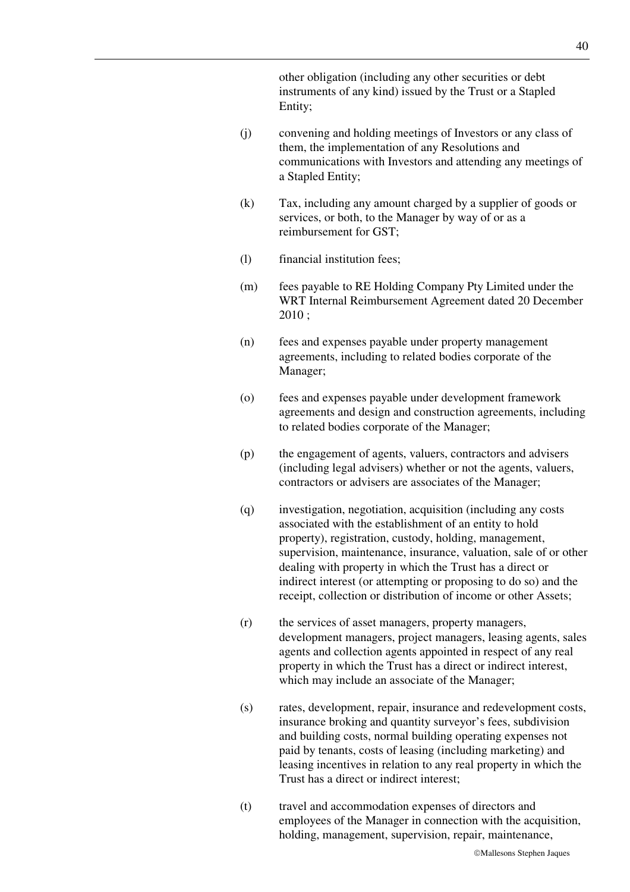other obligation (including any other securities or debt instruments of any kind) issued by the Trust or a Stapled Entity;

- (j) convening and holding meetings of Investors or any class of them, the implementation of any Resolutions and communications with Investors and attending any meetings of a Stapled Entity;
- (k) Tax, including any amount charged by a supplier of goods or services, or both, to the Manager by way of or as a reimbursement for GST;
- (l) financial institution fees;
- (m) fees payable to RE Holding Company Pty Limited under the WRT Internal Reimbursement Agreement dated 20 December 2010 ;
- (n) fees and expenses payable under property management agreements, including to related bodies corporate of the Manager;
- (o) fees and expenses payable under development framework agreements and design and construction agreements, including to related bodies corporate of the Manager;
- (p) the engagement of agents, valuers, contractors and advisers (including legal advisers) whether or not the agents, valuers, contractors or advisers are associates of the Manager;
- (q) investigation, negotiation, acquisition (including any costs associated with the establishment of an entity to hold property), registration, custody, holding, management, supervision, maintenance, insurance, valuation, sale of or other dealing with property in which the Trust has a direct or indirect interest (or attempting or proposing to do so) and the receipt, collection or distribution of income or other Assets;
- (r) the services of asset managers, property managers, development managers, project managers, leasing agents, sales agents and collection agents appointed in respect of any real property in which the Trust has a direct or indirect interest, which may include an associate of the Manager;
- (s) rates, development, repair, insurance and redevelopment costs, insurance broking and quantity surveyor's fees, subdivision and building costs, normal building operating expenses not paid by tenants, costs of leasing (including marketing) and leasing incentives in relation to any real property in which the Trust has a direct or indirect interest;
- (t) travel and accommodation expenses of directors and employees of the Manager in connection with the acquisition, holding, management, supervision, repair, maintenance,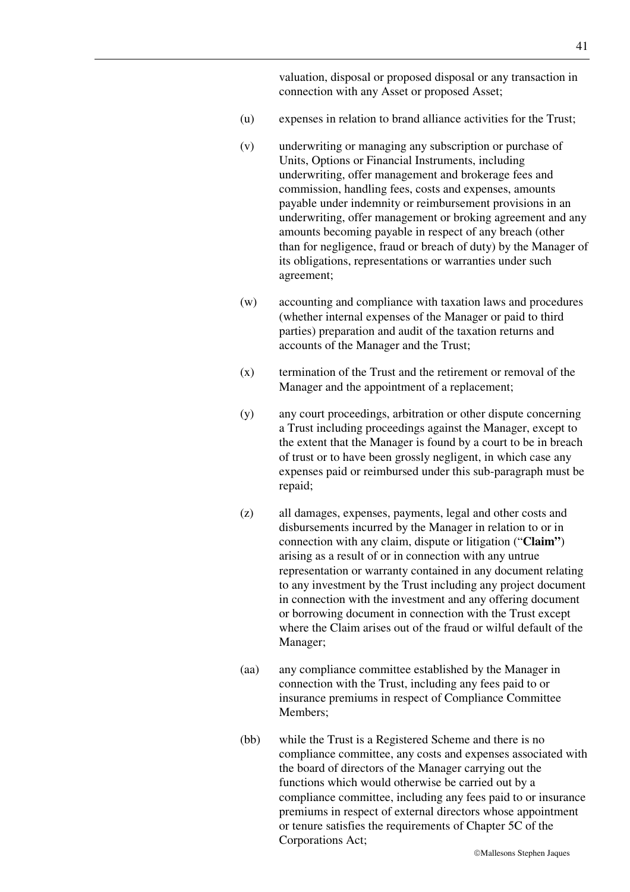valuation, disposal or proposed disposal or any transaction in connection with any Asset or proposed Asset;

- (u) expenses in relation to brand alliance activities for the Trust;
- (v) underwriting or managing any subscription or purchase of Units, Options or Financial Instruments, including underwriting, offer management and brokerage fees and commission, handling fees, costs and expenses, amounts payable under indemnity or reimbursement provisions in an underwriting, offer management or broking agreement and any amounts becoming payable in respect of any breach (other than for negligence, fraud or breach of duty) by the Manager of its obligations, representations or warranties under such agreement;
- (w) accounting and compliance with taxation laws and procedures (whether internal expenses of the Manager or paid to third parties) preparation and audit of the taxation returns and accounts of the Manager and the Trust;
- (x) termination of the Trust and the retirement or removal of the Manager and the appointment of a replacement;
- (y) any court proceedings, arbitration or other dispute concerning a Trust including proceedings against the Manager, except to the extent that the Manager is found by a court to be in breach of trust or to have been grossly negligent, in which case any expenses paid or reimbursed under this sub-paragraph must be repaid;
- (z) all damages, expenses, payments, legal and other costs and disbursements incurred by the Manager in relation to or in connection with any claim, dispute or litigation ("**Claim"**) arising as a result of or in connection with any untrue representation or warranty contained in any document relating to any investment by the Trust including any project document in connection with the investment and any offering document or borrowing document in connection with the Trust except where the Claim arises out of the fraud or wilful default of the Manager;
- (aa) any compliance committee established by the Manager in connection with the Trust, including any fees paid to or insurance premiums in respect of Compliance Committee Members;
- (bb) while the Trust is a Registered Scheme and there is no compliance committee, any costs and expenses associated with the board of directors of the Manager carrying out the functions which would otherwise be carried out by a compliance committee, including any fees paid to or insurance premiums in respect of external directors whose appointment or tenure satisfies the requirements of Chapter 5C of the Corporations Act;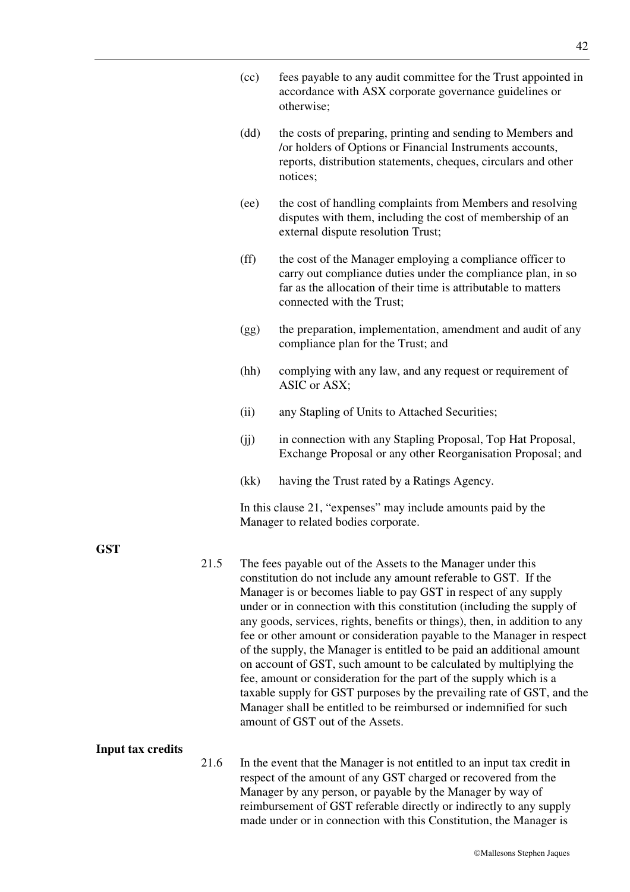|      |                                                                                                                                                                                                                                                                                                                                                      | accordance with ASX corporate governance guidelines or<br>otherwise;                                                                                                                                                                                                                                                                                                                                                                                                                                                                                                                                                                                                                                                                                                                                                                            |  |  |  |
|------|------------------------------------------------------------------------------------------------------------------------------------------------------------------------------------------------------------------------------------------------------------------------------------------------------------------------------------------------------|-------------------------------------------------------------------------------------------------------------------------------------------------------------------------------------------------------------------------------------------------------------------------------------------------------------------------------------------------------------------------------------------------------------------------------------------------------------------------------------------------------------------------------------------------------------------------------------------------------------------------------------------------------------------------------------------------------------------------------------------------------------------------------------------------------------------------------------------------|--|--|--|
|      | (dd)                                                                                                                                                                                                                                                                                                                                                 | the costs of preparing, printing and sending to Members and<br>/or holders of Options or Financial Instruments accounts,<br>reports, distribution statements, cheques, circulars and other<br>notices;                                                                                                                                                                                                                                                                                                                                                                                                                                                                                                                                                                                                                                          |  |  |  |
|      | (ee)                                                                                                                                                                                                                                                                                                                                                 | the cost of handling complaints from Members and resolving<br>disputes with them, including the cost of membership of an<br>external dispute resolution Trust;                                                                                                                                                                                                                                                                                                                                                                                                                                                                                                                                                                                                                                                                                  |  |  |  |
|      | $(f\bar{f})$                                                                                                                                                                                                                                                                                                                                         | the cost of the Manager employing a compliance officer to<br>carry out compliance duties under the compliance plan, in so<br>far as the allocation of their time is attributable to matters<br>connected with the Trust;                                                                                                                                                                                                                                                                                                                                                                                                                                                                                                                                                                                                                        |  |  |  |
|      | (gg)                                                                                                                                                                                                                                                                                                                                                 | the preparation, implementation, amendment and audit of any<br>compliance plan for the Trust; and                                                                                                                                                                                                                                                                                                                                                                                                                                                                                                                                                                                                                                                                                                                                               |  |  |  |
|      | (hh)                                                                                                                                                                                                                                                                                                                                                 | complying with any law, and any request or requirement of<br>ASIC or ASX;                                                                                                                                                                                                                                                                                                                                                                                                                                                                                                                                                                                                                                                                                                                                                                       |  |  |  |
|      | (ii)                                                                                                                                                                                                                                                                                                                                                 | any Stapling of Units to Attached Securities;                                                                                                                                                                                                                                                                                                                                                                                                                                                                                                                                                                                                                                                                                                                                                                                                   |  |  |  |
|      | (jj)                                                                                                                                                                                                                                                                                                                                                 | in connection with any Stapling Proposal, Top Hat Proposal,<br>Exchange Proposal or any other Reorganisation Proposal; and                                                                                                                                                                                                                                                                                                                                                                                                                                                                                                                                                                                                                                                                                                                      |  |  |  |
|      | (kk)                                                                                                                                                                                                                                                                                                                                                 | having the Trust rated by a Ratings Agency.                                                                                                                                                                                                                                                                                                                                                                                                                                                                                                                                                                                                                                                                                                                                                                                                     |  |  |  |
|      |                                                                                                                                                                                                                                                                                                                                                      | In this clause 21, "expenses" may include amounts paid by the<br>Manager to related bodies corporate.                                                                                                                                                                                                                                                                                                                                                                                                                                                                                                                                                                                                                                                                                                                                           |  |  |  |
| 21.5 |                                                                                                                                                                                                                                                                                                                                                      | The fees payable out of the Assets to the Manager under this<br>constitution do not include any amount referable to GST. If the<br>Manager is or becomes liable to pay GST in respect of any supply<br>under or in connection with this constitution (including the supply of<br>any goods, services, rights, benefits or things), then, in addition to any<br>fee or other amount or consideration payable to the Manager in respect<br>of the supply, the Manager is entitled to be paid an additional amount<br>on account of GST, such amount to be calculated by multiplying the<br>fee, amount or consideration for the part of the supply which is a<br>taxable supply for GST purposes by the prevailing rate of GST, and the<br>Manager shall be entitled to be reimbursed or indemnified for such<br>amount of GST out of the Assets. |  |  |  |
| 21.6 | In the event that the Manager is not entitled to an input tax credit in<br>respect of the amount of any GST charged or recovered from the<br>Manager by any person, or payable by the Manager by way of<br>reimbursement of GST referable directly or indirectly to any supply<br>made under or in connection with this Constitution, the Manager is |                                                                                                                                                                                                                                                                                                                                                                                                                                                                                                                                                                                                                                                                                                                                                                                                                                                 |  |  |  |

(cc) fees payable to any audit committee for the Trust appointed in

# **GST**

**Input tax credits** 

### Mallesons Stephen Jaques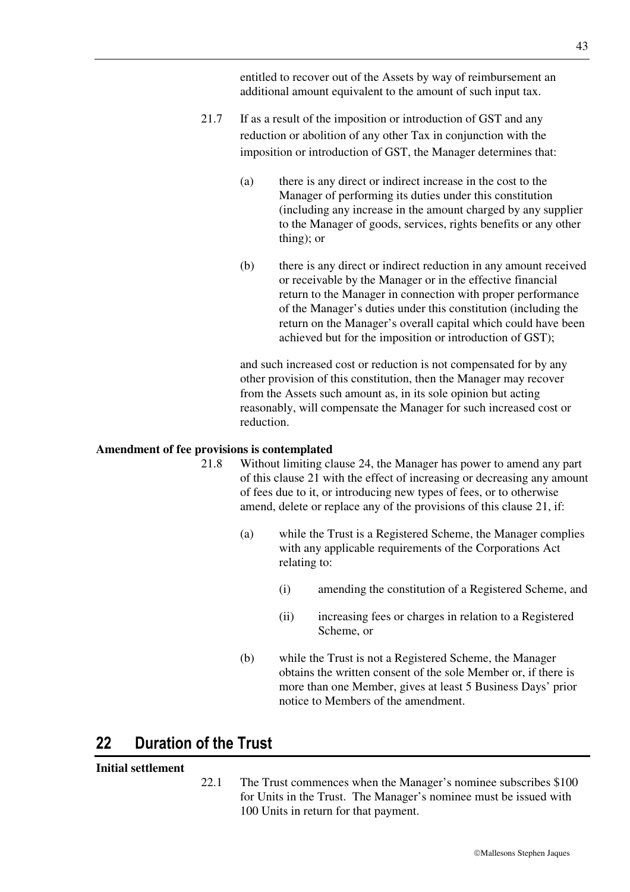entitled to recover out of the Assets by way of reimbursement an additional amount equivalent to the amount of such input tax.

- 21.7 If as a result of the imposition or introduction of GST and any reduction or abolition of any other Tax in conjunction with the imposition or introduction of GST, the Manager determines that:
	- (a) there is any direct or indirect increase in the cost to the Manager of performing its duties under this constitution (including any increase in the amount charged by any supplier to the Manager of goods, services, rights benefits or any other thing); or
	- (b) there is any direct or indirect reduction in any amount received or receivable by the Manager or in the effective financial return to the Manager in connection with proper performance of the Manager's duties under this constitution (including the return on the Manager's overall capital which could have been achieved but for the imposition or introduction of GST);

and such increased cost or reduction is not compensated for by any other provision of this constitution, then the Manager may recover from the Assets such amount as, in its sole opinion but acting reasonably, will compensate the Manager for such increased cost or reduction.

### **Amendment of fee provisions is contemplated**

- 21.8 Without limiting clause 24, the Manager has power to amend any part of this clause 21 with the effect of increasing or decreasing any amount of fees due to it, or introducing new types of fees, or to otherwise amend, delete or replace any of the provisions of this clause 21, if:
	- (a) while the Trust is a Registered Scheme, the Manager complies with any applicable requirements of the Corporations Act relating to:
		- (i) amending the constitution of a Registered Scheme, and
		- (ii) increasing fees or charges in relation to a Registered Scheme, or
	- (b) while the Trust is not a Registered Scheme, the Manager obtains the written consent of the sole Member or, if there is more than one Member, gives at least 5 Business Days' prior notice to Members of the amendment.

# **22 Duration of the Trust**

# **Initial settlement**

22.1 The Trust commences when the Manager's nominee subscribes \$100 for Units in the Trust. The Manager's nominee must be issued with 100 Units in return for that payment.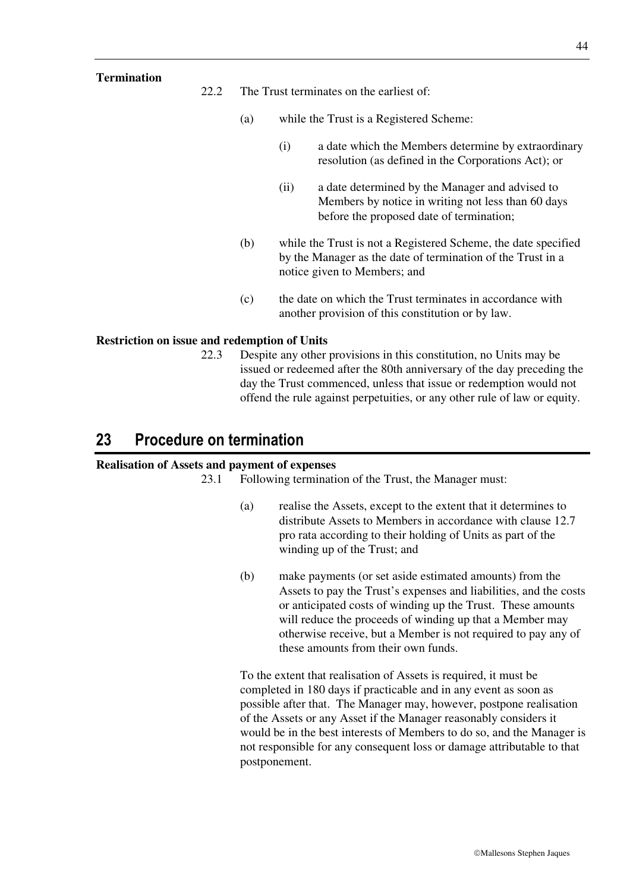### **Termination**

22.2 The Trust terminates on the earliest of:

- (a) while the Trust is a Registered Scheme:
	- (i) a date which the Members determine by extraordinary resolution (as defined in the Corporations Act); or
	- (ii) a date determined by the Manager and advised to Members by notice in writing not less than 60 days before the proposed date of termination;
- (b) while the Trust is not a Registered Scheme, the date specified by the Manager as the date of termination of the Trust in a notice given to Members; and
- (c) the date on which the Trust terminates in accordance with another provision of this constitution or by law.

### **Restriction on issue and redemption of Units**

22.3 Despite any other provisions in this constitution, no Units may be issued or redeemed after the 80th anniversary of the day preceding the day the Trust commenced, unless that issue or redemption would not offend the rule against perpetuities, or any other rule of law or equity.

# **23 Procedure on termination**

### **Realisation of Assets and payment of expenses**

23.1 Following termination of the Trust, the Manager must:

- (a) realise the Assets, except to the extent that it determines to distribute Assets to Members in accordance with clause 12.7 pro rata according to their holding of Units as part of the winding up of the Trust; and
- (b) make payments (or set aside estimated amounts) from the Assets to pay the Trust's expenses and liabilities, and the costs or anticipated costs of winding up the Trust. These amounts will reduce the proceeds of winding up that a Member may otherwise receive, but a Member is not required to pay any of these amounts from their own funds.

To the extent that realisation of Assets is required, it must be completed in 180 days if practicable and in any event as soon as possible after that. The Manager may, however, postpone realisation of the Assets or any Asset if the Manager reasonably considers it would be in the best interests of Members to do so, and the Manager is not responsible for any consequent loss or damage attributable to that postponement.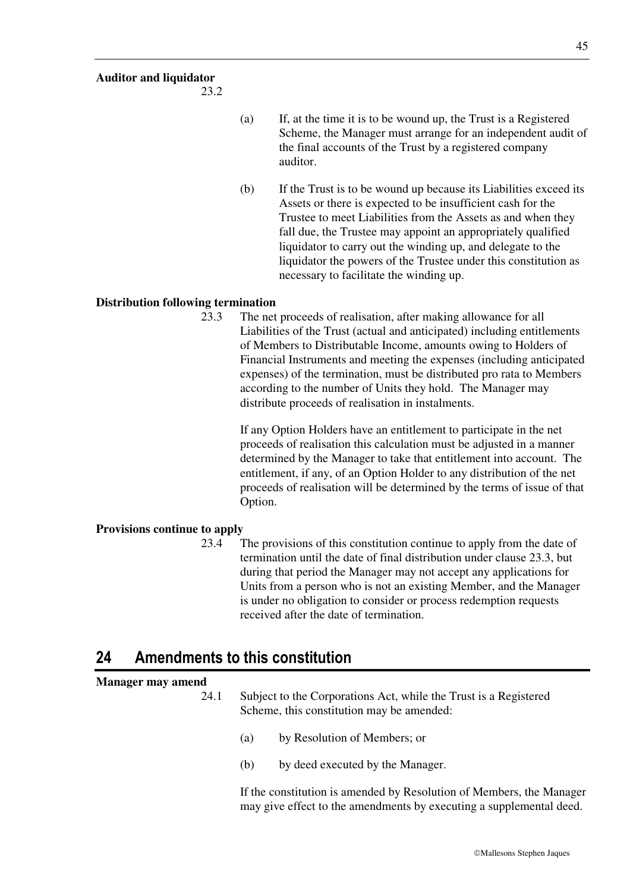## **Auditor and liquidator**

23.2

- (a) If, at the time it is to be wound up, the Trust is a Registered Scheme, the Manager must arrange for an independent audit of the final accounts of the Trust by a registered company auditor.
- (b) If the Trust is to be wound up because its Liabilities exceed its Assets or there is expected to be insufficient cash for the Trustee to meet Liabilities from the Assets as and when they fall due, the Trustee may appoint an appropriately qualified liquidator to carry out the winding up, and delegate to the liquidator the powers of the Trustee under this constitution as necessary to facilitate the winding up.

### **Distribution following termination**

23.3 The net proceeds of realisation, after making allowance for all Liabilities of the Trust (actual and anticipated) including entitlements of Members to Distributable Income, amounts owing to Holders of Financial Instruments and meeting the expenses (including anticipated expenses) of the termination, must be distributed pro rata to Members according to the number of Units they hold. The Manager may distribute proceeds of realisation in instalments.

> If any Option Holders have an entitlement to participate in the net proceeds of realisation this calculation must be adjusted in a manner determined by the Manager to take that entitlement into account. The entitlement, if any, of an Option Holder to any distribution of the net proceeds of realisation will be determined by the terms of issue of that Option.

### **Provisions continue to apply**

23.4 The provisions of this constitution continue to apply from the date of termination until the date of final distribution under clause 23.3, but during that period the Manager may not accept any applications for Units from a person who is not an existing Member, and the Manager is under no obligation to consider or process redemption requests received after the date of termination.

# **24 Amendments to this constitution**

### **Manager may amend**

- 24.1 Subject to the Corporations Act, while the Trust is a Registered Scheme, this constitution may be amended:
	- (a) by Resolution of Members; or
	- (b) by deed executed by the Manager.

If the constitution is amended by Resolution of Members, the Manager may give effect to the amendments by executing a supplemental deed.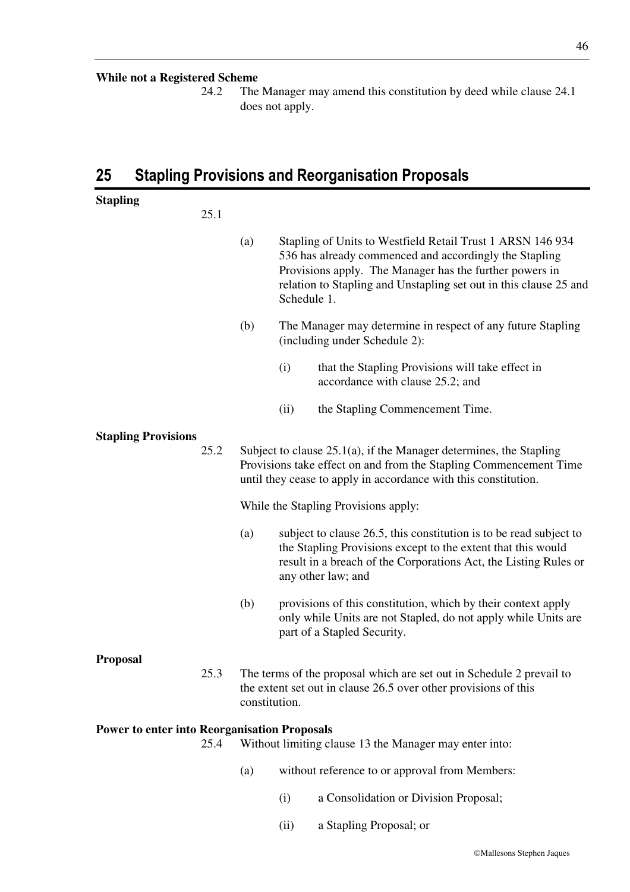### **While not a Registered Scheme**

24.2 The Manager may amend this constitution by deed while clause 24.1 does not apply.

# **25 Stapling Provisions and Reorganisation Proposals**

| <b>Stapling</b>                                     | 25.1 |                                                                                                                                                                                                                                                                            |  |  |
|-----------------------------------------------------|------|----------------------------------------------------------------------------------------------------------------------------------------------------------------------------------------------------------------------------------------------------------------------------|--|--|
|                                                     |      | Stapling of Units to Westfield Retail Trust 1 ARSN 146 934<br>(a)<br>536 has already commenced and accordingly the Stapling<br>Provisions apply. The Manager has the further powers in<br>relation to Stapling and Unstapling set out in this clause 25 and<br>Schedule 1. |  |  |
|                                                     |      | (b)<br>The Manager may determine in respect of any future Stapling<br>(including under Schedule 2):                                                                                                                                                                        |  |  |
|                                                     |      | (i)<br>that the Stapling Provisions will take effect in<br>accordance with clause 25.2; and                                                                                                                                                                                |  |  |
|                                                     |      | the Stapling Commencement Time.<br>(ii)                                                                                                                                                                                                                                    |  |  |
| <b>Stapling Provisions</b>                          | 25.2 | Subject to clause $25.1(a)$ , if the Manager determines, the Stapling<br>Provisions take effect on and from the Stapling Commencement Time<br>until they cease to apply in accordance with this constitution.                                                              |  |  |
|                                                     |      | While the Stapling Provisions apply:                                                                                                                                                                                                                                       |  |  |
|                                                     |      | (a)<br>subject to clause 26.5, this constitution is to be read subject to<br>the Stapling Provisions except to the extent that this would<br>result in a breach of the Corporations Act, the Listing Rules or<br>any other law; and                                        |  |  |
|                                                     |      | (b)<br>provisions of this constitution, which by their context apply<br>only while Units are not Stapled, do not apply while Units are<br>part of a Stapled Security.                                                                                                      |  |  |
| <b>Proposal</b>                                     |      |                                                                                                                                                                                                                                                                            |  |  |
|                                                     | 25.3 | The terms of the proposal which are set out in Schedule 2 prevail to<br>the extent set out in clause 26.5 over other provisions of this<br>constitution.                                                                                                                   |  |  |
| <b>Power to enter into Reorganisation Proposals</b> |      |                                                                                                                                                                                                                                                                            |  |  |
|                                                     | 25.4 | Without limiting clause 13 the Manager may enter into:                                                                                                                                                                                                                     |  |  |

- (a) without reference to or approval from Members:
	- (i) a Consolidation or Division Proposal;
	- (ii) a Stapling Proposal; or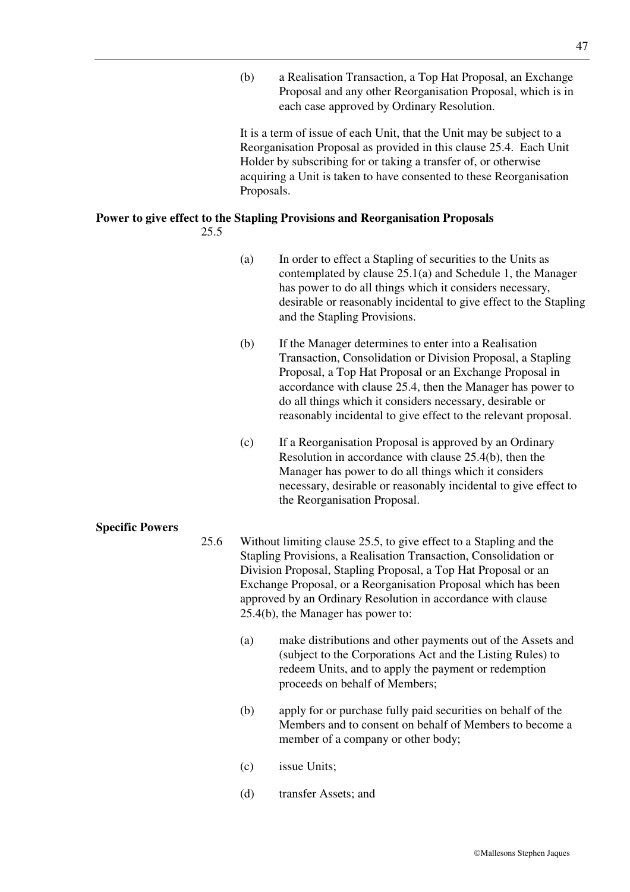(b) a Realisation Transaction, a Top Hat Proposal, an Exchange Proposal and any other Reorganisation Proposal, which is in each case approved by Ordinary Resolution.

It is a term of issue of each Unit, that the Unit may be subject to a Reorganisation Proposal as provided in this clause 25.4. Each Unit Holder by subscribing for or taking a transfer of, or otherwise acquiring a Unit is taken to have consented to these Reorganisation Proposals.

### **Power to give effect to the Stapling Provisions and Reorganisation Proposals**  25.5

- (a) In order to effect a Stapling of securities to the Units as contemplated by clause 25.1(a) and Schedule 1, the Manager has power to do all things which it considers necessary, desirable or reasonably incidental to give effect to the Stapling and the Stapling Provisions.
- (b) If the Manager determines to enter into a Realisation Transaction, Consolidation or Division Proposal, a Stapling Proposal, a Top Hat Proposal or an Exchange Proposal in accordance with clause 25.4, then the Manager has power to do all things which it considers necessary, desirable or reasonably incidental to give effect to the relevant proposal.
- (c) If a Reorganisation Proposal is approved by an Ordinary Resolution in accordance with clause 25.4(b), then the Manager has power to do all things which it considers necessary, desirable or reasonably incidental to give effect to the Reorganisation Proposal.

# **Specific Powers**

- 25.6 Without limiting clause 25.5, to give effect to a Stapling and the Stapling Provisions, a Realisation Transaction, Consolidation or Division Proposal, Stapling Proposal, a Top Hat Proposal or an Exchange Proposal, or a Reorganisation Proposal which has been approved by an Ordinary Resolution in accordance with clause 25.4(b), the Manager has power to:
	- (a) make distributions and other payments out of the Assets and (subject to the Corporations Act and the Listing Rules) to redeem Units, and to apply the payment or redemption proceeds on behalf of Members;
	- (b) apply for or purchase fully paid securities on behalf of the Members and to consent on behalf of Members to become a member of a company or other body;
	- (c) issue Units;
	- (d) transfer Assets; and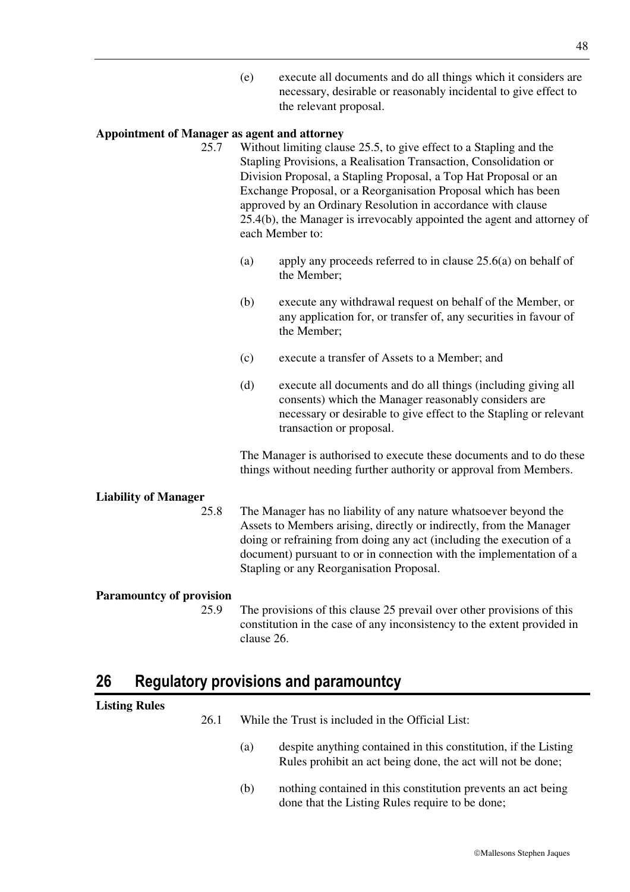(e) execute all documents and do all things which it considers are necessary, desirable or reasonably incidental to give effect to the relevant proposal.

### **Appointment of Manager as agent and attorney**

- 25.7 Without limiting clause 25.5, to give effect to a Stapling and the Stapling Provisions, a Realisation Transaction, Consolidation or Division Proposal, a Stapling Proposal, a Top Hat Proposal or an Exchange Proposal, or a Reorganisation Proposal which has been approved by an Ordinary Resolution in accordance with clause 25.4(b), the Manager is irrevocably appointed the agent and attorney of each Member to:
	- (a) apply any proceeds referred to in clause 25.6(a) on behalf of the Member;
	- (b) execute any withdrawal request on behalf of the Member, or any application for, or transfer of, any securities in favour of the Member;
	- (c) execute a transfer of Assets to a Member; and
	- (d) execute all documents and do all things (including giving all consents) which the Manager reasonably considers are necessary or desirable to give effect to the Stapling or relevant transaction or proposal.

The Manager is authorised to execute these documents and to do these things without needing further authority or approval from Members.

# **Liability of Manager**

25.8 The Manager has no liability of any nature whatsoever beyond the Assets to Members arising, directly or indirectly, from the Manager doing or refraining from doing any act (including the execution of a document) pursuant to or in connection with the implementation of a Stapling or any Reorganisation Proposal.

# **Paramountcy of provision**

25.9 The provisions of this clause 25 prevail over other provisions of this constitution in the case of any inconsistency to the extent provided in clause 26.

# **26 Regulatory provisions and paramountcy**

| <b>Listing Rules</b> |      |                                                   |                                                                                                                                |  |
|----------------------|------|---------------------------------------------------|--------------------------------------------------------------------------------------------------------------------------------|--|
|                      | 26.1 | While the Trust is included in the Official List: |                                                                                                                                |  |
|                      |      | (a)                                               | despite anything contained in this constitution, if the Listing<br>Rules prohibit an act being done, the act will not be done; |  |
|                      |      | (b)                                               | nothing contained in this constitution prevents an act being<br>done that the Listing Rules require to be done;                |  |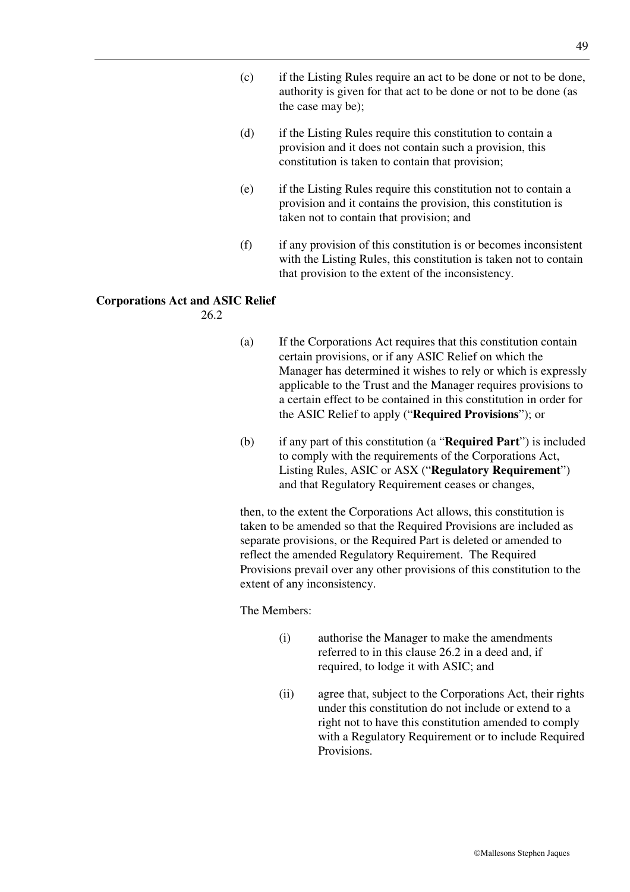- (c) if the Listing Rules require an act to be done or not to be done, authority is given for that act to be done or not to be done (as the case may be);
- (d) if the Listing Rules require this constitution to contain a provision and it does not contain such a provision, this constitution is taken to contain that provision;
- (e) if the Listing Rules require this constitution not to contain a provision and it contains the provision, this constitution is taken not to contain that provision; and
- (f) if any provision of this constitution is or becomes inconsistent with the Listing Rules, this constitution is taken not to contain that provision to the extent of the inconsistency.

### **Corporations Act and ASIC Relief**

26.2

- (a) If the Corporations Act requires that this constitution contain certain provisions, or if any ASIC Relief on which the Manager has determined it wishes to rely or which is expressly applicable to the Trust and the Manager requires provisions to a certain effect to be contained in this constitution in order for the ASIC Relief to apply ("**Required Provisions**"); or
- (b) if any part of this constitution (a "**Required Part**") is included to comply with the requirements of the Corporations Act, Listing Rules, ASIC or ASX ("**Regulatory Requirement**") and that Regulatory Requirement ceases or changes,

then, to the extent the Corporations Act allows, this constitution is taken to be amended so that the Required Provisions are included as separate provisions, or the Required Part is deleted or amended to reflect the amended Regulatory Requirement. The Required Provisions prevail over any other provisions of this constitution to the extent of any inconsistency.

The Members:

- (i) authorise the Manager to make the amendments referred to in this clause 26.2 in a deed and, if required, to lodge it with ASIC; and
- (ii) agree that, subject to the Corporations Act, their rights under this constitution do not include or extend to a right not to have this constitution amended to comply with a Regulatory Requirement or to include Required Provisions.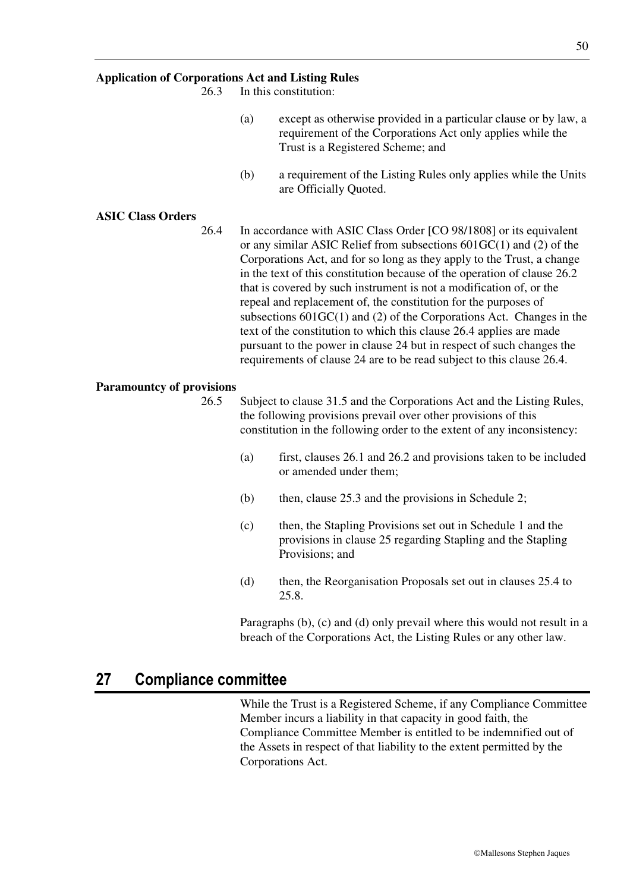### **Application of Corporations Act and Listing Rules**

26.3 In this constitution:

- (a) except as otherwise provided in a particular clause or by law, a requirement of the Corporations Act only applies while the Trust is a Registered Scheme; and
- (b) a requirement of the Listing Rules only applies while the Units are Officially Quoted.

#### **ASIC Class Orders**

26.4 In accordance with ASIC Class Order [CO 98/1808] or its equivalent or any similar ASIC Relief from subsections 601GC(1) and (2) of the Corporations Act, and for so long as they apply to the Trust, a change in the text of this constitution because of the operation of clause 26.2 that is covered by such instrument is not a modification of, or the repeal and replacement of, the constitution for the purposes of subsections 601GC(1) and (2) of the Corporations Act. Changes in the text of the constitution to which this clause 26.4 applies are made pursuant to the power in clause 24 but in respect of such changes the requirements of clause 24 are to be read subject to this clause 26.4.

#### **Paramountcy of provisions**

- 26.5 Subject to clause 31.5 and the Corporations Act and the Listing Rules, the following provisions prevail over other provisions of this constitution in the following order to the extent of any inconsistency:
	- (a) first, clauses 26.1 and 26.2 and provisions taken to be included or amended under them;
	- (b) then, clause 25.3 and the provisions in Schedule 2;
	- (c) then, the Stapling Provisions set out in Schedule 1 and the provisions in clause 25 regarding Stapling and the Stapling Provisions; and
	- (d) then, the Reorganisation Proposals set out in clauses 25.4 to 25.8.

Paragraphs (b), (c) and (d) only prevail where this would not result in a breach of the Corporations Act, the Listing Rules or any other law.

# **27 Compliance committee**

While the Trust is a Registered Scheme, if any Compliance Committee Member incurs a liability in that capacity in good faith, the Compliance Committee Member is entitled to be indemnified out of the Assets in respect of that liability to the extent permitted by the Corporations Act.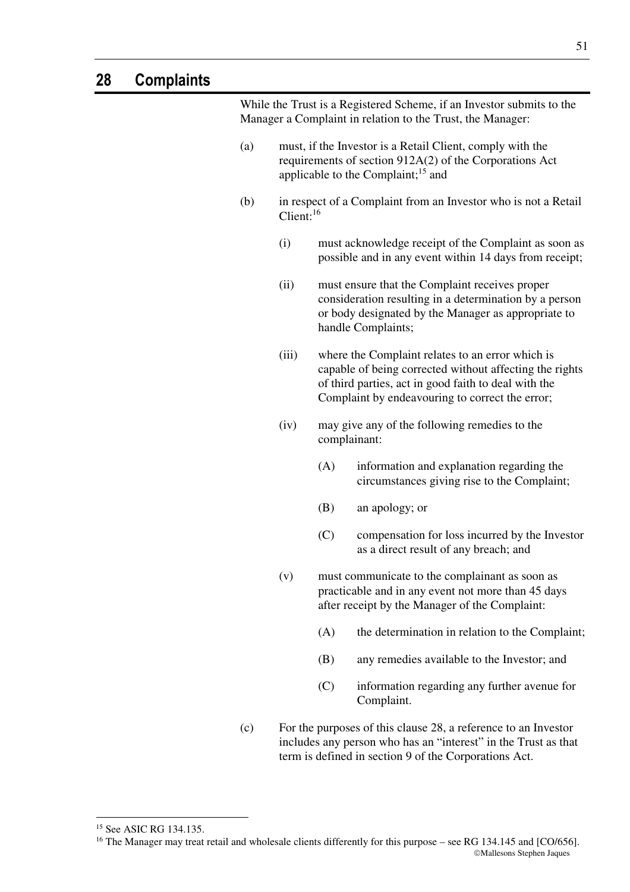While the Trust is a Registered Scheme, if an Investor submits to the Manager a Complaint in relation to the Trust, the Manager: (a) must, if the Investor is a Retail Client, comply with the requirements of section 912A(2) of the Corporations Act applicable to the Complaint; $15$  and (b) in respect of a Complaint from an Investor who is not a Retail Client:<sup>16</sup> (i) must acknowledge receipt of the Complaint as soon as possible and in any event within 14 days from receipt; (ii) must ensure that the Complaint receives proper consideration resulting in a determination by a person or body designated by the Manager as appropriate to handle Complaints; (iii) where the Complaint relates to an error which is capable of being corrected without affecting the rights of third parties, act in good faith to deal with the Complaint by endeavouring to correct the error; (iv) may give any of the following remedies to the complainant: (A) information and explanation regarding the circumstances giving rise to the Complaint; (B) an apology; or (C) compensation for loss incurred by the Investor as a direct result of any breach; and (v) must communicate to the complainant as soon as practicable and in any event not more than 45 days after receipt by the Manager of the Complaint: (A) the determination in relation to the Complaint; (B) any remedies available to the Investor; and (C) information regarding any further avenue for Complaint. (c) For the purposes of this clause 28, a reference to an Investor

includes any person who has an "interest" in the Trust as that term is defined in section 9 of the Corporations Act.

-

<sup>&</sup>lt;sup>15</sup> See ASIC RG 134.135.

Mallesons Stephen Jaques <sup>16</sup> The Manager may treat retail and wholesale clients differently for this purpose – see RG 134.145 and [CO/656].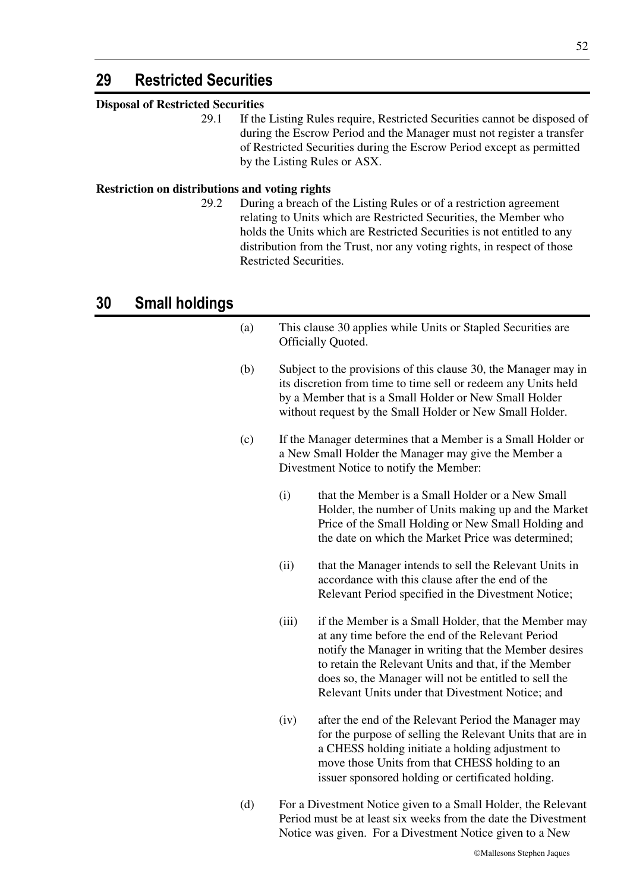# **29 Restricted Securities**

# **Disposal of Restricted Securities**

29.1 If the Listing Rules require, Restricted Securities cannot be disposed of during the Escrow Period and the Manager must not register a transfer of Restricted Securities during the Escrow Period except as permitted by the Listing Rules or ASX.

## **Restriction on distributions and voting rights**

29.2 During a breach of the Listing Rules or of a restriction agreement relating to Units which are Restricted Securities, the Member who holds the Units which are Restricted Securities is not entitled to any distribution from the Trust, nor any voting rights, in respect of those Restricted Securities.

# **30 Small holdings**

- (a) This clause 30 applies while Units or Stapled Securities are Officially Quoted. (b) Subject to the provisions of this clause 30, the Manager may in its discretion from time to time sell or redeem any Units held by a Member that is a Small Holder or New Small Holder without request by the Small Holder or New Small Holder. (c) If the Manager determines that a Member is a Small Holder or a New Small Holder the Manager may give the Member a Divestment Notice to notify the Member: (i) that the Member is a Small Holder or a New Small Holder, the number of Units making up and the Market Price of the Small Holding or New Small Holding and the date on which the Market Price was determined; (ii) that the Manager intends to sell the Relevant Units in accordance with this clause after the end of the Relevant Period specified in the Divestment Notice; (iii) if the Member is a Small Holder, that the Member may at any time before the end of the Relevant Period notify the Manager in writing that the Member desires to retain the Relevant Units and that, if the Member does so, the Manager will not be entitled to sell the Relevant Units under that Divestment Notice; and (iv) after the end of the Relevant Period the Manager may for the purpose of selling the Relevant Units that are in a CHESS holding initiate a holding adjustment to move those Units from that CHESS holding to an issuer sponsored holding or certificated holding. (d) For a Divestment Notice given to a Small Holder, the Relevant
	- Period must be at least six weeks from the date the Divestment Notice was given. For a Divestment Notice given to a New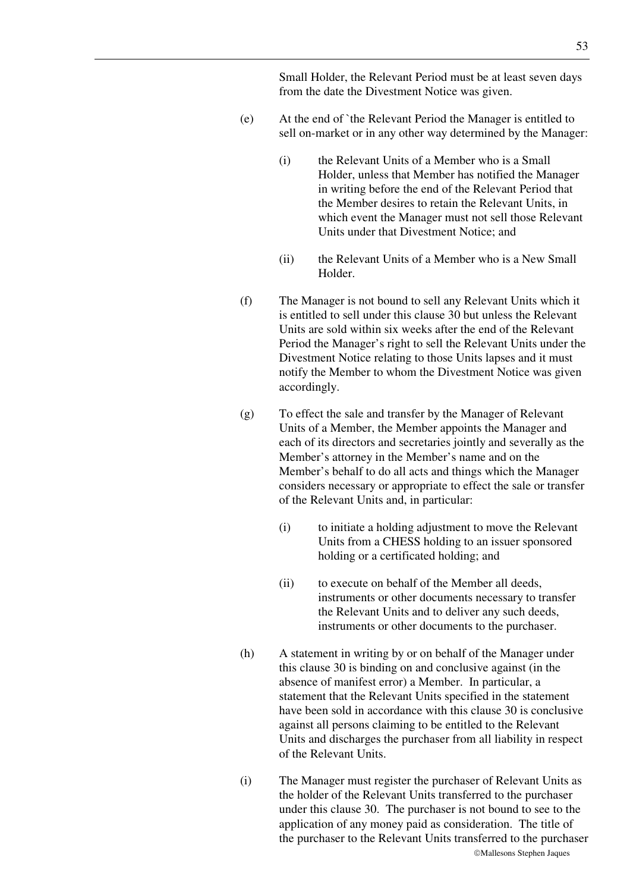Small Holder, the Relevant Period must be at least seven days from the date the Divestment Notice was given.

- (e) At the end of `the Relevant Period the Manager is entitled to sell on-market or in any other way determined by the Manager:
	- (i) the Relevant Units of a Member who is a Small Holder, unless that Member has notified the Manager in writing before the end of the Relevant Period that the Member desires to retain the Relevant Units, in which event the Manager must not sell those Relevant Units under that Divestment Notice; and
	- (ii) the Relevant Units of a Member who is a New Small Holder.
- (f) The Manager is not bound to sell any Relevant Units which it is entitled to sell under this clause 30 but unless the Relevant Units are sold within six weeks after the end of the Relevant Period the Manager's right to sell the Relevant Units under the Divestment Notice relating to those Units lapses and it must notify the Member to whom the Divestment Notice was given accordingly.
- (g) To effect the sale and transfer by the Manager of Relevant Units of a Member, the Member appoints the Manager and each of its directors and secretaries jointly and severally as the Member's attorney in the Member's name and on the Member's behalf to do all acts and things which the Manager considers necessary or appropriate to effect the sale or transfer of the Relevant Units and, in particular:
	- (i) to initiate a holding adjustment to move the Relevant Units from a CHESS holding to an issuer sponsored holding or a certificated holding; and
	- (ii) to execute on behalf of the Member all deeds, instruments or other documents necessary to transfer the Relevant Units and to deliver any such deeds, instruments or other documents to the purchaser.
- (h) A statement in writing by or on behalf of the Manager under this clause 30 is binding on and conclusive against (in the absence of manifest error) a Member. In particular, a statement that the Relevant Units specified in the statement have been sold in accordance with this clause 30 is conclusive against all persons claiming to be entitled to the Relevant Units and discharges the purchaser from all liability in respect of the Relevant Units.
- (i) The Manager must register the purchaser of Relevant Units as the holder of the Relevant Units transferred to the purchaser under this clause 30. The purchaser is not bound to see to the application of any money paid as consideration. The title of the purchaser to the Relevant Units transferred to the purchaser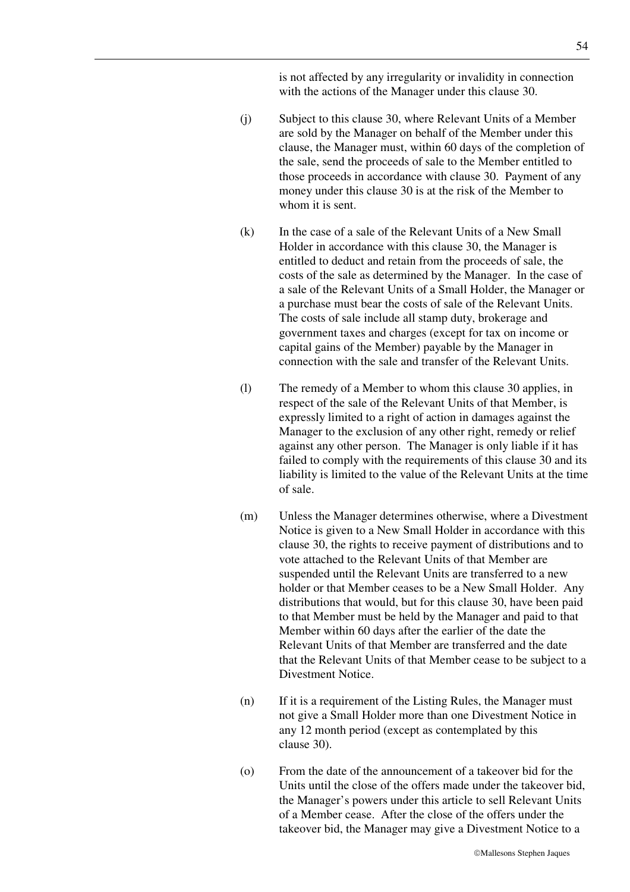is not affected by any irregularity or invalidity in connection with the actions of the Manager under this clause 30.

- (j) Subject to this clause 30, where Relevant Units of a Member are sold by the Manager on behalf of the Member under this clause, the Manager must, within 60 days of the completion of the sale, send the proceeds of sale to the Member entitled to those proceeds in accordance with clause 30. Payment of any money under this clause 30 is at the risk of the Member to whom it is sent.
- (k) In the case of a sale of the Relevant Units of a New Small Holder in accordance with this clause 30, the Manager is entitled to deduct and retain from the proceeds of sale, the costs of the sale as determined by the Manager. In the case of a sale of the Relevant Units of a Small Holder, the Manager or a purchase must bear the costs of sale of the Relevant Units. The costs of sale include all stamp duty, brokerage and government taxes and charges (except for tax on income or capital gains of the Member) payable by the Manager in connection with the sale and transfer of the Relevant Units.
- (l) The remedy of a Member to whom this clause 30 applies, in respect of the sale of the Relevant Units of that Member, is expressly limited to a right of action in damages against the Manager to the exclusion of any other right, remedy or relief against any other person. The Manager is only liable if it has failed to comply with the requirements of this clause 30 and its liability is limited to the value of the Relevant Units at the time of sale.
- (m) Unless the Manager determines otherwise, where a Divestment Notice is given to a New Small Holder in accordance with this clause 30, the rights to receive payment of distributions and to vote attached to the Relevant Units of that Member are suspended until the Relevant Units are transferred to a new holder or that Member ceases to be a New Small Holder. Any distributions that would, but for this clause 30, have been paid to that Member must be held by the Manager and paid to that Member within 60 days after the earlier of the date the Relevant Units of that Member are transferred and the date that the Relevant Units of that Member cease to be subject to a Divestment Notice.
- (n) If it is a requirement of the Listing Rules, the Manager must not give a Small Holder more than one Divestment Notice in any 12 month period (except as contemplated by this clause 30).
- (o) From the date of the announcement of a takeover bid for the Units until the close of the offers made under the takeover bid, the Manager's powers under this article to sell Relevant Units of a Member cease. After the close of the offers under the takeover bid, the Manager may give a Divestment Notice to a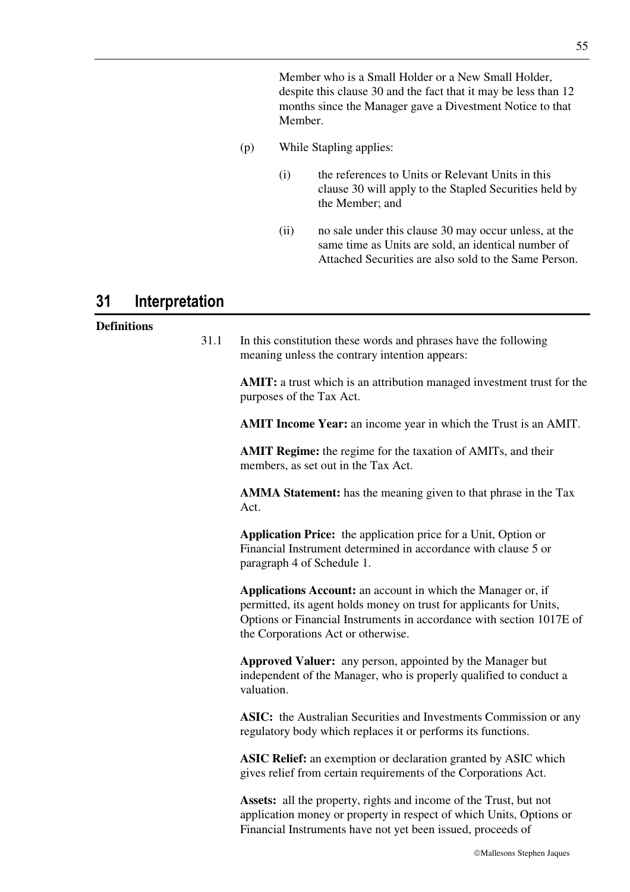Member who is a Small Holder or a New Small Holder, despite this clause 30 and the fact that it may be less than 12 months since the Manager gave a Divestment Notice to that Member.

- (p) While Stapling applies:
	- (i) the references to Units or Relevant Units in this clause 30 will apply to the Stapled Securities held by the Member; and
	- (ii) no sale under this clause 30 may occur unless, at the same time as Units are sold, an identical number of Attached Securities are also sold to the Same Person.

# **31 Interpretation**

### **Definitions**

31.1 In this constitution these words and phrases have the following meaning unless the contrary intention appears:

> **AMIT:** a trust which is an attribution managed investment trust for the purposes of the Tax Act.

**AMIT Income Year:** an income year in which the Trust is an AMIT.

**AMIT Regime:** the regime for the taxation of AMITs, and their members, as set out in the Tax Act.

**AMMA Statement:** has the meaning given to that phrase in the Tax Act.

**Application Price:** the application price for a Unit, Option or Financial Instrument determined in accordance with clause 5 or paragraph 4 of Schedule 1.

**Applications Account:** an account in which the Manager or, if permitted, its agent holds money on trust for applicants for Units, Options or Financial Instruments in accordance with section 1017E of the Corporations Act or otherwise.

**Approved Valuer:** any person, appointed by the Manager but independent of the Manager, who is properly qualified to conduct a valuation.

**ASIC:** the Australian Securities and Investments Commission or any regulatory body which replaces it or performs its functions.

**ASIC Relief:** an exemption or declaration granted by ASIC which gives relief from certain requirements of the Corporations Act.

**Assets:** all the property, rights and income of the Trust, but not application money or property in respect of which Units, Options or Financial Instruments have not yet been issued, proceeds of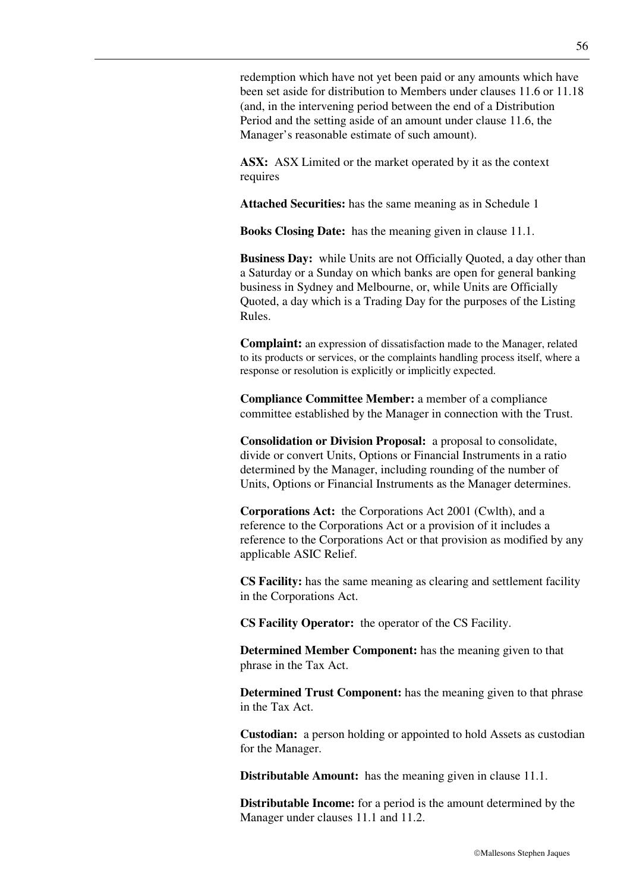redemption which have not yet been paid or any amounts which have been set aside for distribution to Members under clauses 11.6 or 11.18 (and, in the intervening period between the end of a Distribution Period and the setting aside of an amount under clause 11.6, the Manager's reasonable estimate of such amount).

**ASX:** ASX Limited or the market operated by it as the context requires

**Attached Securities:** has the same meaning as in Schedule 1

**Books Closing Date:** has the meaning given in clause 11.1.

**Business Day:** while Units are not Officially Quoted, a day other than a Saturday or a Sunday on which banks are open for general banking business in Sydney and Melbourne, or, while Units are Officially Quoted, a day which is a Trading Day for the purposes of the Listing Rules.

**Complaint:** an expression of dissatisfaction made to the Manager, related to its products or services, or the complaints handling process itself, where a response or resolution is explicitly or implicitly expected.

**Compliance Committee Member:** a member of a compliance committee established by the Manager in connection with the Trust.

**Consolidation or Division Proposal:** a proposal to consolidate, divide or convert Units, Options or Financial Instruments in a ratio determined by the Manager, including rounding of the number of Units, Options or Financial Instruments as the Manager determines.

**Corporations Act:** the Corporations Act 2001 (Cwlth), and a reference to the Corporations Act or a provision of it includes a reference to the Corporations Act or that provision as modified by any applicable ASIC Relief.

**CS Facility:** has the same meaning as clearing and settlement facility in the Corporations Act.

**CS Facility Operator:** the operator of the CS Facility.

**Determined Member Component:** has the meaning given to that phrase in the Tax Act.

**Determined Trust Component:** has the meaning given to that phrase in the Tax Act.

**Custodian:** a person holding or appointed to hold Assets as custodian for the Manager.

**Distributable Amount:** has the meaning given in clause 11.1.

**Distributable Income:** for a period is the amount determined by the Manager under clauses 11.1 and 11.2.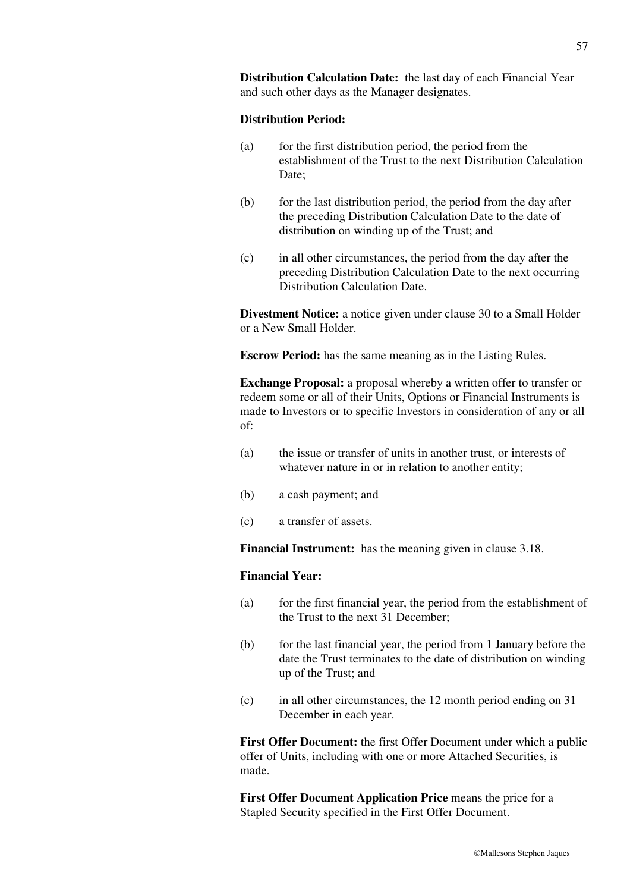**Distribution Calculation Date:** the last day of each Financial Year and such other days as the Manager designates.

#### **Distribution Period:**

- (a) for the first distribution period, the period from the establishment of the Trust to the next Distribution Calculation Date;
- (b) for the last distribution period, the period from the day after the preceding Distribution Calculation Date to the date of distribution on winding up of the Trust; and
- (c) in all other circumstances, the period from the day after the preceding Distribution Calculation Date to the next occurring Distribution Calculation Date.

**Divestment Notice:** a notice given under clause 30 to a Small Holder or a New Small Holder.

**Escrow Period:** has the same meaning as in the Listing Rules.

**Exchange Proposal:** a proposal whereby a written offer to transfer or redeem some or all of their Units, Options or Financial Instruments is made to Investors or to specific Investors in consideration of any or all of:

- (a) the issue or transfer of units in another trust, or interests of whatever nature in or in relation to another entity;
- (b) a cash payment; and
- (c) a transfer of assets.

**Financial Instrument:** has the meaning given in clause 3.18.

### **Financial Year:**

- (a) for the first financial year, the period from the establishment of the Trust to the next 31 December;
- (b) for the last financial year, the period from 1 January before the date the Trust terminates to the date of distribution on winding up of the Trust; and
- (c) in all other circumstances, the 12 month period ending on 31 December in each year.

**First Offer Document:** the first Offer Document under which a public offer of Units, including with one or more Attached Securities, is made.

**First Offer Document Application Price** means the price for a Stapled Security specified in the First Offer Document.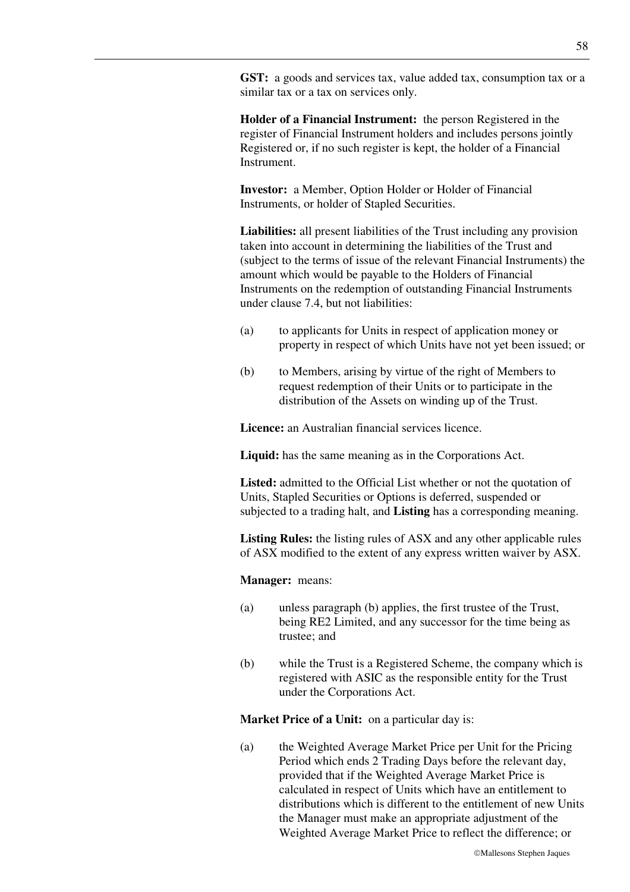**GST:** a goods and services tax, value added tax, consumption tax or a similar tax or a tax on services only.

**Holder of a Financial Instrument:** the person Registered in the register of Financial Instrument holders and includes persons jointly Registered or, if no such register is kept, the holder of a Financial Instrument.

**Investor:** a Member, Option Holder or Holder of Financial Instruments, or holder of Stapled Securities.

**Liabilities:** all present liabilities of the Trust including any provision taken into account in determining the liabilities of the Trust and (subject to the terms of issue of the relevant Financial Instruments) the amount which would be payable to the Holders of Financial Instruments on the redemption of outstanding Financial Instruments under clause 7.4, but not liabilities:

- (a) to applicants for Units in respect of application money or property in respect of which Units have not yet been issued; or
- (b) to Members, arising by virtue of the right of Members to request redemption of their Units or to participate in the distribution of the Assets on winding up of the Trust.

**Licence:** an Australian financial services licence.

**Liquid:** has the same meaning as in the Corporations Act.

Listed: admitted to the Official List whether or not the quotation of Units, Stapled Securities or Options is deferred, suspended or subjected to a trading halt, and **Listing** has a corresponding meaning.

**Listing Rules:** the listing rules of ASX and any other applicable rules of ASX modified to the extent of any express written waiver by ASX.

**Manager:** means:

- (a) unless paragraph (b) applies, the first trustee of the Trust, being RE2 Limited, and any successor for the time being as trustee; and
- (b) while the Trust is a Registered Scheme, the company which is registered with ASIC as the responsible entity for the Trust under the Corporations Act.

**Market Price of a Unit:** on a particular day is:

(a) the Weighted Average Market Price per Unit for the Pricing Period which ends 2 Trading Days before the relevant day, provided that if the Weighted Average Market Price is calculated in respect of Units which have an entitlement to distributions which is different to the entitlement of new Units the Manager must make an appropriate adjustment of the Weighted Average Market Price to reflect the difference; or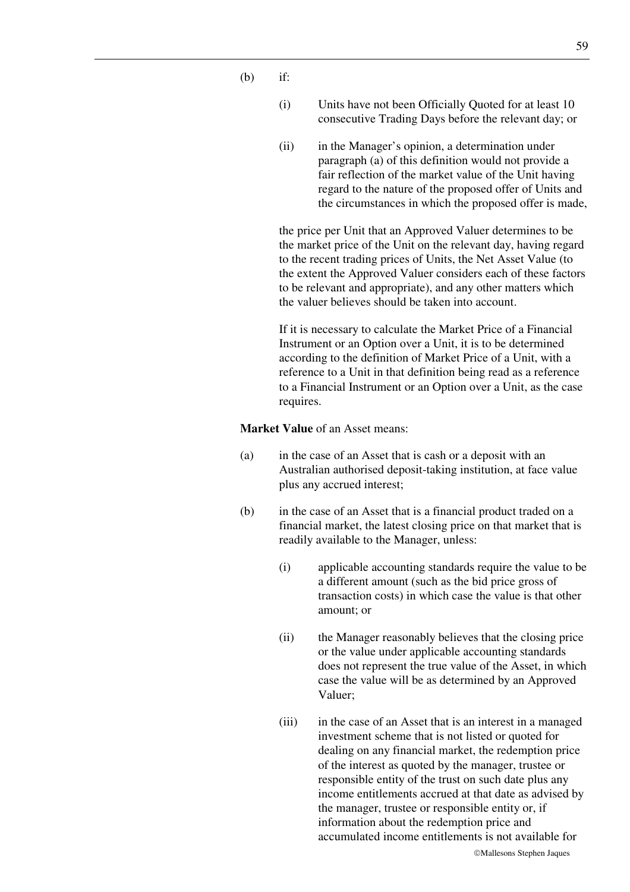- $(h)$  if:
	- (i) Units have not been Officially Quoted for at least 10 consecutive Trading Days before the relevant day; or
	- (ii) in the Manager's opinion, a determination under paragraph (a) of this definition would not provide a fair reflection of the market value of the Unit having regard to the nature of the proposed offer of Units and the circumstances in which the proposed offer is made,

the price per Unit that an Approved Valuer determines to be the market price of the Unit on the relevant day, having regard to the recent trading prices of Units, the Net Asset Value (to the extent the Approved Valuer considers each of these factors to be relevant and appropriate), and any other matters which the valuer believes should be taken into account.

If it is necessary to calculate the Market Price of a Financial Instrument or an Option over a Unit, it is to be determined according to the definition of Market Price of a Unit, with a reference to a Unit in that definition being read as a reference to a Financial Instrument or an Option over a Unit, as the case requires.

**Market Value** of an Asset means:

- (a) in the case of an Asset that is cash or a deposit with an Australian authorised deposit-taking institution, at face value plus any accrued interest;
- (b) in the case of an Asset that is a financial product traded on a financial market, the latest closing price on that market that is readily available to the Manager, unless:
	- (i) applicable accounting standards require the value to be a different amount (such as the bid price gross of transaction costs) in which case the value is that other amount; or
	- (ii) the Manager reasonably believes that the closing price or the value under applicable accounting standards does not represent the true value of the Asset, in which case the value will be as determined by an Approved Valuer;
	- (iii) in the case of an Asset that is an interest in a managed investment scheme that is not listed or quoted for dealing on any financial market, the redemption price of the interest as quoted by the manager, trustee or responsible entity of the trust on such date plus any income entitlements accrued at that date as advised by the manager, trustee or responsible entity or, if information about the redemption price and accumulated income entitlements is not available for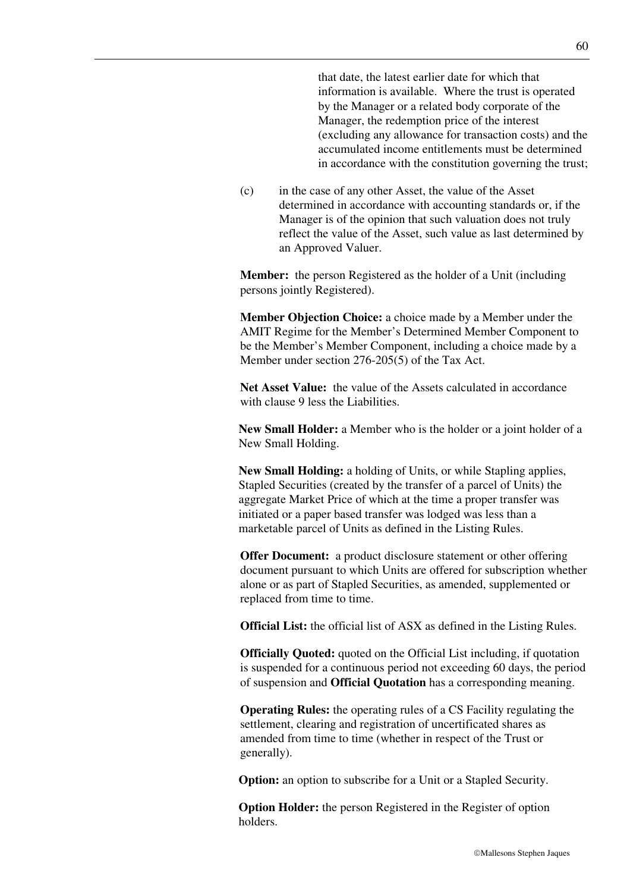that date, the latest earlier date for which that information is available. Where the trust is operated by the Manager or a related body corporate of the Manager, the redemption price of the interest (excluding any allowance for transaction costs) and the accumulated income entitlements must be determined in accordance with the constitution governing the trust;

(c) in the case of any other Asset, the value of the Asset determined in accordance with accounting standards or, if the Manager is of the opinion that such valuation does not truly reflect the value of the Asset, such value as last determined by an Approved Valuer.

**Member:** the person Registered as the holder of a Unit (including persons jointly Registered).

**Member Objection Choice:** a choice made by a Member under the AMIT Regime for the Member's Determined Member Component to be the Member's Member Component, including a choice made by a Member under section 276-205(5) of the Tax Act.

**Net Asset Value:** the value of the Assets calculated in accordance with clause 9 less the Liabilities.

**New Small Holder:** a Member who is the holder or a joint holder of a New Small Holding.

**New Small Holding:** a holding of Units, or while Stapling applies, Stapled Securities (created by the transfer of a parcel of Units) the aggregate Market Price of which at the time a proper transfer was initiated or a paper based transfer was lodged was less than a marketable parcel of Units as defined in the Listing Rules.

**Offer Document:** a product disclosure statement or other offering document pursuant to which Units are offered for subscription whether alone or as part of Stapled Securities, as amended, supplemented or replaced from time to time.

**Official List:** the official list of ASX as defined in the Listing Rules.

**Officially Quoted:** quoted on the Official List including, if quotation is suspended for a continuous period not exceeding 60 days, the period of suspension and **Official Quotation** has a corresponding meaning.

**Operating Rules:** the operating rules of a CS Facility regulating the settlement, clearing and registration of uncertificated shares as amended from time to time (whether in respect of the Trust or generally).

**Option:** an option to subscribe for a Unit or a Stapled Security.

**Option Holder:** the person Registered in the Register of option holders.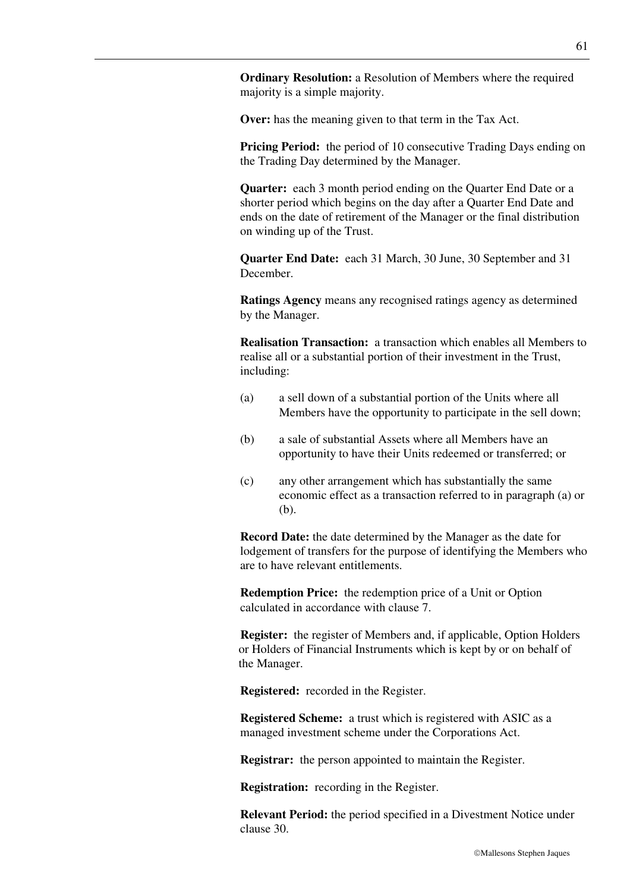**Ordinary Resolution:** a Resolution of Members where the required majority is a simple majority.

**Over:** has the meaning given to that term in the Tax Act.

**Pricing Period:** the period of 10 consecutive Trading Days ending on the Trading Day determined by the Manager.

**Quarter:** each 3 month period ending on the Quarter End Date or a shorter period which begins on the day after a Quarter End Date and ends on the date of retirement of the Manager or the final distribution on winding up of the Trust.

**Quarter End Date:** each 31 March, 30 June, 30 September and 31 December.

**Ratings Agency** means any recognised ratings agency as determined by the Manager.

**Realisation Transaction:** a transaction which enables all Members to realise all or a substantial portion of their investment in the Trust, including:

- (a) a sell down of a substantial portion of the Units where all Members have the opportunity to participate in the sell down;
- (b) a sale of substantial Assets where all Members have an opportunity to have their Units redeemed or transferred; or
- (c) any other arrangement which has substantially the same economic effect as a transaction referred to in paragraph (a) or (b).

**Record Date:** the date determined by the Manager as the date for lodgement of transfers for the purpose of identifying the Members who are to have relevant entitlements.

**Redemption Price:** the redemption price of a Unit or Option calculated in accordance with clause 7.

**Register:** the register of Members and, if applicable, Option Holders or Holders of Financial Instruments which is kept by or on behalf of the Manager.

**Registered:** recorded in the Register.

**Registered Scheme:** a trust which is registered with ASIC as a managed investment scheme under the Corporations Act.

**Registrar:** the person appointed to maintain the Register.

**Registration:** recording in the Register.

**Relevant Period:** the period specified in a Divestment Notice under clause 30.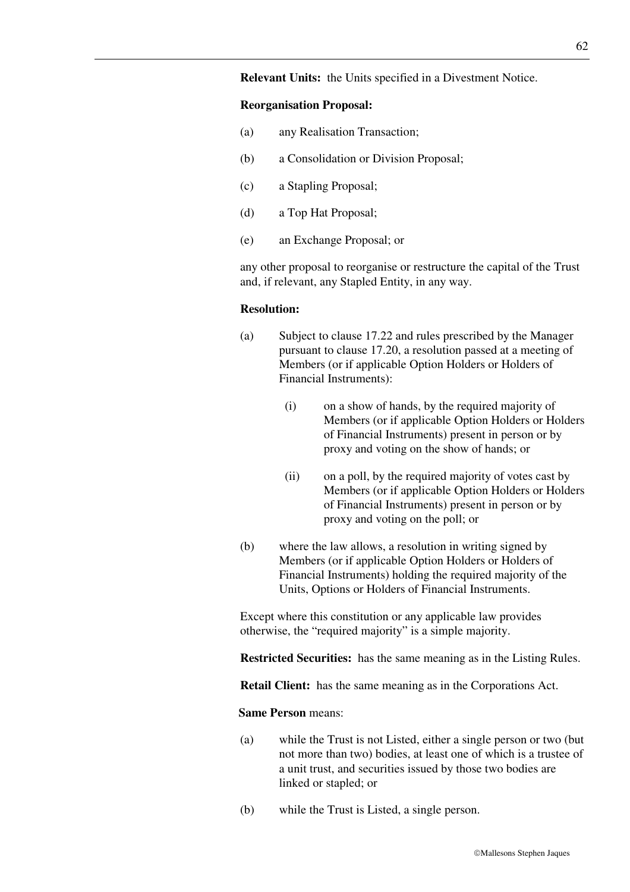### **Relevant Units:** the Units specified in a Divestment Notice.

#### **Reorganisation Proposal:**

- (a) any Realisation Transaction;
- (b) a Consolidation or Division Proposal;
- (c) a Stapling Proposal;
- (d) a Top Hat Proposal;
- (e) an Exchange Proposal; or

any other proposal to reorganise or restructure the capital of the Trust and, if relevant, any Stapled Entity, in any way.

#### **Resolution:**

- (a) Subject to clause 17.22 and rules prescribed by the Manager pursuant to clause 17.20, a resolution passed at a meeting of Members (or if applicable Option Holders or Holders of Financial Instruments):
	- (i) on a show of hands, by the required majority of Members (or if applicable Option Holders or Holders of Financial Instruments) present in person or by proxy and voting on the show of hands; or
	- (ii) on a poll, by the required majority of votes cast by Members (or if applicable Option Holders or Holders of Financial Instruments) present in person or by proxy and voting on the poll; or
- (b) where the law allows, a resolution in writing signed by Members (or if applicable Option Holders or Holders of Financial Instruments) holding the required majority of the Units, Options or Holders of Financial Instruments.

Except where this constitution or any applicable law provides otherwise, the "required majority" is a simple majority.

**Restricted Securities:** has the same meaning as in the Listing Rules.

**Retail Client:** has the same meaning as in the Corporations Act.

### **Same Person** means:

- (a) while the Trust is not Listed, either a single person or two (but not more than two) bodies, at least one of which is a trustee of a unit trust, and securities issued by those two bodies are linked or stapled; or
- (b) while the Trust is Listed, a single person.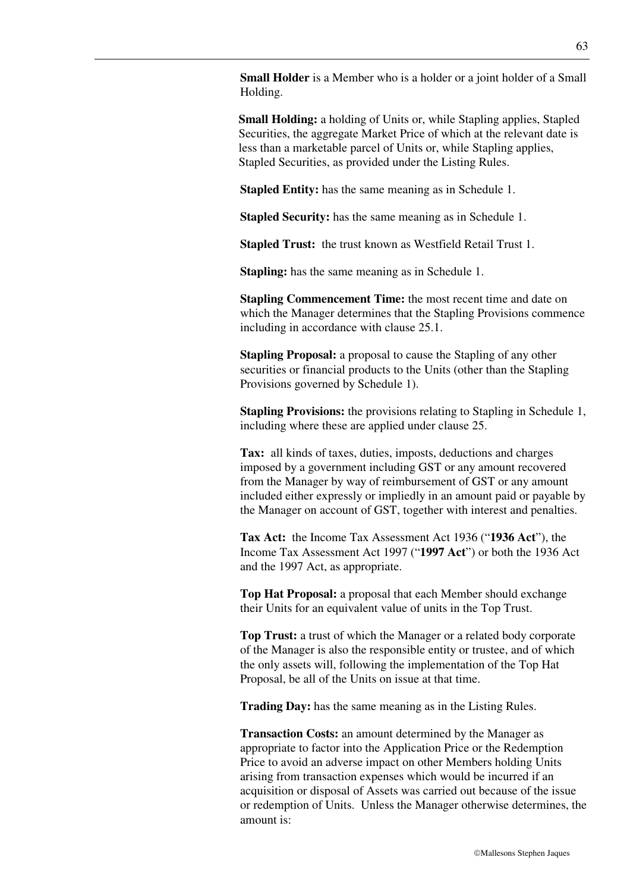**Small Holder** is a Member who is a holder or a joint holder of a Small Holding.

**Small Holding:** a holding of Units or, while Stapling applies, Stapled Securities, the aggregate Market Price of which at the relevant date is less than a marketable parcel of Units or, while Stapling applies, Stapled Securities, as provided under the Listing Rules.

**Stapled Entity:** has the same meaning as in Schedule 1.

**Stapled Security:** has the same meaning as in Schedule 1.

**Stapled Trust:** the trust known as Westfield Retail Trust 1.

**Stapling:** has the same meaning as in Schedule 1.

**Stapling Commencement Time:** the most recent time and date on which the Manager determines that the Stapling Provisions commence including in accordance with clause 25.1.

**Stapling Proposal:** a proposal to cause the Stapling of any other securities or financial products to the Units (other than the Stapling Provisions governed by Schedule 1).

**Stapling Provisions:** the provisions relating to Stapling in Schedule 1, including where these are applied under clause 25.

**Tax:** all kinds of taxes, duties, imposts, deductions and charges imposed by a government including GST or any amount recovered from the Manager by way of reimbursement of GST or any amount included either expressly or impliedly in an amount paid or payable by the Manager on account of GST, together with interest and penalties.

**Tax Act:** the Income Tax Assessment Act 1936 ("**1936 Act**"), the Income Tax Assessment Act 1997 ("**1997 Act**") or both the 1936 Act and the 1997 Act, as appropriate.

**Top Hat Proposal:** a proposal that each Member should exchange their Units for an equivalent value of units in the Top Trust.

**Top Trust:** a trust of which the Manager or a related body corporate of the Manager is also the responsible entity or trustee, and of which the only assets will, following the implementation of the Top Hat Proposal, be all of the Units on issue at that time.

**Trading Day:** has the same meaning as in the Listing Rules.

**Transaction Costs:** an amount determined by the Manager as appropriate to factor into the Application Price or the Redemption Price to avoid an adverse impact on other Members holding Units arising from transaction expenses which would be incurred if an acquisition or disposal of Assets was carried out because of the issue or redemption of Units. Unless the Manager otherwise determines, the amount is: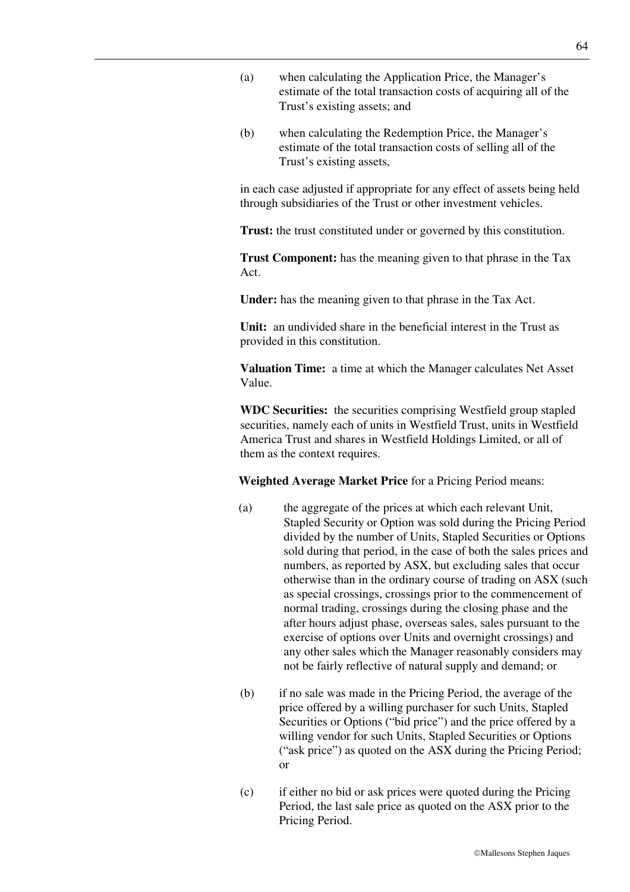- (a) when calculating the Application Price, the Manager's estimate of the total transaction costs of acquiring all of the Trust's existing assets; and
- (b) when calculating the Redemption Price, the Manager's estimate of the total transaction costs of selling all of the Trust's existing assets,

in each case adjusted if appropriate for any effect of assets being held through subsidiaries of the Trust or other investment vehicles.

**Trust:** the trust constituted under or governed by this constitution.

**Trust Component:** has the meaning given to that phrase in the Tax Act.

**Under:** has the meaning given to that phrase in the Tax Act.

**Unit:** an undivided share in the beneficial interest in the Trust as provided in this constitution.

**Valuation Time:** a time at which the Manager calculates Net Asset Value.

**WDC Securities:** the securities comprising Westfield group stapled securities, namely each of units in Westfield Trust, units in Westfield America Trust and shares in Westfield Holdings Limited, or all of them as the context requires.

**Weighted Average Market Price** for a Pricing Period means:

- (a) the aggregate of the prices at which each relevant Unit, Stapled Security or Option was sold during the Pricing Period divided by the number of Units, Stapled Securities or Options sold during that period, in the case of both the sales prices and numbers, as reported by ASX, but excluding sales that occur otherwise than in the ordinary course of trading on ASX (such as special crossings, crossings prior to the commencement of normal trading, crossings during the closing phase and the after hours adjust phase, overseas sales, sales pursuant to the exercise of options over Units and overnight crossings) and any other sales which the Manager reasonably considers may not be fairly reflective of natural supply and demand; or
- (b) if no sale was made in the Pricing Period, the average of the price offered by a willing purchaser for such Units, Stapled Securities or Options ("bid price") and the price offered by a willing vendor for such Units, Stapled Securities or Options ("ask price") as quoted on the ASX during the Pricing Period; or
- (c) if either no bid or ask prices were quoted during the Pricing Period, the last sale price as quoted on the ASX prior to the Pricing Period.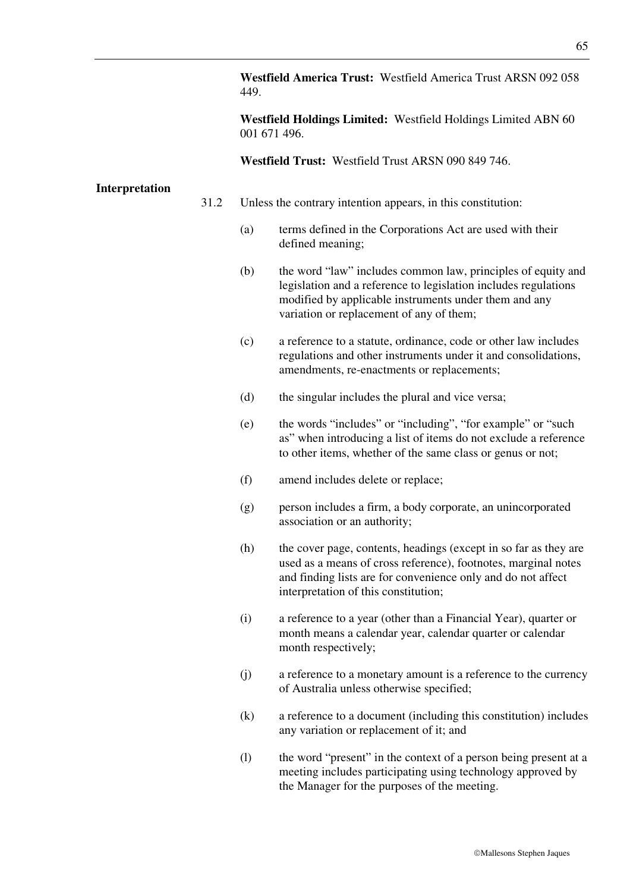**Westfield America Trust:** Westfield America Trust ARSN 092 058 449.

**Westfield Holdings Limited:** Westfield Holdings Limited ABN 60 001 671 496.

**Westfield Trust:** Westfield Trust ARSN 090 849 746.

### **Interpretation**

- 31.2 Unless the contrary intention appears, in this constitution:
	- (a) terms defined in the Corporations Act are used with their defined meaning;
	- (b) the word "law" includes common law, principles of equity and legislation and a reference to legislation includes regulations modified by applicable instruments under them and any variation or replacement of any of them;
	- (c) a reference to a statute, ordinance, code or other law includes regulations and other instruments under it and consolidations, amendments, re-enactments or replacements;
	- (d) the singular includes the plural and vice versa;
	- (e) the words "includes" or "including", "for example" or "such as" when introducing a list of items do not exclude a reference to other items, whether of the same class or genus or not;
	- (f) amend includes delete or replace;
	- (g) person includes a firm, a body corporate, an unincorporated association or an authority;
	- (h) the cover page, contents, headings (except in so far as they are used as a means of cross reference), footnotes, marginal notes and finding lists are for convenience only and do not affect interpretation of this constitution;
	- (i) a reference to a year (other than a Financial Year), quarter or month means a calendar year, calendar quarter or calendar month respectively;
	- (j) a reference to a monetary amount is a reference to the currency of Australia unless otherwise specified;
	- (k) a reference to a document (including this constitution) includes any variation or replacement of it; and
	- (l) the word "present" in the context of a person being present at a meeting includes participating using technology approved by the Manager for the purposes of the meeting.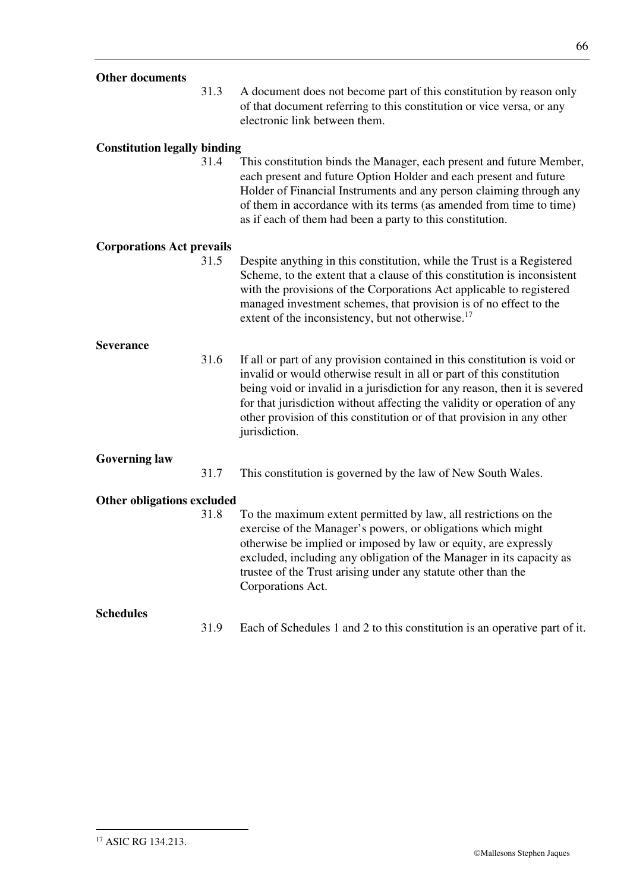## **Other documents**

31.3 A document does not become part of this constitution by reason only of that document referring to this constitution or vice versa, or any electronic link between them.

## **Constitution legally binding**

31.4 This constitution binds the Manager, each present and future Member, each present and future Option Holder and each present and future Holder of Financial Instruments and any person claiming through any of them in accordance with its terms (as amended from time to time) as if each of them had been a party to this constitution.

### **Corporations Act prevails**

31.5 Despite anything in this constitution, while the Trust is a Registered Scheme, to the extent that a clause of this constitution is inconsistent with the provisions of the Corporations Act applicable to registered managed investment schemes, that provision is of no effect to the extent of the inconsistency, but not otherwise.<sup>17</sup>

### **Severance**

31.6 If all or part of any provision contained in this constitution is void or invalid or would otherwise result in all or part of this constitution being void or invalid in a jurisdiction for any reason, then it is severed for that jurisdiction without affecting the validity or operation of any other provision of this constitution or of that provision in any other jurisdiction.

# **Governing law**

31.7 This constitution is governed by the law of New South Wales.

### **Other obligations excluded**

31.8 To the maximum extent permitted by law, all restrictions on the exercise of the Manager's powers, or obligations which might otherwise be implied or imposed by law or equity, are expressly excluded, including any obligation of the Manager in its capacity as trustee of the Trust arising under any statute other than the Corporations Act.

# **Schedules**

31.9 Each of Schedules 1 and 2 to this constitution is an operative part of it.

-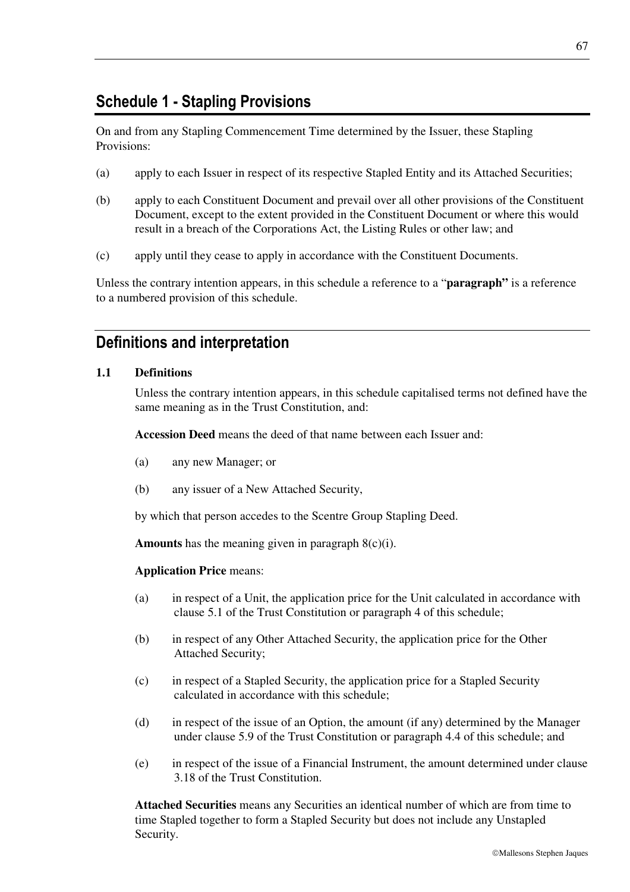# **Schedule 1 - Stapling Provisions**

On and from any Stapling Commencement Time determined by the Issuer, these Stapling Provisions:

- (a) apply to each Issuer in respect of its respective Stapled Entity and its Attached Securities;
- (b) apply to each Constituent Document and prevail over all other provisions of the Constituent Document, except to the extent provided in the Constituent Document or where this would result in a breach of the Corporations Act, the Listing Rules or other law; and
- (c) apply until they cease to apply in accordance with the Constituent Documents.

Unless the contrary intention appears, in this schedule a reference to a "**paragraph"** is a reference to a numbered provision of this schedule.

# **Definitions and interpretation**

### **1.1 Definitions**

Unless the contrary intention appears, in this schedule capitalised terms not defined have the same meaning as in the Trust Constitution, and:

**Accession Deed** means the deed of that name between each Issuer and:

- (a) any new Manager; or
- (b) any issuer of a New Attached Security,

by which that person accedes to the Scentre Group Stapling Deed.

**Amounts** has the meaning given in paragraph 8(c)(i).

### **Application Price** means:

- (a) in respect of a Unit, the application price for the Unit calculated in accordance with clause 5.1 of the Trust Constitution or paragraph 4 of this schedule;
- (b) in respect of any Other Attached Security, the application price for the Other Attached Security;
- (c) in respect of a Stapled Security, the application price for a Stapled Security calculated in accordance with this schedule;
- (d) in respect of the issue of an Option, the amount (if any) determined by the Manager under clause 5.9 of the Trust Constitution or paragraph 4.4 of this schedule; and
- (e) in respect of the issue of a Financial Instrument, the amount determined under clause 3.18 of the Trust Constitution.

**Attached Securities** means any Securities an identical number of which are from time to time Stapled together to form a Stapled Security but does not include any Unstapled Security.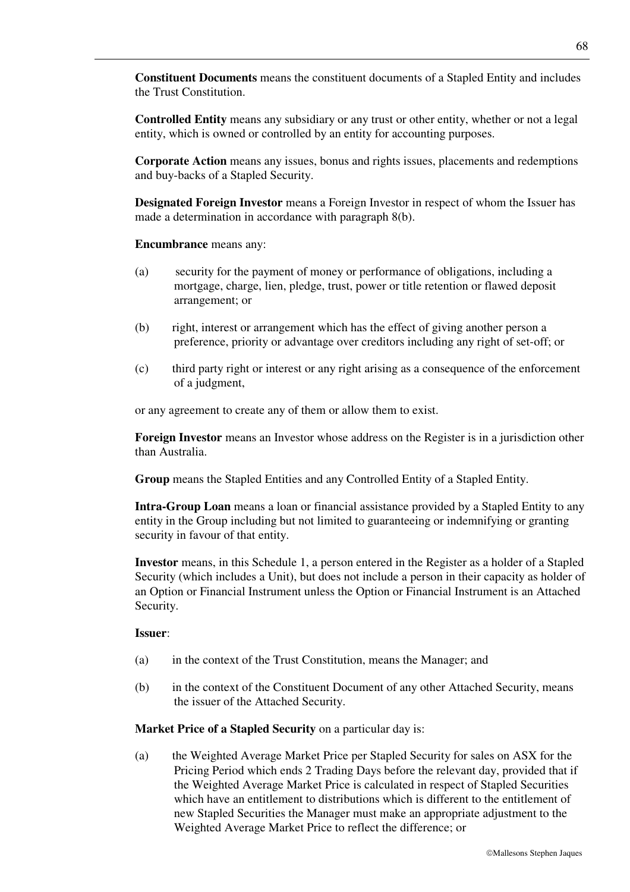**Constituent Documents** means the constituent documents of a Stapled Entity and includes the Trust Constitution.

**Controlled Entity** means any subsidiary or any trust or other entity, whether or not a legal entity, which is owned or controlled by an entity for accounting purposes.

**Corporate Action** means any issues, bonus and rights issues, placements and redemptions and buy-backs of a Stapled Security.

**Designated Foreign Investor** means a Foreign Investor in respect of whom the Issuer has made a determination in accordance with paragraph 8(b).

**Encumbrance** means any:

- (a) security for the payment of money or performance of obligations, including a mortgage, charge, lien, pledge, trust, power or title retention or flawed deposit arrangement; or
- (b) right, interest or arrangement which has the effect of giving another person a preference, priority or advantage over creditors including any right of set-off; or
- (c) third party right or interest or any right arising as a consequence of the enforcement of a judgment,

or any agreement to create any of them or allow them to exist.

**Foreign Investor** means an Investor whose address on the Register is in a jurisdiction other than Australia.

**Group** means the Stapled Entities and any Controlled Entity of a Stapled Entity.

**Intra-Group Loan** means a loan or financial assistance provided by a Stapled Entity to any entity in the Group including but not limited to guaranteeing or indemnifying or granting security in favour of that entity.

**Investor** means, in this Schedule 1, a person entered in the Register as a holder of a Stapled Security (which includes a Unit), but does not include a person in their capacity as holder of an Option or Financial Instrument unless the Option or Financial Instrument is an Attached Security.

#### **Issuer**:

- (a) in the context of the Trust Constitution, means the Manager; and
- (b) in the context of the Constituent Document of any other Attached Security, means the issuer of the Attached Security.

**Market Price of a Stapled Security** on a particular day is:

(a) the Weighted Average Market Price per Stapled Security for sales on ASX for the Pricing Period which ends 2 Trading Days before the relevant day, provided that if the Weighted Average Market Price is calculated in respect of Stapled Securities which have an entitlement to distributions which is different to the entitlement of new Stapled Securities the Manager must make an appropriate adjustment to the Weighted Average Market Price to reflect the difference; or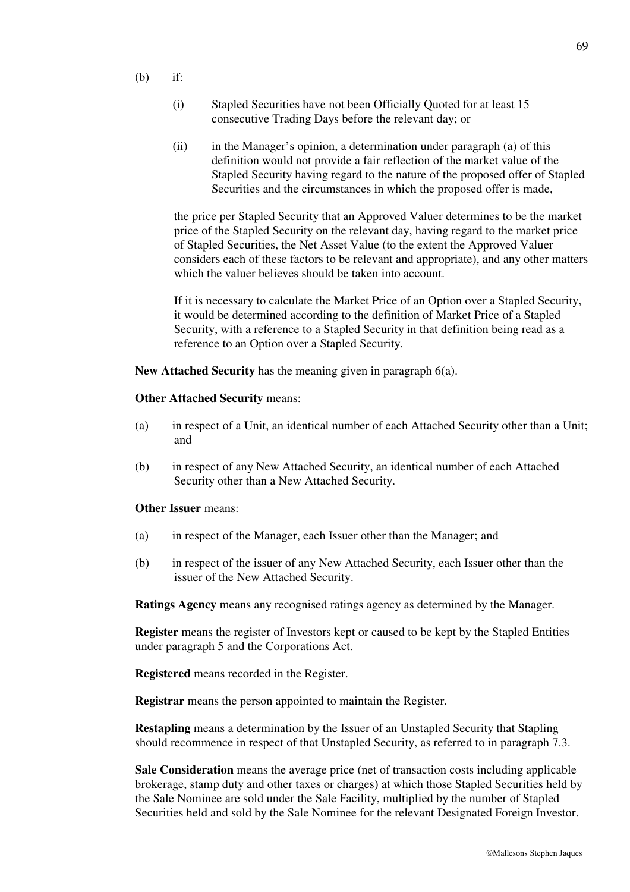- $(h)$  if:
	- (i) Stapled Securities have not been Officially Quoted for at least 15 consecutive Trading Days before the relevant day; or
	- (ii) in the Manager's opinion, a determination under paragraph (a) of this definition would not provide a fair reflection of the market value of the Stapled Security having regard to the nature of the proposed offer of Stapled Securities and the circumstances in which the proposed offer is made,

the price per Stapled Security that an Approved Valuer determines to be the market price of the Stapled Security on the relevant day, having regard to the market price of Stapled Securities, the Net Asset Value (to the extent the Approved Valuer considers each of these factors to be relevant and appropriate), and any other matters which the valuer believes should be taken into account.

If it is necessary to calculate the Market Price of an Option over a Stapled Security, it would be determined according to the definition of Market Price of a Stapled Security, with a reference to a Stapled Security in that definition being read as a reference to an Option over a Stapled Security.

**New Attached Security** has the meaning given in paragraph 6(a).

#### **Other Attached Security** means:

- (a) in respect of a Unit, an identical number of each Attached Security other than a Unit; and
- (b) in respect of any New Attached Security, an identical number of each Attached Security other than a New Attached Security.

## **Other Issuer** means:

- (a) in respect of the Manager, each Issuer other than the Manager; and
- (b) in respect of the issuer of any New Attached Security, each Issuer other than the issuer of the New Attached Security.

**Ratings Agency** means any recognised ratings agency as determined by the Manager.

**Register** means the register of Investors kept or caused to be kept by the Stapled Entities under paragraph 5 and the Corporations Act.

**Registered** means recorded in the Register.

**Registrar** means the person appointed to maintain the Register.

**Restapling** means a determination by the Issuer of an Unstapled Security that Stapling should recommence in respect of that Unstapled Security, as referred to in paragraph 7.3.

**Sale Consideration** means the average price (net of transaction costs including applicable brokerage, stamp duty and other taxes or charges) at which those Stapled Securities held by the Sale Nominee are sold under the Sale Facility, multiplied by the number of Stapled Securities held and sold by the Sale Nominee for the relevant Designated Foreign Investor.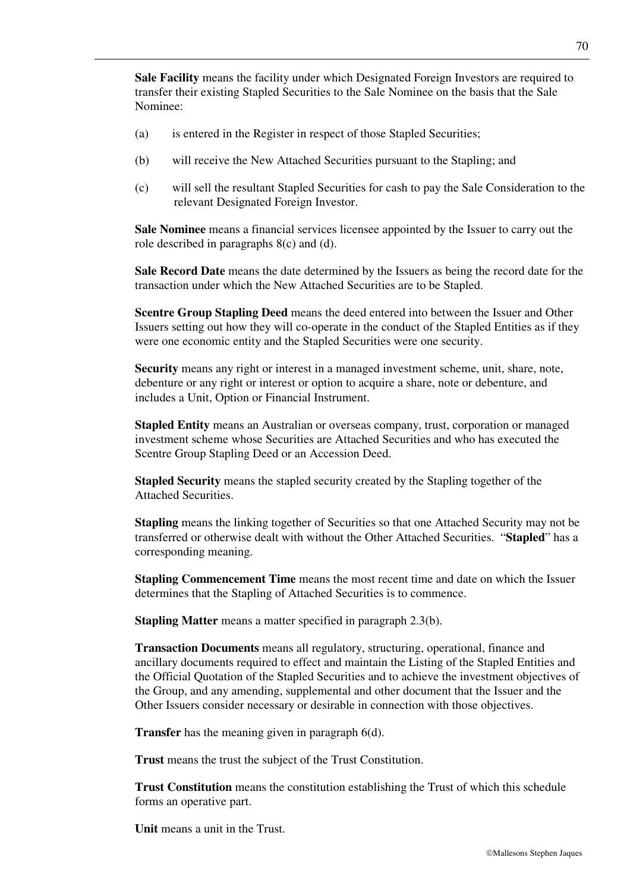**Sale Facility** means the facility under which Designated Foreign Investors are required to transfer their existing Stapled Securities to the Sale Nominee on the basis that the Sale Nominee:

- (a) is entered in the Register in respect of those Stapled Securities;
- (b) will receive the New Attached Securities pursuant to the Stapling; and
- (c) will sell the resultant Stapled Securities for cash to pay the Sale Consideration to the relevant Designated Foreign Investor.

**Sale Nominee** means a financial services licensee appointed by the Issuer to carry out the role described in paragraphs 8(c) and (d).

**Sale Record Date** means the date determined by the Issuers as being the record date for the transaction under which the New Attached Securities are to be Stapled.

**Scentre Group Stapling Deed** means the deed entered into between the Issuer and Other Issuers setting out how they will co-operate in the conduct of the Stapled Entities as if they were one economic entity and the Stapled Securities were one security.

**Security** means any right or interest in a managed investment scheme, unit, share, note, debenture or any right or interest or option to acquire a share, note or debenture, and includes a Unit, Option or Financial Instrument.

**Stapled Entity** means an Australian or overseas company, trust, corporation or managed investment scheme whose Securities are Attached Securities and who has executed the Scentre Group Stapling Deed or an Accession Deed.

**Stapled Security** means the stapled security created by the Stapling together of the Attached Securities.

**Stapling** means the linking together of Securities so that one Attached Security may not be transferred or otherwise dealt with without the Other Attached Securities. "**Stapled**" has a corresponding meaning.

**Stapling Commencement Time** means the most recent time and date on which the Issuer determines that the Stapling of Attached Securities is to commence.

**Stapling Matter** means a matter specified in paragraph 2.3(b).

**Transaction Documents** means all regulatory, structuring, operational, finance and ancillary documents required to effect and maintain the Listing of the Stapled Entities and the Official Quotation of the Stapled Securities and to achieve the investment objectives of the Group, and any amending, supplemental and other document that the Issuer and the Other Issuers consider necessary or desirable in connection with those objectives.

**Transfer** has the meaning given in paragraph 6(d).

**Trust** means the trust the subject of the Trust Constitution.

**Trust Constitution** means the constitution establishing the Trust of which this schedule forms an operative part.

**Unit** means a unit in the Trust.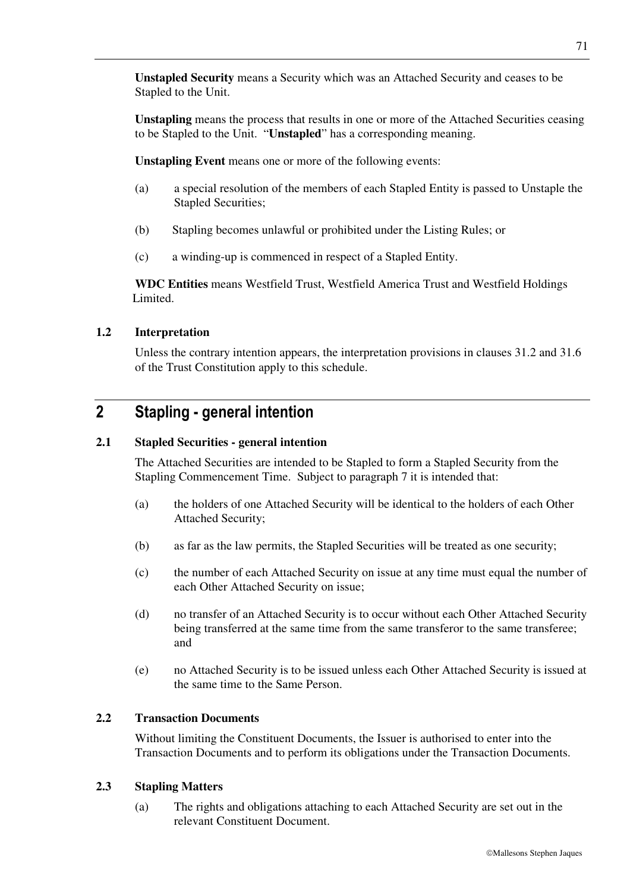**Unstapled Security** means a Security which was an Attached Security and ceases to be Stapled to the Unit.

**Unstapling** means the process that results in one or more of the Attached Securities ceasing to be Stapled to the Unit. "**Unstapled**" has a corresponding meaning.

**Unstapling Event** means one or more of the following events:

- (a) a special resolution of the members of each Stapled Entity is passed to Unstaple the Stapled Securities;
- (b) Stapling becomes unlawful or prohibited under the Listing Rules; or
- (c) a winding-up is commenced in respect of a Stapled Entity.

**WDC Entities** means Westfield Trust, Westfield America Trust and Westfield Holdings Limited.

## **1.2 Interpretation**

Unless the contrary intention appears, the interpretation provisions in clauses 31.2 and 31.6 of the Trust Constitution apply to this schedule.

# **2 Stapling - general intention**

## **2.1 Stapled Securities - general intention**

The Attached Securities are intended to be Stapled to form a Stapled Security from the Stapling Commencement Time. Subject to paragraph 7 it is intended that:

- (a) the holders of one Attached Security will be identical to the holders of each Other Attached Security;
- (b) as far as the law permits, the Stapled Securities will be treated as one security;
- (c) the number of each Attached Security on issue at any time must equal the number of each Other Attached Security on issue;
- (d) no transfer of an Attached Security is to occur without each Other Attached Security being transferred at the same time from the same transferor to the same transferee; and
- (e) no Attached Security is to be issued unless each Other Attached Security is issued at the same time to the Same Person.

## **2.2 Transaction Documents**

Without limiting the Constituent Documents, the Issuer is authorised to enter into the Transaction Documents and to perform its obligations under the Transaction Documents.

## **2.3 Stapling Matters**

(a) The rights and obligations attaching to each Attached Security are set out in the relevant Constituent Document.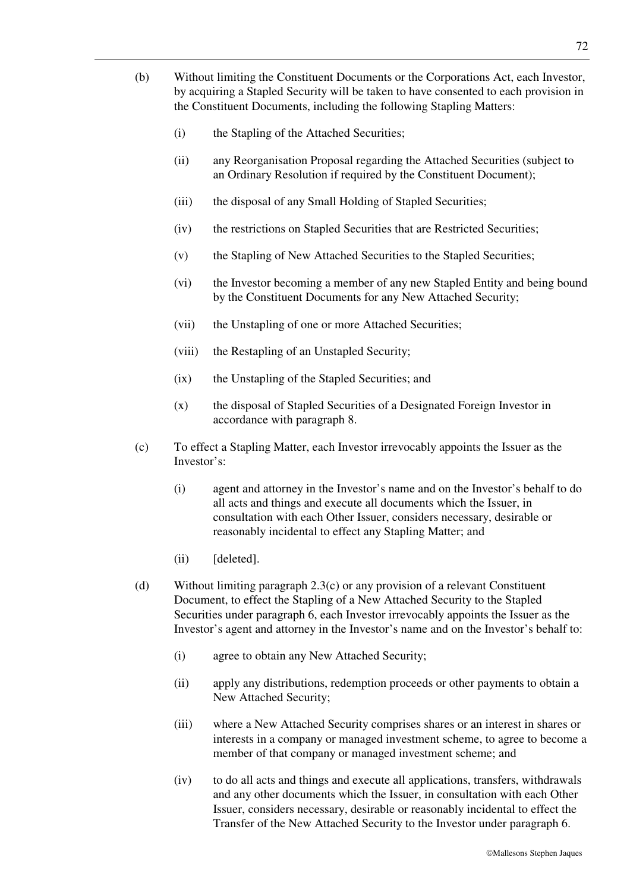- (b) Without limiting the Constituent Documents or the Corporations Act, each Investor, by acquiring a Stapled Security will be taken to have consented to each provision in the Constituent Documents, including the following Stapling Matters:
	- (i) the Stapling of the Attached Securities;
	- (ii) any Reorganisation Proposal regarding the Attached Securities (subject to an Ordinary Resolution if required by the Constituent Document);
	- (iii) the disposal of any Small Holding of Stapled Securities;
	- (iv) the restrictions on Stapled Securities that are Restricted Securities;
	- (v) the Stapling of New Attached Securities to the Stapled Securities;
	- (vi) the Investor becoming a member of any new Stapled Entity and being bound by the Constituent Documents for any New Attached Security;
	- (vii) the Unstapling of one or more Attached Securities;
	- (viii) the Restapling of an Unstapled Security;
	- (ix) the Unstapling of the Stapled Securities; and
	- (x) the disposal of Stapled Securities of a Designated Foreign Investor in accordance with paragraph 8.
- (c) To effect a Stapling Matter, each Investor irrevocably appoints the Issuer as the Investor's:
	- (i) agent and attorney in the Investor's name and on the Investor's behalf to do all acts and things and execute all documents which the Issuer, in consultation with each Other Issuer, considers necessary, desirable or reasonably incidental to effect any Stapling Matter; and
	- (ii) [deleted].
- (d) Without limiting paragraph 2.3(c) or any provision of a relevant Constituent Document, to effect the Stapling of a New Attached Security to the Stapled Securities under paragraph 6, each Investor irrevocably appoints the Issuer as the Investor's agent and attorney in the Investor's name and on the Investor's behalf to:
	- (i) agree to obtain any New Attached Security;
	- (ii) apply any distributions, redemption proceeds or other payments to obtain a New Attached Security;
	- (iii) where a New Attached Security comprises shares or an interest in shares or interests in a company or managed investment scheme, to agree to become a member of that company or managed investment scheme; and
	- (iv) to do all acts and things and execute all applications, transfers, withdrawals and any other documents which the Issuer, in consultation with each Other Issuer, considers necessary, desirable or reasonably incidental to effect the Transfer of the New Attached Security to the Investor under paragraph 6.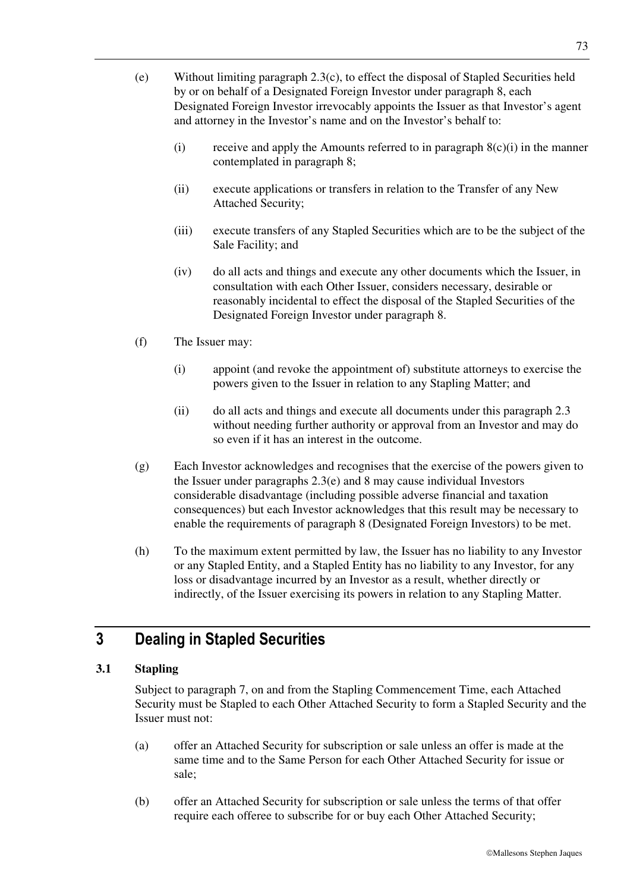- (e) Without limiting paragraph 2.3(c), to effect the disposal of Stapled Securities held by or on behalf of a Designated Foreign Investor under paragraph 8, each Designated Foreign Investor irrevocably appoints the Issuer as that Investor's agent and attorney in the Investor's name and on the Investor's behalf to:
	- (i) receive and apply the Amounts referred to in paragraph  $8(c)(i)$  in the manner contemplated in paragraph 8;
	- (ii) execute applications or transfers in relation to the Transfer of any New Attached Security;
	- (iii) execute transfers of any Stapled Securities which are to be the subject of the Sale Facility; and
	- (iv) do all acts and things and execute any other documents which the Issuer, in consultation with each Other Issuer, considers necessary, desirable or reasonably incidental to effect the disposal of the Stapled Securities of the Designated Foreign Investor under paragraph 8.
- (f) The Issuer may:
	- (i) appoint (and revoke the appointment of) substitute attorneys to exercise the powers given to the Issuer in relation to any Stapling Matter; and
	- (ii) do all acts and things and execute all documents under this paragraph 2.3 without needing further authority or approval from an Investor and may do so even if it has an interest in the outcome.
- (g) Each Investor acknowledges and recognises that the exercise of the powers given to the Issuer under paragraphs 2.3(e) and 8 may cause individual Investors considerable disadvantage (including possible adverse financial and taxation consequences) but each Investor acknowledges that this result may be necessary to enable the requirements of paragraph 8 (Designated Foreign Investors) to be met.
- (h) To the maximum extent permitted by law, the Issuer has no liability to any Investor or any Stapled Entity, and a Stapled Entity has no liability to any Investor, for any loss or disadvantage incurred by an Investor as a result, whether directly or indirectly, of the Issuer exercising its powers in relation to any Stapling Matter.

# **3 Dealing in Stapled Securities**

## **3.1 Stapling**

Subject to paragraph 7, on and from the Stapling Commencement Time, each Attached Security must be Stapled to each Other Attached Security to form a Stapled Security and the Issuer must not:

- (a) offer an Attached Security for subscription or sale unless an offer is made at the same time and to the Same Person for each Other Attached Security for issue or sale;
- (b) offer an Attached Security for subscription or sale unless the terms of that offer require each offeree to subscribe for or buy each Other Attached Security;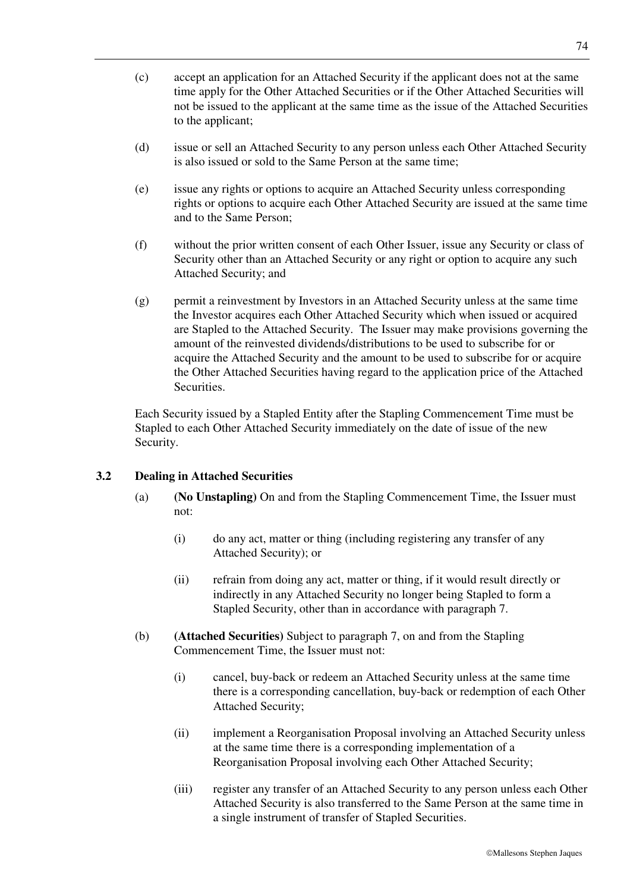- (c) accept an application for an Attached Security if the applicant does not at the same time apply for the Other Attached Securities or if the Other Attached Securities will not be issued to the applicant at the same time as the issue of the Attached Securities to the applicant;
- (d) issue or sell an Attached Security to any person unless each Other Attached Security is also issued or sold to the Same Person at the same time;
- (e) issue any rights or options to acquire an Attached Security unless corresponding rights or options to acquire each Other Attached Security are issued at the same time and to the Same Person;
- (f) without the prior written consent of each Other Issuer, issue any Security or class of Security other than an Attached Security or any right or option to acquire any such Attached Security; and
- (g) permit a reinvestment by Investors in an Attached Security unless at the same time the Investor acquires each Other Attached Security which when issued or acquired are Stapled to the Attached Security. The Issuer may make provisions governing the amount of the reinvested dividends/distributions to be used to subscribe for or acquire the Attached Security and the amount to be used to subscribe for or acquire the Other Attached Securities having regard to the application price of the Attached Securities.

Each Security issued by a Stapled Entity after the Stapling Commencement Time must be Stapled to each Other Attached Security immediately on the date of issue of the new Security.

## **3.2 Dealing in Attached Securities**

- (a) **(No Unstapling)** On and from the Stapling Commencement Time, the Issuer must not:
	- (i) do any act, matter or thing (including registering any transfer of any Attached Security); or
	- (ii) refrain from doing any act, matter or thing, if it would result directly or indirectly in any Attached Security no longer being Stapled to form a Stapled Security, other than in accordance with paragraph 7.
- (b) **(Attached Securities)** Subject to paragraph 7, on and from the Stapling Commencement Time, the Issuer must not:
	- (i) cancel, buy-back or redeem an Attached Security unless at the same time there is a corresponding cancellation, buy-back or redemption of each Other Attached Security;
	- (ii) implement a Reorganisation Proposal involving an Attached Security unless at the same time there is a corresponding implementation of a Reorganisation Proposal involving each Other Attached Security;
	- (iii) register any transfer of an Attached Security to any person unless each Other Attached Security is also transferred to the Same Person at the same time in a single instrument of transfer of Stapled Securities.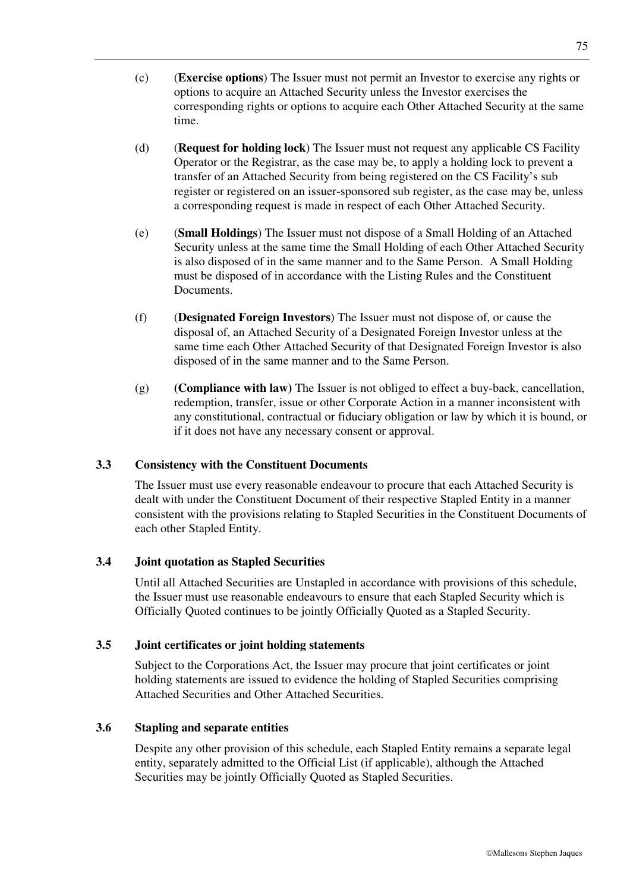- (c) (**Exercise options**) The Issuer must not permit an Investor to exercise any rights or options to acquire an Attached Security unless the Investor exercises the corresponding rights or options to acquire each Other Attached Security at the same time.
- (d) (**Request for holding lock**) The Issuer must not request any applicable CS Facility Operator or the Registrar, as the case may be, to apply a holding lock to prevent a transfer of an Attached Security from being registered on the CS Facility's sub register or registered on an issuer-sponsored sub register, as the case may be, unless a corresponding request is made in respect of each Other Attached Security.
- (e) (**Small Holdings**) The Issuer must not dispose of a Small Holding of an Attached Security unless at the same time the Small Holding of each Other Attached Security is also disposed of in the same manner and to the Same Person. A Small Holding must be disposed of in accordance with the Listing Rules and the Constituent Documents.
- (f) (**Designated Foreign Investors**) The Issuer must not dispose of, or cause the disposal of, an Attached Security of a Designated Foreign Investor unless at the same time each Other Attached Security of that Designated Foreign Investor is also disposed of in the same manner and to the Same Person.
- (g) **(Compliance with law)** The Issuer is not obliged to effect a buy-back, cancellation, redemption, transfer, issue or other Corporate Action in a manner inconsistent with any constitutional, contractual or fiduciary obligation or law by which it is bound, or if it does not have any necessary consent or approval.

## **3.3 Consistency with the Constituent Documents**

The Issuer must use every reasonable endeavour to procure that each Attached Security is dealt with under the Constituent Document of their respective Stapled Entity in a manner consistent with the provisions relating to Stapled Securities in the Constituent Documents of each other Stapled Entity.

## **3.4 Joint quotation as Stapled Securities**

Until all Attached Securities are Unstapled in accordance with provisions of this schedule, the Issuer must use reasonable endeavours to ensure that each Stapled Security which is Officially Quoted continues to be jointly Officially Quoted as a Stapled Security.

## **3.5 Joint certificates or joint holding statements**

Subject to the Corporations Act, the Issuer may procure that joint certificates or joint holding statements are issued to evidence the holding of Stapled Securities comprising Attached Securities and Other Attached Securities.

## **3.6 Stapling and separate entities**

Despite any other provision of this schedule, each Stapled Entity remains a separate legal entity, separately admitted to the Official List (if applicable), although the Attached Securities may be jointly Officially Quoted as Stapled Securities.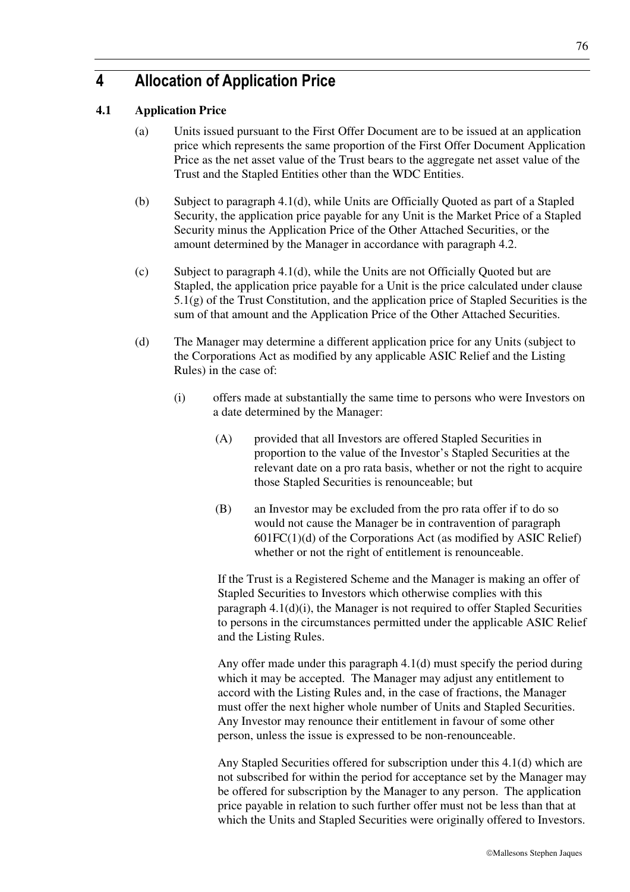Mallesons Stephen Jaques

# **4 Allocation of Application Price**

## **4.1 Application Price**

- (a) Units issued pursuant to the First Offer Document are to be issued at an application price which represents the same proportion of the First Offer Document Application Price as the net asset value of the Trust bears to the aggregate net asset value of the Trust and the Stapled Entities other than the WDC Entities.
- (b) Subject to paragraph 4.1(d), while Units are Officially Quoted as part of a Stapled Security, the application price payable for any Unit is the Market Price of a Stapled Security minus the Application Price of the Other Attached Securities, or the amount determined by the Manager in accordance with paragraph 4.2.
- (c) Subject to paragraph 4.1(d), while the Units are not Officially Quoted but are Stapled, the application price payable for a Unit is the price calculated under clause 5.1(g) of the Trust Constitution, and the application price of Stapled Securities is the sum of that amount and the Application Price of the Other Attached Securities.
- (d) The Manager may determine a different application price for any Units (subject to the Corporations Act as modified by any applicable ASIC Relief and the Listing Rules) in the case of:
	- (i) offers made at substantially the same time to persons who were Investors on a date determined by the Manager:
		- (A) provided that all Investors are offered Stapled Securities in proportion to the value of the Investor's Stapled Securities at the relevant date on a pro rata basis, whether or not the right to acquire those Stapled Securities is renounceable; but
		- (B) an Investor may be excluded from the pro rata offer if to do so would not cause the Manager be in contravention of paragraph  $601FC(1)(d)$  of the Corporations Act (as modified by ASIC Relief) whether or not the right of entitlement is renounceable.

If the Trust is a Registered Scheme and the Manager is making an offer of Stapled Securities to Investors which otherwise complies with this paragraph 4.1(d)(i), the Manager is not required to offer Stapled Securities to persons in the circumstances permitted under the applicable ASIC Relief and the Listing Rules.

Any offer made under this paragraph 4.1(d) must specify the period during which it may be accepted. The Manager may adjust any entitlement to accord with the Listing Rules and, in the case of fractions, the Manager must offer the next higher whole number of Units and Stapled Securities. Any Investor may renounce their entitlement in favour of some other person, unless the issue is expressed to be non-renounceable.

Any Stapled Securities offered for subscription under this 4.1(d) which are not subscribed for within the period for acceptance set by the Manager may be offered for subscription by the Manager to any person. The application price payable in relation to such further offer must not be less than that at which the Units and Stapled Securities were originally offered to Investors.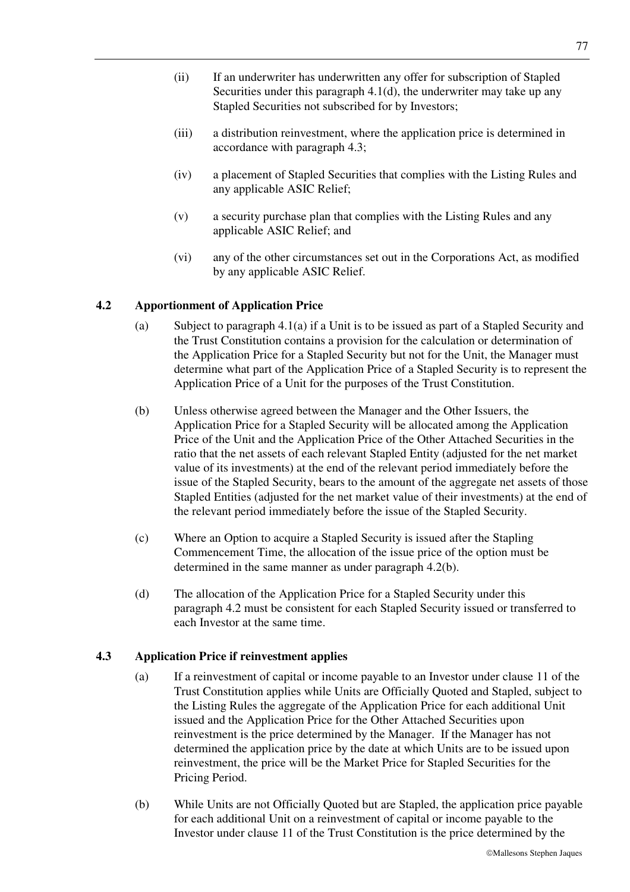- (ii) If an underwriter has underwritten any offer for subscription of Stapled Securities under this paragraph 4.1(d), the underwriter may take up any Stapled Securities not subscribed for by Investors;
- (iii) a distribution reinvestment, where the application price is determined in accordance with paragraph 4.3;
- (iv) a placement of Stapled Securities that complies with the Listing Rules and any applicable ASIC Relief;
- (v) a security purchase plan that complies with the Listing Rules and any applicable ASIC Relief; and
- (vi) any of the other circumstances set out in the Corporations Act, as modified by any applicable ASIC Relief.

## **4.2 Apportionment of Application Price**

- (a) Subject to paragraph 4.1(a) if a Unit is to be issued as part of a Stapled Security and the Trust Constitution contains a provision for the calculation or determination of the Application Price for a Stapled Security but not for the Unit, the Manager must determine what part of the Application Price of a Stapled Security is to represent the Application Price of a Unit for the purposes of the Trust Constitution.
- (b) Unless otherwise agreed between the Manager and the Other Issuers, the Application Price for a Stapled Security will be allocated among the Application Price of the Unit and the Application Price of the Other Attached Securities in the ratio that the net assets of each relevant Stapled Entity (adjusted for the net market value of its investments) at the end of the relevant period immediately before the issue of the Stapled Security, bears to the amount of the aggregate net assets of those Stapled Entities (adjusted for the net market value of their investments) at the end of the relevant period immediately before the issue of the Stapled Security.
- (c) Where an Option to acquire a Stapled Security is issued after the Stapling Commencement Time, the allocation of the issue price of the option must be determined in the same manner as under paragraph 4.2(b).
- (d) The allocation of the Application Price for a Stapled Security under this paragraph 4.2 must be consistent for each Stapled Security issued or transferred to each Investor at the same time.

## **4.3 Application Price if reinvestment applies**

- (a) If a reinvestment of capital or income payable to an Investor under clause 11 of the Trust Constitution applies while Units are Officially Quoted and Stapled, subject to the Listing Rules the aggregate of the Application Price for each additional Unit issued and the Application Price for the Other Attached Securities upon reinvestment is the price determined by the Manager. If the Manager has not determined the application price by the date at which Units are to be issued upon reinvestment, the price will be the Market Price for Stapled Securities for the Pricing Period.
- (b) While Units are not Officially Quoted but are Stapled, the application price payable for each additional Unit on a reinvestment of capital or income payable to the Investor under clause 11 of the Trust Constitution is the price determined by the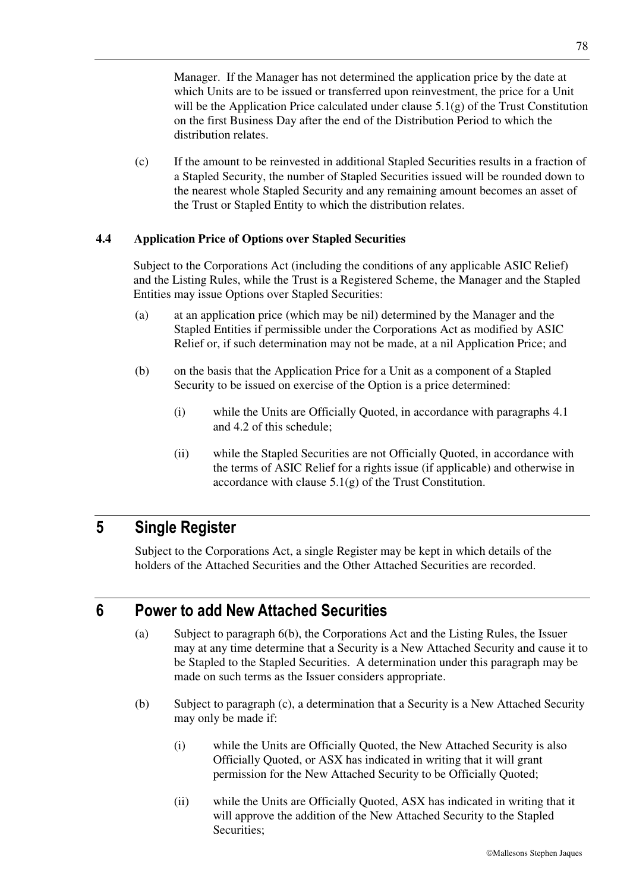Manager. If the Manager has not determined the application price by the date at which Units are to be issued or transferred upon reinvestment, the price for a Unit will be the Application Price calculated under clause  $5.1(g)$  of the Trust Constitution on the first Business Day after the end of the Distribution Period to which the distribution relates.

(c) If the amount to be reinvested in additional Stapled Securities results in a fraction of a Stapled Security, the number of Stapled Securities issued will be rounded down to the nearest whole Stapled Security and any remaining amount becomes an asset of the Trust or Stapled Entity to which the distribution relates.

## **4.4 Application Price of Options over Stapled Securities**

Subject to the Corporations Act (including the conditions of any applicable ASIC Relief) and the Listing Rules, while the Trust is a Registered Scheme, the Manager and the Stapled Entities may issue Options over Stapled Securities:

- (a) at an application price (which may be nil) determined by the Manager and the Stapled Entities if permissible under the Corporations Act as modified by ASIC Relief or, if such determination may not be made, at a nil Application Price; and
- (b) on the basis that the Application Price for a Unit as a component of a Stapled Security to be issued on exercise of the Option is a price determined:
	- (i) while the Units are Officially Quoted, in accordance with paragraphs 4.1 and 4.2 of this schedule;
	- (ii) while the Stapled Securities are not Officially Quoted, in accordance with the terms of ASIC Relief for a rights issue (if applicable) and otherwise in accordance with clause  $5.1(g)$  of the Trust Constitution.

## **5 Single Register**

Subject to the Corporations Act, a single Register may be kept in which details of the holders of the Attached Securities and the Other Attached Securities are recorded.

## **6 Power to add New Attached Securities**

- (a) Subject to paragraph 6(b), the Corporations Act and the Listing Rules, the Issuer may at any time determine that a Security is a New Attached Security and cause it to be Stapled to the Stapled Securities. A determination under this paragraph may be made on such terms as the Issuer considers appropriate.
- (b) Subject to paragraph (c), a determination that a Security is a New Attached Security may only be made if:
	- (i) while the Units are Officially Quoted, the New Attached Security is also Officially Quoted, or ASX has indicated in writing that it will grant permission for the New Attached Security to be Officially Quoted;
	- (ii) while the Units are Officially Quoted, ASX has indicated in writing that it will approve the addition of the New Attached Security to the Stapled Securities;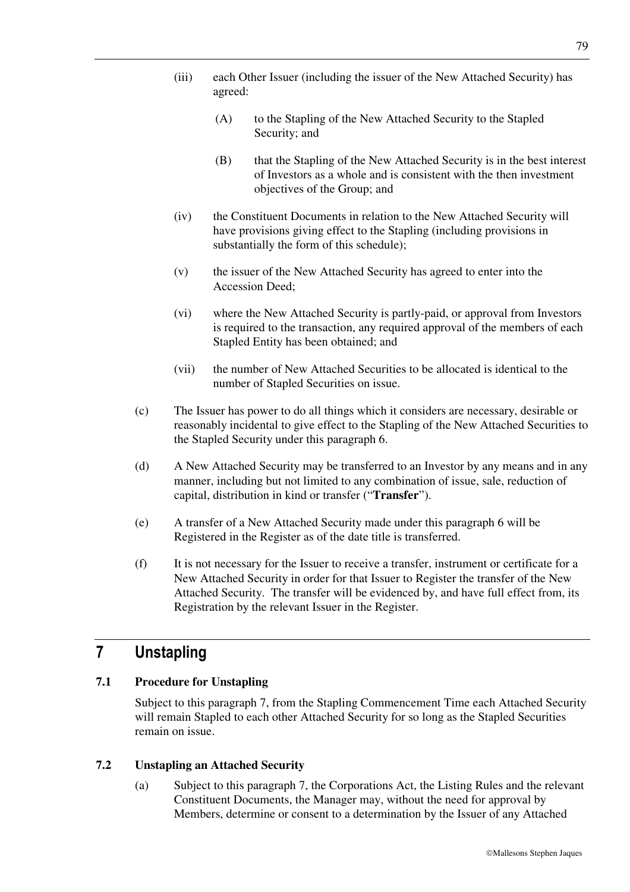- (iii) each Other Issuer (including the issuer of the New Attached Security) has agreed:
	- (A) to the Stapling of the New Attached Security to the Stapled Security; and
	- (B) that the Stapling of the New Attached Security is in the best interest of Investors as a whole and is consistent with the then investment objectives of the Group; and
- (iv) the Constituent Documents in relation to the New Attached Security will have provisions giving effect to the Stapling (including provisions in substantially the form of this schedule);
- (v) the issuer of the New Attached Security has agreed to enter into the Accession Deed;
- (vi) where the New Attached Security is partly-paid, or approval from Investors is required to the transaction, any required approval of the members of each Stapled Entity has been obtained; and
- (vii) the number of New Attached Securities to be allocated is identical to the number of Stapled Securities on issue.
- (c) The Issuer has power to do all things which it considers are necessary, desirable or reasonably incidental to give effect to the Stapling of the New Attached Securities to the Stapled Security under this paragraph 6.
- (d) A New Attached Security may be transferred to an Investor by any means and in any manner, including but not limited to any combination of issue, sale, reduction of capital, distribution in kind or transfer ("**Transfer**").
- (e) A transfer of a New Attached Security made under this paragraph 6 will be Registered in the Register as of the date title is transferred.
- (f) It is not necessary for the Issuer to receive a transfer, instrument or certificate for a New Attached Security in order for that Issuer to Register the transfer of the New Attached Security. The transfer will be evidenced by, and have full effect from, its Registration by the relevant Issuer in the Register.

# **7 Unstapling**

## **7.1 Procedure for Unstapling**

Subject to this paragraph 7, from the Stapling Commencement Time each Attached Security will remain Stapled to each other Attached Security for so long as the Stapled Securities remain on issue.

## **7.2 Unstapling an Attached Security**

(a) Subject to this paragraph 7, the Corporations Act, the Listing Rules and the relevant Constituent Documents, the Manager may, without the need for approval by Members, determine or consent to a determination by the Issuer of any Attached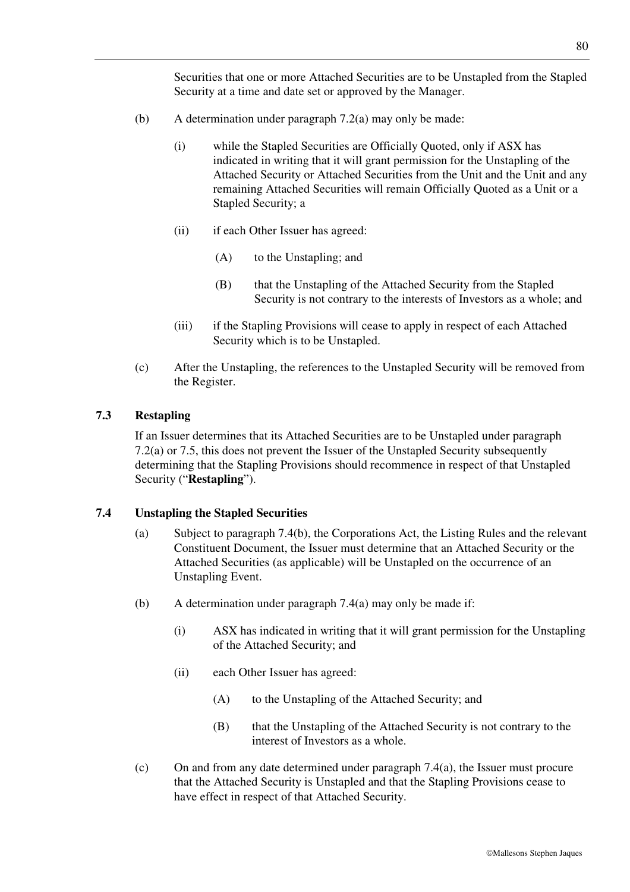Securities that one or more Attached Securities are to be Unstapled from the Stapled Security at a time and date set or approved by the Manager.

- (b) A determination under paragraph 7.2(a) may only be made:
	- (i) while the Stapled Securities are Officially Quoted, only if ASX has indicated in writing that it will grant permission for the Unstapling of the Attached Security or Attached Securities from the Unit and the Unit and any remaining Attached Securities will remain Officially Quoted as a Unit or a Stapled Security; a
	- (ii) if each Other Issuer has agreed:
		- (A) to the Unstapling; and
		- (B) that the Unstapling of the Attached Security from the Stapled Security is not contrary to the interests of Investors as a whole; and
	- (iii) if the Stapling Provisions will cease to apply in respect of each Attached Security which is to be Unstapled.
- (c) After the Unstapling, the references to the Unstapled Security will be removed from the Register.

## **7.3 Restapling**

If an Issuer determines that its Attached Securities are to be Unstapled under paragraph 7.2(a) or 7.5, this does not prevent the Issuer of the Unstapled Security subsequently determining that the Stapling Provisions should recommence in respect of that Unstapled Security ("**Restapling**").

## **7.4 Unstapling the Stapled Securities**

- (a) Subject to paragraph 7.4(b), the Corporations Act, the Listing Rules and the relevant Constituent Document, the Issuer must determine that an Attached Security or the Attached Securities (as applicable) will be Unstapled on the occurrence of an Unstapling Event.
- (b) A determination under paragraph 7.4(a) may only be made if:
	- (i) ASX has indicated in writing that it will grant permission for the Unstapling of the Attached Security; and
	- (ii) each Other Issuer has agreed:
		- (A) to the Unstapling of the Attached Security; and
		- (B) that the Unstapling of the Attached Security is not contrary to the interest of Investors as a whole.
- (c) On and from any date determined under paragraph 7.4(a), the Issuer must procure that the Attached Security is Unstapled and that the Stapling Provisions cease to have effect in respect of that Attached Security.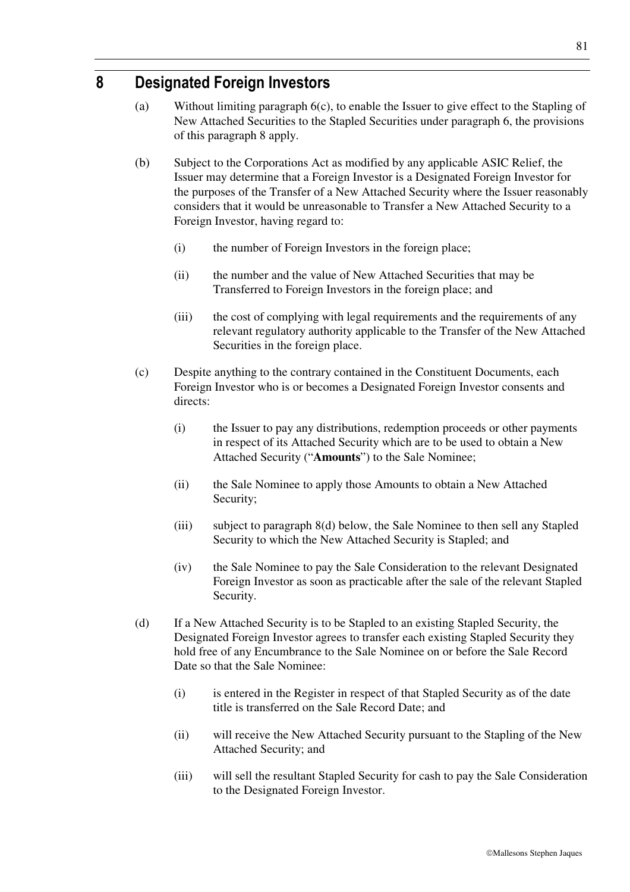# **8 Designated Foreign Investors**

- (a) Without limiting paragraph 6(c), to enable the Issuer to give effect to the Stapling of New Attached Securities to the Stapled Securities under paragraph 6, the provisions of this paragraph 8 apply.
- (b) Subject to the Corporations Act as modified by any applicable ASIC Relief, the Issuer may determine that a Foreign Investor is a Designated Foreign Investor for the purposes of the Transfer of a New Attached Security where the Issuer reasonably considers that it would be unreasonable to Transfer a New Attached Security to a Foreign Investor, having regard to:
	- (i) the number of Foreign Investors in the foreign place;
	- (ii) the number and the value of New Attached Securities that may be Transferred to Foreign Investors in the foreign place; and
	- (iii) the cost of complying with legal requirements and the requirements of any relevant regulatory authority applicable to the Transfer of the New Attached Securities in the foreign place.
- (c) Despite anything to the contrary contained in the Constituent Documents, each Foreign Investor who is or becomes a Designated Foreign Investor consents and directs:
	- (i) the Issuer to pay any distributions, redemption proceeds or other payments in respect of its Attached Security which are to be used to obtain a New Attached Security ("**Amounts**") to the Sale Nominee;
	- (ii) the Sale Nominee to apply those Amounts to obtain a New Attached Security;
	- (iii) subject to paragraph 8(d) below, the Sale Nominee to then sell any Stapled Security to which the New Attached Security is Stapled; and
	- (iv) the Sale Nominee to pay the Sale Consideration to the relevant Designated Foreign Investor as soon as practicable after the sale of the relevant Stapled Security.
- (d) If a New Attached Security is to be Stapled to an existing Stapled Security, the Designated Foreign Investor agrees to transfer each existing Stapled Security they hold free of any Encumbrance to the Sale Nominee on or before the Sale Record Date so that the Sale Nominee:
	- (i) is entered in the Register in respect of that Stapled Security as of the date title is transferred on the Sale Record Date; and
	- (ii) will receive the New Attached Security pursuant to the Stapling of the New Attached Security; and
	- (iii) will sell the resultant Stapled Security for cash to pay the Sale Consideration to the Designated Foreign Investor.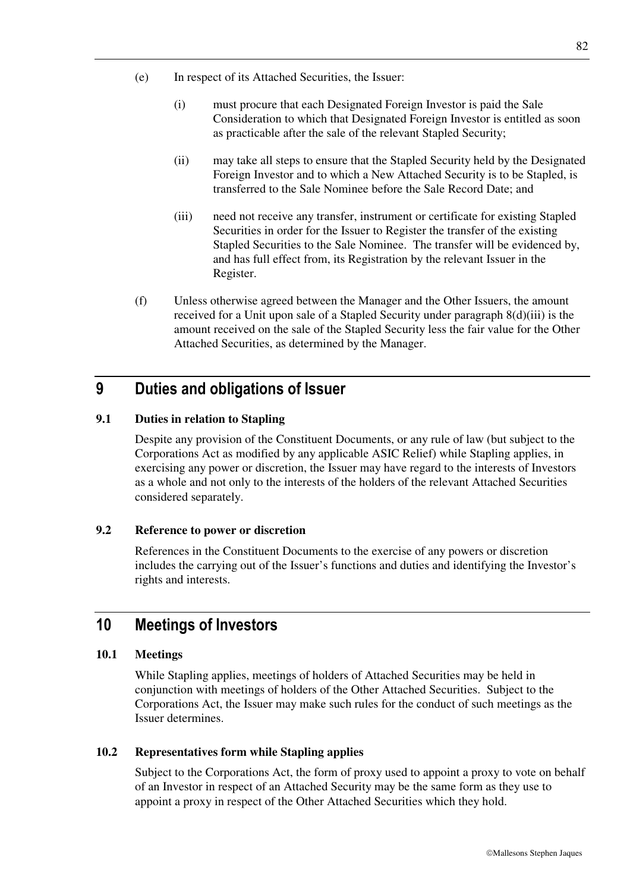- (e) In respect of its Attached Securities, the Issuer:
	- (i) must procure that each Designated Foreign Investor is paid the Sale Consideration to which that Designated Foreign Investor is entitled as soon as practicable after the sale of the relevant Stapled Security;
	- (ii) may take all steps to ensure that the Stapled Security held by the Designated Foreign Investor and to which a New Attached Security is to be Stapled, is transferred to the Sale Nominee before the Sale Record Date; and
	- (iii) need not receive any transfer, instrument or certificate for existing Stapled Securities in order for the Issuer to Register the transfer of the existing Stapled Securities to the Sale Nominee. The transfer will be evidenced by, and has full effect from, its Registration by the relevant Issuer in the Register.
- (f) Unless otherwise agreed between the Manager and the Other Issuers, the amount received for a Unit upon sale of a Stapled Security under paragraph 8(d)(iii) is the amount received on the sale of the Stapled Security less the fair value for the Other Attached Securities, as determined by the Manager.

# **9 Duties and obligations of Issuer**

## **9.1 Duties in relation to Stapling**

Despite any provision of the Constituent Documents, or any rule of law (but subject to the Corporations Act as modified by any applicable ASIC Relief) while Stapling applies, in exercising any power or discretion, the Issuer may have regard to the interests of Investors as a whole and not only to the interests of the holders of the relevant Attached Securities considered separately.

## **9.2 Reference to power or discretion**

References in the Constituent Documents to the exercise of any powers or discretion includes the carrying out of the Issuer's functions and duties and identifying the Investor's rights and interests.

# **10 Meetings of Investors**

## **10.1 Meetings**

While Stapling applies, meetings of holders of Attached Securities may be held in conjunction with meetings of holders of the Other Attached Securities. Subject to the Corporations Act, the Issuer may make such rules for the conduct of such meetings as the Issuer determines.

## **10.2 Representatives form while Stapling applies**

Subject to the Corporations Act, the form of proxy used to appoint a proxy to vote on behalf of an Investor in respect of an Attached Security may be the same form as they use to appoint a proxy in respect of the Other Attached Securities which they hold.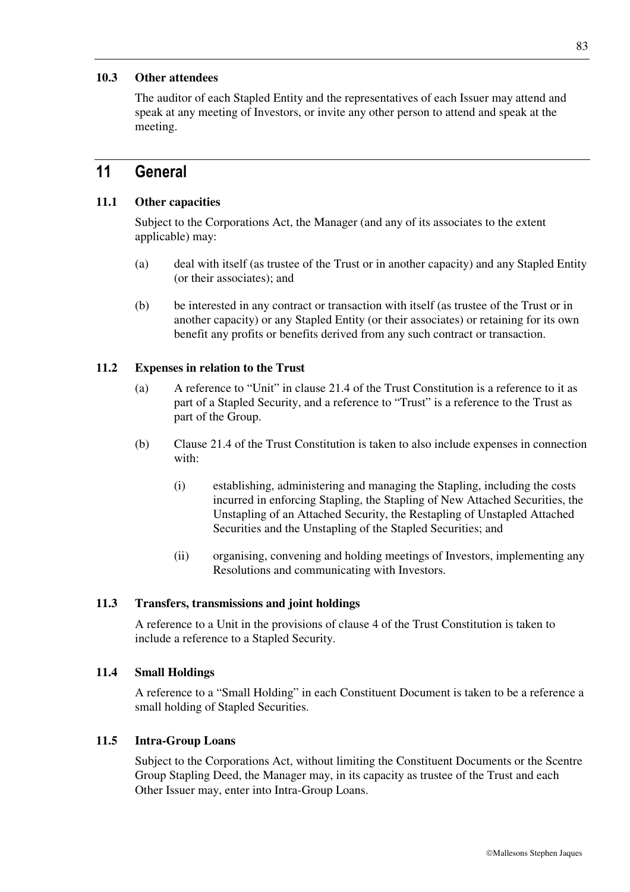## **10.3 Other attendees**

The auditor of each Stapled Entity and the representatives of each Issuer may attend and speak at any meeting of Investors, or invite any other person to attend and speak at the meeting.

## **11 General**

#### **11.1 Other capacities**

Subject to the Corporations Act, the Manager (and any of its associates to the extent applicable) may:

- (a) deal with itself (as trustee of the Trust or in another capacity) and any Stapled Entity (or their associates); and
- (b) be interested in any contract or transaction with itself (as trustee of the Trust or in another capacity) or any Stapled Entity (or their associates) or retaining for its own benefit any profits or benefits derived from any such contract or transaction.

#### **11.2 Expenses in relation to the Trust**

- (a) A reference to "Unit" in clause 21.4 of the Trust Constitution is a reference to it as part of a Stapled Security, and a reference to "Trust" is a reference to the Trust as part of the Group.
- (b) Clause 21.4 of the Trust Constitution is taken to also include expenses in connection with:
	- (i) establishing, administering and managing the Stapling, including the costs incurred in enforcing Stapling, the Stapling of New Attached Securities, the Unstapling of an Attached Security, the Restapling of Unstapled Attached Securities and the Unstapling of the Stapled Securities; and
	- (ii) organising, convening and holding meetings of Investors, implementing any Resolutions and communicating with Investors.

#### **11.3 Transfers, transmissions and joint holdings**

A reference to a Unit in the provisions of clause 4 of the Trust Constitution is taken to include a reference to a Stapled Security.

#### **11.4 Small Holdings**

A reference to a "Small Holding" in each Constituent Document is taken to be a reference a small holding of Stapled Securities.

#### **11.5 Intra-Group Loans**

Subject to the Corporations Act, without limiting the Constituent Documents or the Scentre Group Stapling Deed, the Manager may, in its capacity as trustee of the Trust and each Other Issuer may, enter into Intra-Group Loans.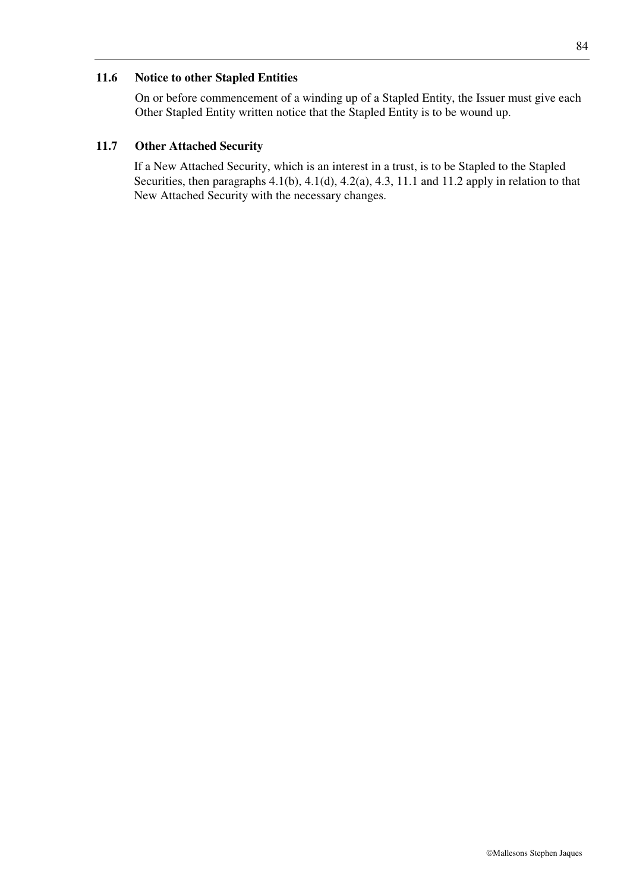### **11.6 Notice to other Stapled Entities**

On or before commencement of a winding up of a Stapled Entity, the Issuer must give each Other Stapled Entity written notice that the Stapled Entity is to be wound up.

## **11.7 Other Attached Security**

If a New Attached Security, which is an interest in a trust, is to be Stapled to the Stapled Securities, then paragraphs 4.1(b), 4.1(d), 4.2(a), 4.3, 11.1 and 11.2 apply in relation to that New Attached Security with the necessary changes.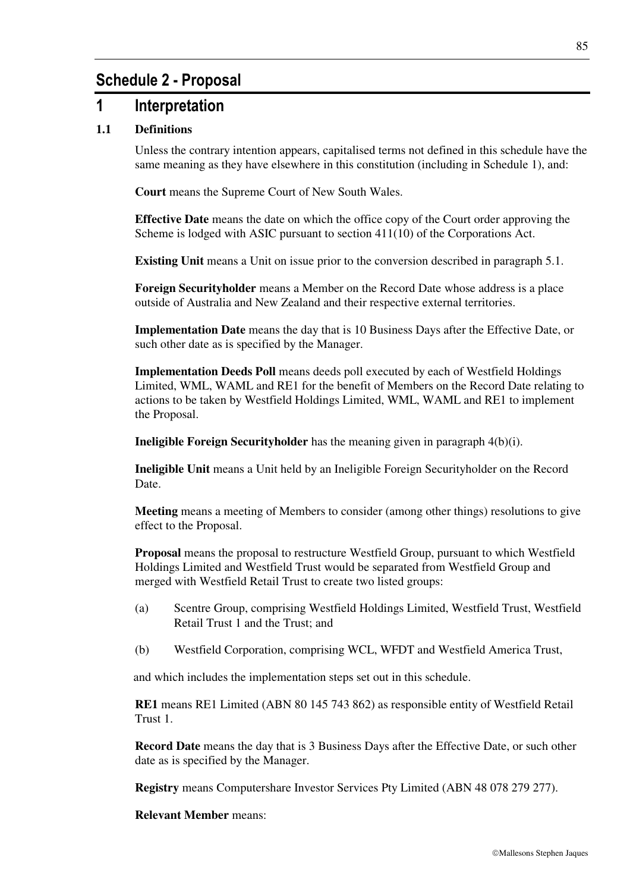# **Schedule 2 - Proposal**

## **1 Interpretation**

## **1.1 Definitions**

Unless the contrary intention appears, capitalised terms not defined in this schedule have the same meaning as they have elsewhere in this constitution (including in Schedule 1), and:

**Court** means the Supreme Court of New South Wales.

**Effective Date** means the date on which the office copy of the Court order approving the Scheme is lodged with ASIC pursuant to section 411(10) of the Corporations Act.

**Existing Unit** means a Unit on issue prior to the conversion described in paragraph 5.1.

**Foreign Securityholder** means a Member on the Record Date whose address is a place outside of Australia and New Zealand and their respective external territories.

**Implementation Date** means the day that is 10 Business Days after the Effective Date, or such other date as is specified by the Manager.

**Implementation Deeds Poll** means deeds poll executed by each of Westfield Holdings Limited, WML, WAML and RE1 for the benefit of Members on the Record Date relating to actions to be taken by Westfield Holdings Limited, WML, WAML and RE1 to implement the Proposal.

**Ineligible Foreign Securityholder** has the meaning given in paragraph 4(b)(i).

**Ineligible Unit** means a Unit held by an Ineligible Foreign Securityholder on the Record Date.

**Meeting** means a meeting of Members to consider (among other things) resolutions to give effect to the Proposal.

**Proposal** means the proposal to restructure Westfield Group, pursuant to which Westfield Holdings Limited and Westfield Trust would be separated from Westfield Group and merged with Westfield Retail Trust to create two listed groups:

- (a) Scentre Group, comprising Westfield Holdings Limited, Westfield Trust, Westfield Retail Trust 1 and the Trust; and
- (b) Westfield Corporation, comprising WCL, WFDT and Westfield America Trust,

and which includes the implementation steps set out in this schedule.

**RE1** means RE1 Limited (ABN 80 145 743 862) as responsible entity of Westfield Retail Trust 1.

**Record Date** means the day that is 3 Business Days after the Effective Date, or such other date as is specified by the Manager.

**Registry** means Computershare Investor Services Pty Limited (ABN 48 078 279 277).

**Relevant Member** means: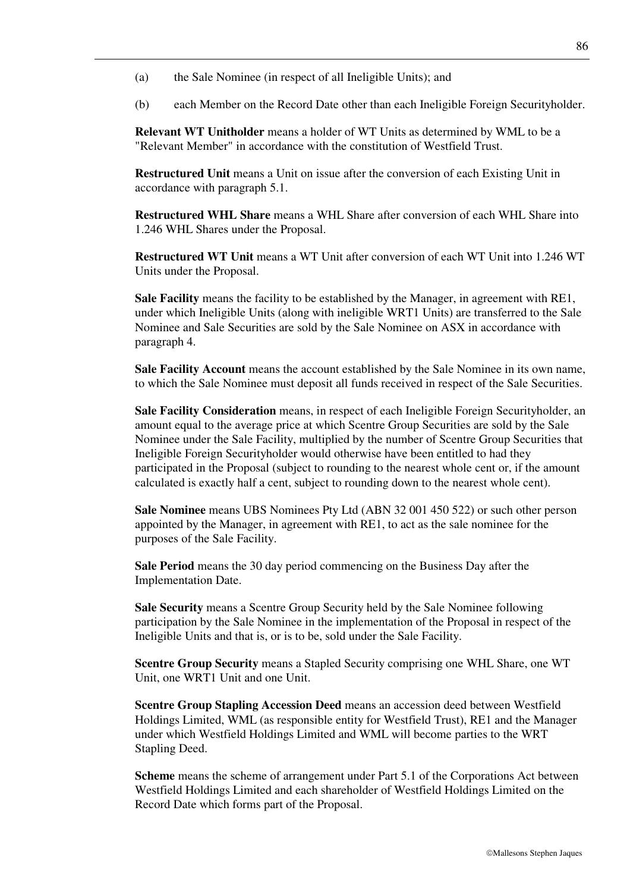- (a) the Sale Nominee (in respect of all Ineligible Units); and
- (b) each Member on the Record Date other than each Ineligible Foreign Securityholder.

**Relevant WT Unitholder** means a holder of WT Units as determined by WML to be a "Relevant Member" in accordance with the constitution of Westfield Trust.

**Restructured Unit** means a Unit on issue after the conversion of each Existing Unit in accordance with paragraph 5.1.

**Restructured WHL Share** means a WHL Share after conversion of each WHL Share into 1.246 WHL Shares under the Proposal.

**Restructured WT Unit** means a WT Unit after conversion of each WT Unit into 1.246 WT Units under the Proposal.

**Sale Facility** means the facility to be established by the Manager, in agreement with RE1, under which Ineligible Units (along with ineligible WRT1 Units) are transferred to the Sale Nominee and Sale Securities are sold by the Sale Nominee on ASX in accordance with paragraph 4.

**Sale Facility Account** means the account established by the Sale Nominee in its own name, to which the Sale Nominee must deposit all funds received in respect of the Sale Securities.

**Sale Facility Consideration** means, in respect of each Ineligible Foreign Securityholder, an amount equal to the average price at which Scentre Group Securities are sold by the Sale Nominee under the Sale Facility, multiplied by the number of Scentre Group Securities that Ineligible Foreign Securityholder would otherwise have been entitled to had they participated in the Proposal (subject to rounding to the nearest whole cent or, if the amount calculated is exactly half a cent, subject to rounding down to the nearest whole cent).

**Sale Nominee** means UBS Nominees Pty Ltd (ABN 32 001 450 522) or such other person appointed by the Manager, in agreement with RE1, to act as the sale nominee for the purposes of the Sale Facility.

**Sale Period** means the 30 day period commencing on the Business Day after the Implementation Date.

**Sale Security** means a Scentre Group Security held by the Sale Nominee following participation by the Sale Nominee in the implementation of the Proposal in respect of the Ineligible Units and that is, or is to be, sold under the Sale Facility.

**Scentre Group Security** means a Stapled Security comprising one WHL Share, one WT Unit, one WRT1 Unit and one Unit.

**Scentre Group Stapling Accession Deed** means an accession deed between Westfield Holdings Limited, WML (as responsible entity for Westfield Trust), RE1 and the Manager under which Westfield Holdings Limited and WML will become parties to the WRT Stapling Deed.

**Scheme** means the scheme of arrangement under Part 5.1 of the Corporations Act between Westfield Holdings Limited and each shareholder of Westfield Holdings Limited on the Record Date which forms part of the Proposal.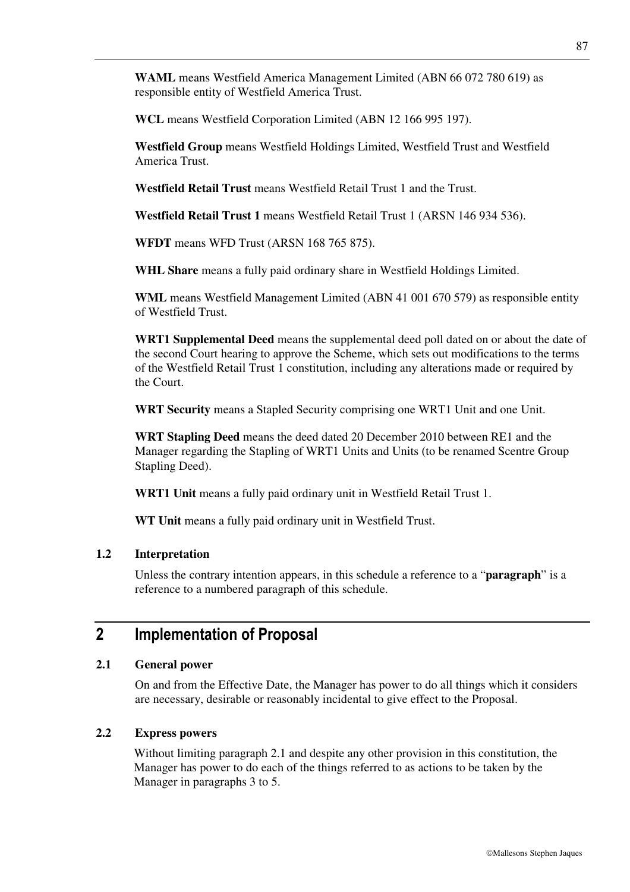**WAML** means Westfield America Management Limited (ABN 66 072 780 619) as responsible entity of Westfield America Trust.

**WCL** means Westfield Corporation Limited (ABN 12 166 995 197).

**Westfield Group** means Westfield Holdings Limited, Westfield Trust and Westfield America Trust.

**Westfield Retail Trust** means Westfield Retail Trust 1 and the Trust.

**Westfield Retail Trust 1** means Westfield Retail Trust 1 (ARSN 146 934 536).

**WFDT** means WFD Trust (ARSN 168 765 875).

WHL Share means a fully paid ordinary share in Westfield Holdings Limited.

**WML** means Westfield Management Limited (ABN 41 001 670 579) as responsible entity of Westfield Trust.

**WRT1 Supplemental Deed** means the supplemental deed poll dated on or about the date of the second Court hearing to approve the Scheme, which sets out modifications to the terms of the Westfield Retail Trust 1 constitution, including any alterations made or required by the Court.

**WRT Security** means a Stapled Security comprising one WRT1 Unit and one Unit.

**WRT Stapling Deed** means the deed dated 20 December 2010 between RE1 and the Manager regarding the Stapling of WRT1 Units and Units (to be renamed Scentre Group Stapling Deed).

**WRT1 Unit** means a fully paid ordinary unit in Westfield Retail Trust 1.

**WT Unit** means a fully paid ordinary unit in Westfield Trust.

#### **1.2 Interpretation**

Unless the contrary intention appears, in this schedule a reference to a "**paragraph**" is a reference to a numbered paragraph of this schedule.

## **2 Implementation of Proposal**

## **2.1 General power**

On and from the Effective Date, the Manager has power to do all things which it considers are necessary, desirable or reasonably incidental to give effect to the Proposal.

#### **2.2 Express powers**

Without limiting paragraph 2.1 and despite any other provision in this constitution, the Manager has power to do each of the things referred to as actions to be taken by the Manager in paragraphs 3 to 5.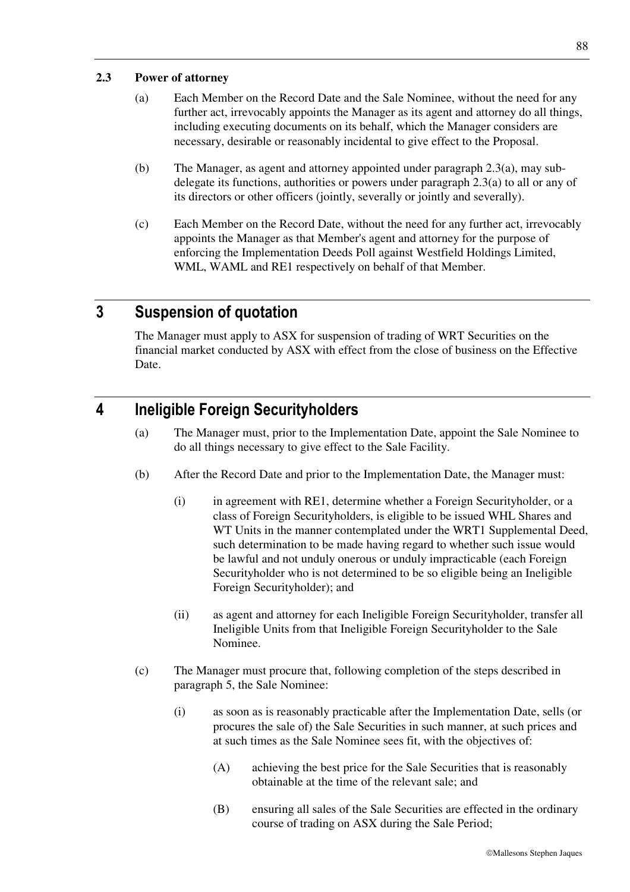## **2.3 Power of attorney**

- (a) Each Member on the Record Date and the Sale Nominee, without the need for any further act, irrevocably appoints the Manager as its agent and attorney do all things, including executing documents on its behalf, which the Manager considers are necessary, desirable or reasonably incidental to give effect to the Proposal.
- (b) The Manager, as agent and attorney appointed under paragraph 2.3(a), may subdelegate its functions, authorities or powers under paragraph 2.3(a) to all or any of its directors or other officers (jointly, severally or jointly and severally).
- (c) Each Member on the Record Date, without the need for any further act, irrevocably appoints the Manager as that Member's agent and attorney for the purpose of enforcing the Implementation Deeds Poll against Westfield Holdings Limited, WML, WAML and RE1 respectively on behalf of that Member.

# **3 Suspension of quotation**

The Manager must apply to ASX for suspension of trading of WRT Securities on the financial market conducted by ASX with effect from the close of business on the Effective Date.

# **4 Ineligible Foreign Securityholders**

- (a) The Manager must, prior to the Implementation Date, appoint the Sale Nominee to do all things necessary to give effect to the Sale Facility.
- (b) After the Record Date and prior to the Implementation Date, the Manager must:
	- (i) in agreement with RE1, determine whether a Foreign Securityholder, or a class of Foreign Securityholders, is eligible to be issued WHL Shares and WT Units in the manner contemplated under the WRT1 Supplemental Deed, such determination to be made having regard to whether such issue would be lawful and not unduly onerous or unduly impracticable (each Foreign Securityholder who is not determined to be so eligible being an Ineligible Foreign Securityholder); and
	- (ii) as agent and attorney for each Ineligible Foreign Securityholder, transfer all Ineligible Units from that Ineligible Foreign Securityholder to the Sale Nominee.
- (c) The Manager must procure that, following completion of the steps described in paragraph 5, the Sale Nominee:
	- (i) as soon as is reasonably practicable after the Implementation Date, sells (or procures the sale of) the Sale Securities in such manner, at such prices and at such times as the Sale Nominee sees fit, with the objectives of:
		- (A) achieving the best price for the Sale Securities that is reasonably obtainable at the time of the relevant sale; and
		- (B) ensuring all sales of the Sale Securities are effected in the ordinary course of trading on ASX during the Sale Period;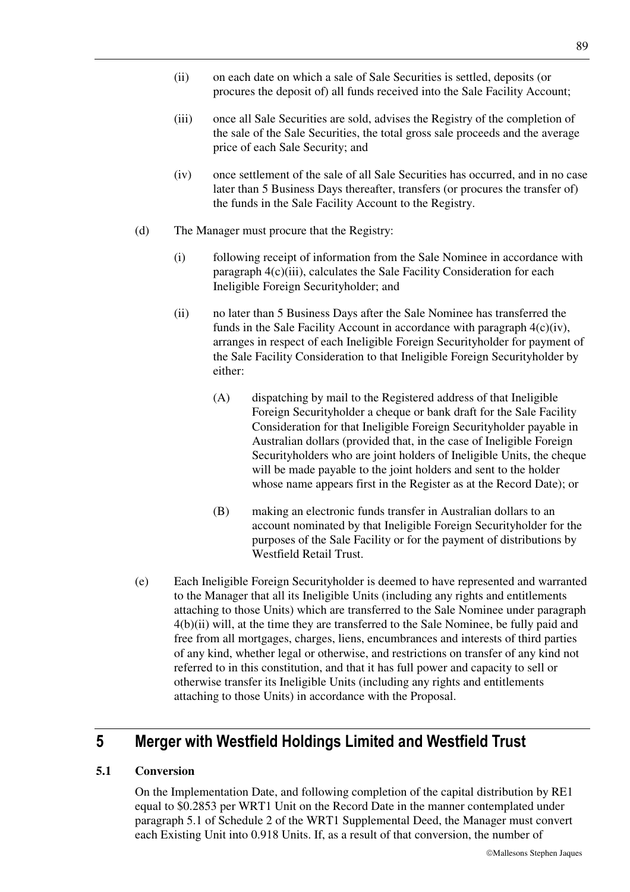- (ii) on each date on which a sale of Sale Securities is settled, deposits (or procures the deposit of) all funds received into the Sale Facility Account;
- (iii) once all Sale Securities are sold, advises the Registry of the completion of the sale of the Sale Securities, the total gross sale proceeds and the average price of each Sale Security; and
- (iv) once settlement of the sale of all Sale Securities has occurred, and in no case later than 5 Business Days thereafter, transfers (or procures the transfer of) the funds in the Sale Facility Account to the Registry.
- (d) The Manager must procure that the Registry:
	- (i) following receipt of information from the Sale Nominee in accordance with paragraph 4(c)(iii), calculates the Sale Facility Consideration for each Ineligible Foreign Securityholder; and
	- (ii) no later than 5 Business Days after the Sale Nominee has transferred the funds in the Sale Facility Account in accordance with paragraph  $4(c)(iv)$ , arranges in respect of each Ineligible Foreign Securityholder for payment of the Sale Facility Consideration to that Ineligible Foreign Securityholder by either:
		- (A) dispatching by mail to the Registered address of that Ineligible Foreign Securityholder a cheque or bank draft for the Sale Facility Consideration for that Ineligible Foreign Securityholder payable in Australian dollars (provided that, in the case of Ineligible Foreign Securityholders who are joint holders of Ineligible Units, the cheque will be made payable to the joint holders and sent to the holder whose name appears first in the Register as at the Record Date); or
		- (B) making an electronic funds transfer in Australian dollars to an account nominated by that Ineligible Foreign Securityholder for the purposes of the Sale Facility or for the payment of distributions by Westfield Retail Trust.
- (e) Each Ineligible Foreign Securityholder is deemed to have represented and warranted to the Manager that all its Ineligible Units (including any rights and entitlements attaching to those Units) which are transferred to the Sale Nominee under paragraph 4(b)(ii) will, at the time they are transferred to the Sale Nominee, be fully paid and free from all mortgages, charges, liens, encumbrances and interests of third parties of any kind, whether legal or otherwise, and restrictions on transfer of any kind not referred to in this constitution, and that it has full power and capacity to sell or otherwise transfer its Ineligible Units (including any rights and entitlements attaching to those Units) in accordance with the Proposal.

# **5 Merger with Westfield Holdings Limited and Westfield Trust**

## **5.1 Conversion**

On the Implementation Date, and following completion of the capital distribution by RE1 equal to \$0.2853 per WRT1 Unit on the Record Date in the manner contemplated under paragraph 5.1 of Schedule 2 of the WRT1 Supplemental Deed, the Manager must convert each Existing Unit into 0.918 Units. If, as a result of that conversion, the number of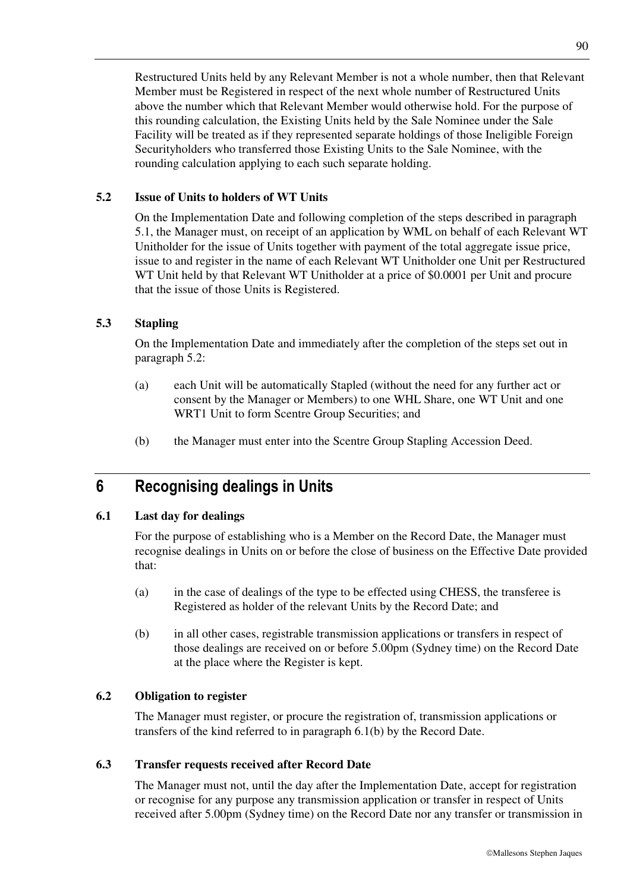Restructured Units held by any Relevant Member is not a whole number, then that Relevant Member must be Registered in respect of the next whole number of Restructured Units above the number which that Relevant Member would otherwise hold. For the purpose of this rounding calculation, the Existing Units held by the Sale Nominee under the Sale Facility will be treated as if they represented separate holdings of those Ineligible Foreign Securityholders who transferred those Existing Units to the Sale Nominee, with the rounding calculation applying to each such separate holding.

## **5.2 Issue of Units to holders of WT Units**

On the Implementation Date and following completion of the steps described in paragraph 5.1, the Manager must, on receipt of an application by WML on behalf of each Relevant WT Unitholder for the issue of Units together with payment of the total aggregate issue price, issue to and register in the name of each Relevant WT Unitholder one Unit per Restructured WT Unit held by that Relevant WT Unitholder at a price of \$0.0001 per Unit and procure that the issue of those Units is Registered.

#### **5.3 Stapling**

On the Implementation Date and immediately after the completion of the steps set out in paragraph 5.2:

- (a) each Unit will be automatically Stapled (without the need for any further act or consent by the Manager or Members) to one WHL Share, one WT Unit and one WRT1 Unit to form Scentre Group Securities; and
- (b) the Manager must enter into the Scentre Group Stapling Accession Deed.

# **6 Recognising dealings in Units**

#### **6.1 Last day for dealings**

For the purpose of establishing who is a Member on the Record Date, the Manager must recognise dealings in Units on or before the close of business on the Effective Date provided that:

- (a) in the case of dealings of the type to be effected using CHESS, the transferee is Registered as holder of the relevant Units by the Record Date; and
- (b) in all other cases, registrable transmission applications or transfers in respect of those dealings are received on or before 5.00pm (Sydney time) on the Record Date at the place where the Register is kept.

#### **6.2 Obligation to register**

The Manager must register, or procure the registration of, transmission applications or transfers of the kind referred to in paragraph 6.1(b) by the Record Date.

#### **6.3 Transfer requests received after Record Date**

The Manager must not, until the day after the Implementation Date, accept for registration or recognise for any purpose any transmission application or transfer in respect of Units received after 5.00pm (Sydney time) on the Record Date nor any transfer or transmission in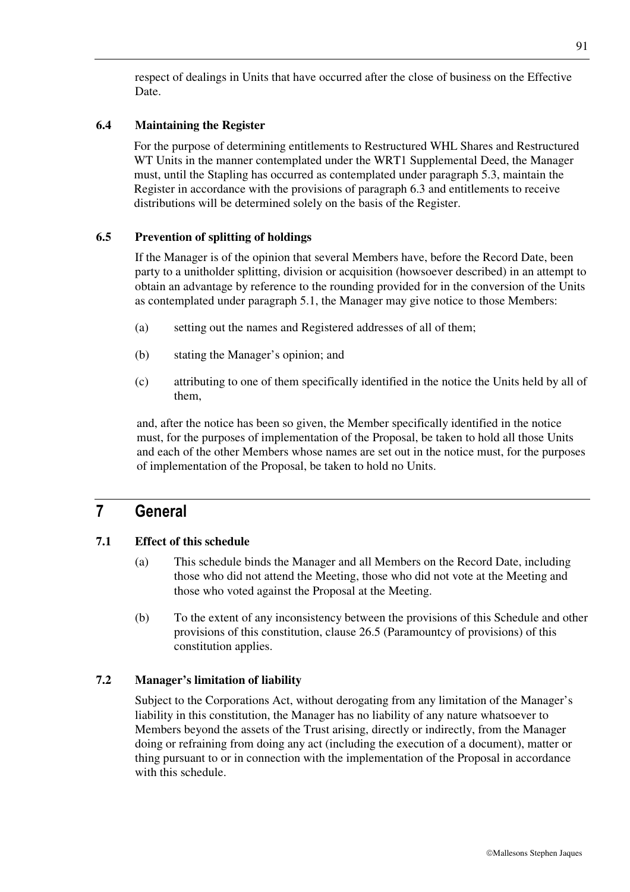respect of dealings in Units that have occurred after the close of business on the Effective Date.

## **6.4 Maintaining the Register**

For the purpose of determining entitlements to Restructured WHL Shares and Restructured WT Units in the manner contemplated under the WRT1 Supplemental Deed, the Manager must, until the Stapling has occurred as contemplated under paragraph 5.3, maintain the Register in accordance with the provisions of paragraph 6.3 and entitlements to receive distributions will be determined solely on the basis of the Register.

## **6.5 Prevention of splitting of holdings**

If the Manager is of the opinion that several Members have, before the Record Date, been party to a unitholder splitting, division or acquisition (howsoever described) in an attempt to obtain an advantage by reference to the rounding provided for in the conversion of the Units as contemplated under paragraph 5.1, the Manager may give notice to those Members:

- (a) setting out the names and Registered addresses of all of them;
- (b) stating the Manager's opinion; and
- (c) attributing to one of them specifically identified in the notice the Units held by all of them,

and, after the notice has been so given, the Member specifically identified in the notice must, for the purposes of implementation of the Proposal, be taken to hold all those Units and each of the other Members whose names are set out in the notice must, for the purposes of implementation of the Proposal, be taken to hold no Units.

# **7 General**

## **7.1 Effect of this schedule**

- (a) This schedule binds the Manager and all Members on the Record Date, including those who did not attend the Meeting, those who did not vote at the Meeting and those who voted against the Proposal at the Meeting.
- (b) To the extent of any inconsistency between the provisions of this Schedule and other provisions of this constitution, clause 26.5 (Paramountcy of provisions) of this constitution applies.

## **7.2 Manager's limitation of liability**

Subject to the Corporations Act, without derogating from any limitation of the Manager's liability in this constitution, the Manager has no liability of any nature whatsoever to Members beyond the assets of the Trust arising, directly or indirectly, from the Manager doing or refraining from doing any act (including the execution of a document), matter or thing pursuant to or in connection with the implementation of the Proposal in accordance with this schedule.